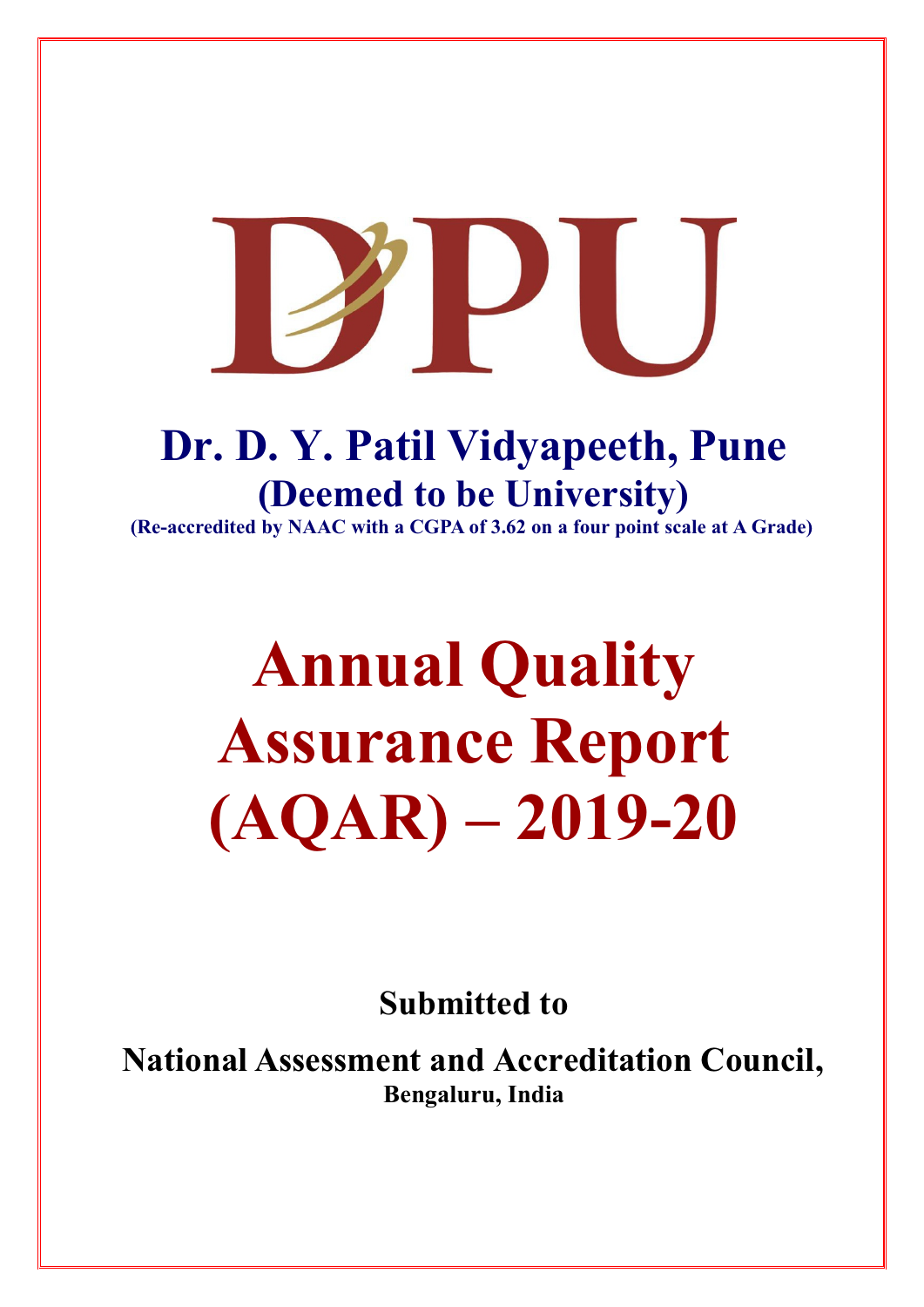## **Dr. D. Y. Patil Vidyapeeth, Pune (Deemed to be University)**

**(Re-accredited by NAAC with a CGPA of 3.62 on a four point scale at A Grade)**

# **Annual Quality Assurance Report (AQAR) – 2019-20**

**Submitted to**

**National Assessment and Accreditation Council, Bengaluru, India**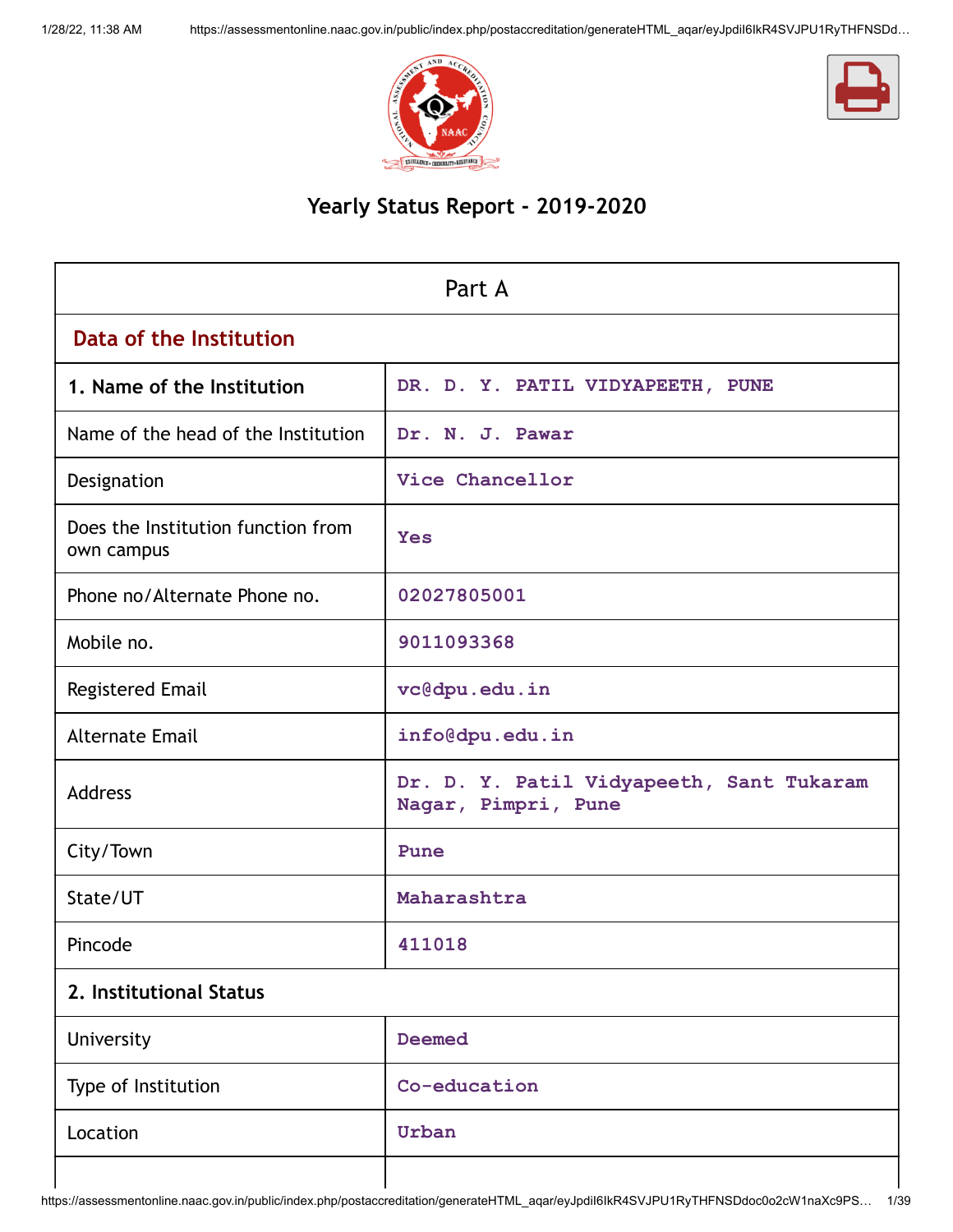



## **Yearly Status Report - 2019-2020**

| Part A                                           |                                                                 |  |  |  |
|--------------------------------------------------|-----------------------------------------------------------------|--|--|--|
| Data of the Institution                          |                                                                 |  |  |  |
| 1. Name of the Institution                       | DR. D. Y. PATIL VIDYAPEETH, PUNE                                |  |  |  |
| Name of the head of the Institution              | Dr. N. J. Pawar                                                 |  |  |  |
| Designation                                      | Vice Chancellor                                                 |  |  |  |
| Does the Institution function from<br>own campus | <b>Yes</b>                                                      |  |  |  |
| Phone no/Alternate Phone no.                     | 02027805001                                                     |  |  |  |
| Mobile no.                                       | 9011093368                                                      |  |  |  |
| <b>Registered Email</b>                          | vc@dpu.edu.in                                                   |  |  |  |
| <b>Alternate Email</b>                           | info@dpu.edu.in                                                 |  |  |  |
| Address                                          | Dr. D. Y. Patil Vidyapeeth, Sant Tukaram<br>Nagar, Pimpri, Pune |  |  |  |
| City/Town                                        | Pune                                                            |  |  |  |
| State/UT                                         | Maharashtra                                                     |  |  |  |
| Pincode                                          | 411018                                                          |  |  |  |
| 2. Institutional Status                          |                                                                 |  |  |  |
| University                                       | <b>Deemed</b>                                                   |  |  |  |
| Type of Institution                              | Co-education                                                    |  |  |  |
| Location                                         | Urban                                                           |  |  |  |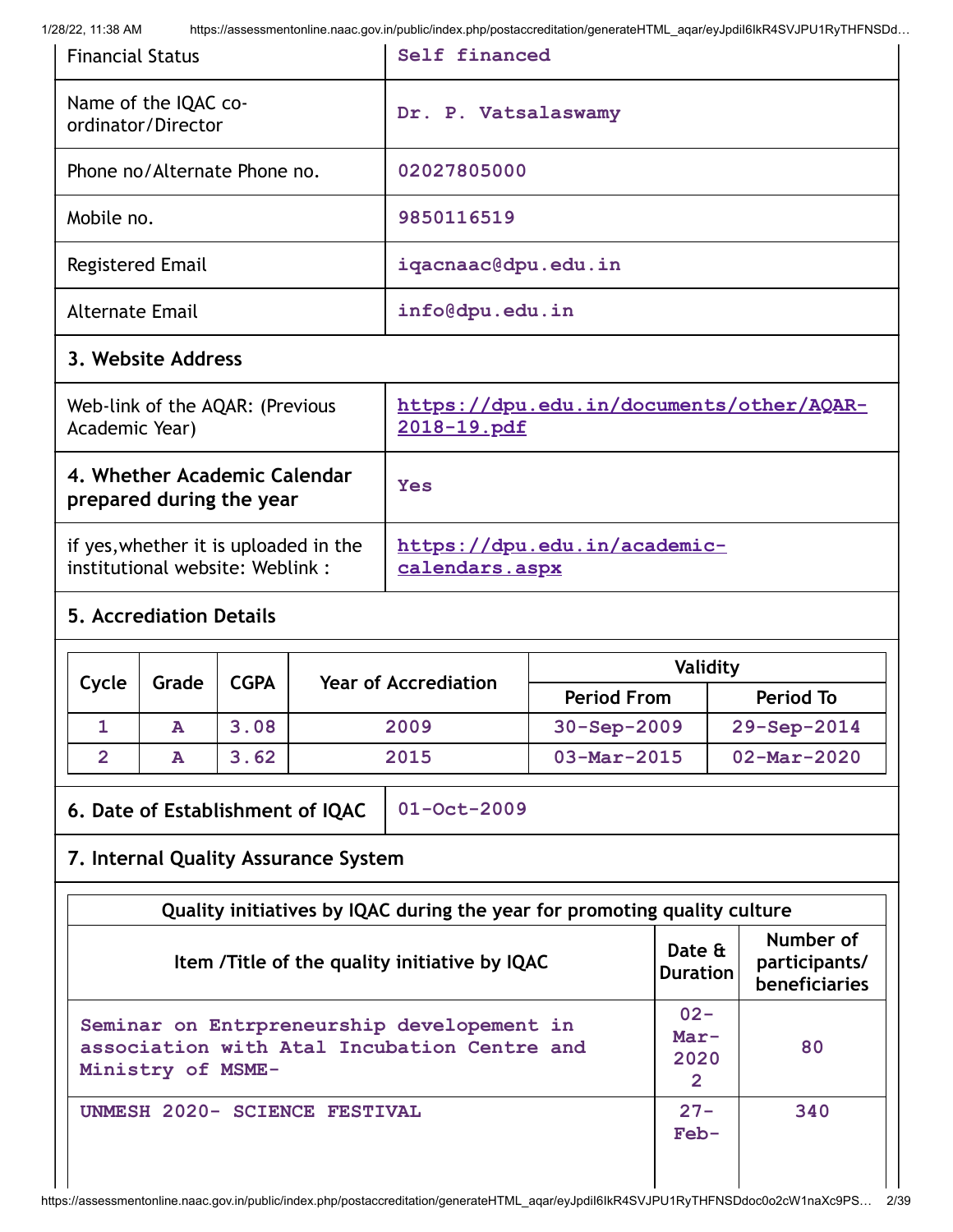| <b>Financial Status</b>                    | Self financed       |
|--------------------------------------------|---------------------|
| Name of the IQAC co-<br>ordinator/Director | Dr. P. Vatsalaswamy |
| Phone no/Alternate Phone no.               | 02027805000         |
| Mobile no.                                 | 9850116519          |
| Registered Email                           | iqacnaac@dpu.edu.in |
| <b>Alternate Email</b>                     | info@dpu.edu.in     |

## **3. Website Address**

| Web-link of the AQAR: (Previous                          | https://dpu.edu.in/documents/other/AQAR- |
|----------------------------------------------------------|------------------------------------------|
| Academic Year)                                           | 2018-19.pdf                              |
| 4. Whether Academic Calendar<br>prepared during the year | Yes                                      |
| if yes, whether it is uploaded in the                    | https://dpu.edu.in/academic-             |
| institutional website: Weblink:                          | calendars.aspx                           |

## **5. Accrediation Details**

| Cycle             | Grade<br><b>CGPA</b> | <b>Year of Accrediation</b> | Validity |                          |                          |
|-------------------|----------------------|-----------------------------|----------|--------------------------|--------------------------|
|                   |                      |                             |          | <b>Period From</b>       | <b>Period To</b>         |
|                   | A                    | 3.08                        | 2009     | $30 - Sep - 2009$        | $29 - Sep - 2014$        |
| $\mathbf{\Omega}$ | A                    | 3.62                        | 2015     | $03 - \text{Mar} - 2015$ | $02 - \text{Mar} - 2020$ |

**6. Date of Establishment of IQAC 01-Oct-2009**

## **7. Internal Quality Assurance System**

| Quality initiatives by IQAC during the year for promoting quality culture                                      |                                            |                                                    |  |  |  |  |
|----------------------------------------------------------------------------------------------------------------|--------------------------------------------|----------------------------------------------------|--|--|--|--|
| Item /Title of the quality initiative by IQAC                                                                  | Date &<br><b>Duration</b>                  | Number of<br>participants/<br><b>beneficiaries</b> |  |  |  |  |
| Seminar on Entrpreneurship developement in<br>association with Atal Incubation Centre and<br>Ministry of MSME- | $02 -$<br>$Mar-$<br>2020<br>$\overline{2}$ | 80                                                 |  |  |  |  |
| UNMESH 2020- SCIENCE FESTIVAL                                                                                  | $27 -$<br>$Feb-$                           | 340                                                |  |  |  |  |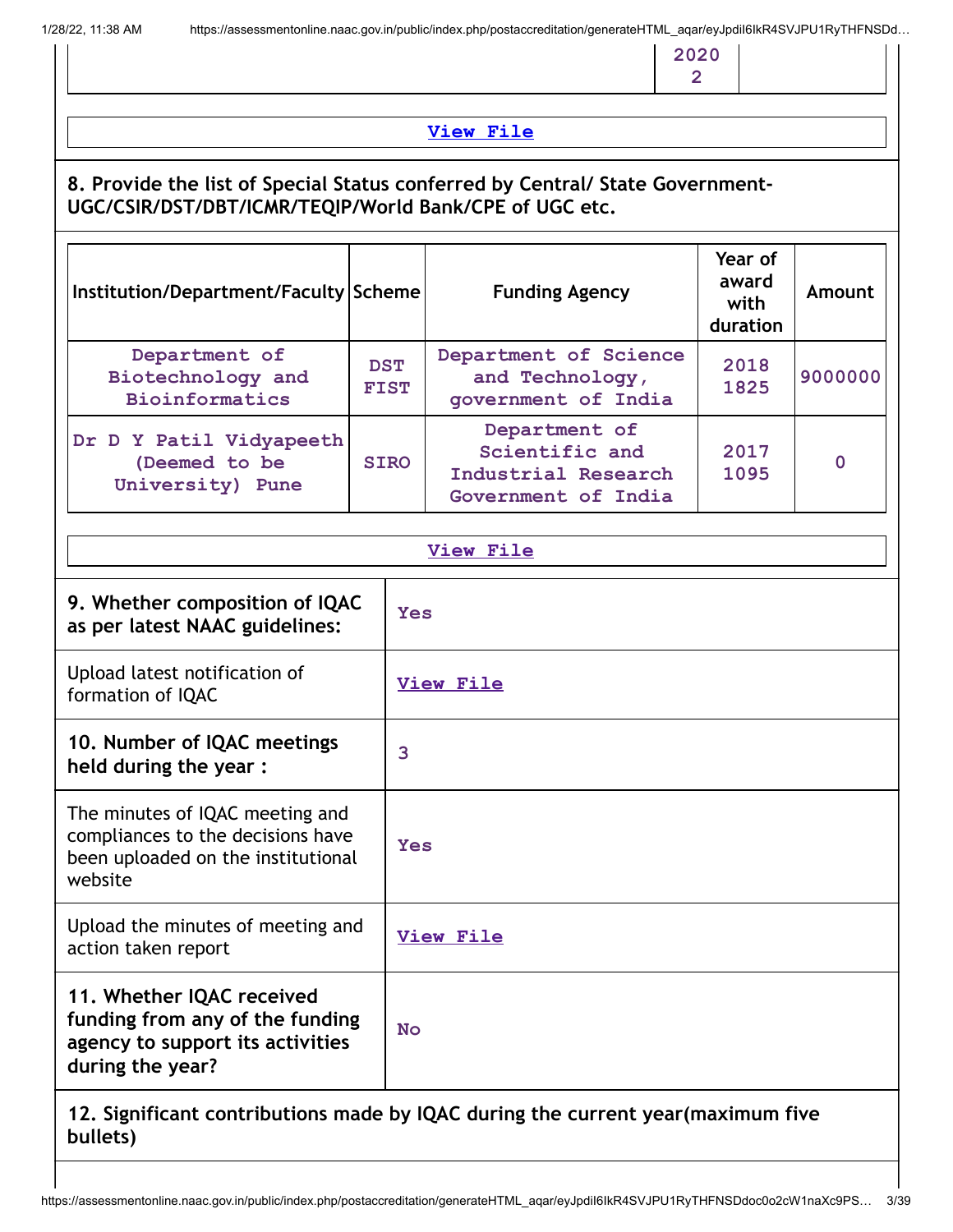**2020 2**

## **[View](https://assessmentonline.naac.gov.in/public/Postacc/Quality_Initiatives/10296_Quality_Initiatives.xlsx) File**

## **8. Provide the list of Special Status conferred by Central/ State Government-UGC/CSIR/DST/DBT/ICMR/TEQIP/World Bank/CPE of UGC etc.**

| Institution/Department/Faculty Scheme                        |                           | <b>Funding Agency</b>                                                         | Year of<br>award<br>with<br>duration | Amount   |
|--------------------------------------------------------------|---------------------------|-------------------------------------------------------------------------------|--------------------------------------|----------|
| Department of<br>Biotechnology and<br><b>Bioinformatics</b>  | <b>DST</b><br><b>FIST</b> | Department of Science<br>and Technology,<br>government of India               | 2018<br>1825                         | 9000000  |
| Dr D Y Patil Vidyapeeth<br>(Deemed to be<br>University) Pune | <b>SIRO</b>               | Department of<br>Scientific and<br>Industrial Research<br>Government of India | 2017<br>1095                         | $\Omega$ |

| <b>View File</b>                                                                                                      |                  |  |
|-----------------------------------------------------------------------------------------------------------------------|------------------|--|
| 9. Whether composition of IQAC<br>as per latest NAAC guidelines:                                                      | <b>Yes</b>       |  |
| Upload latest notification of<br>formation of IQAC                                                                    | <b>View File</b> |  |
| 10. Number of IQAC meetings<br>held during the year :                                                                 | 3                |  |
| The minutes of IQAC meeting and<br>compliances to the decisions have<br>been uploaded on the institutional<br>website | <b>Yes</b>       |  |
| Upload the minutes of meeting and<br>action taken report                                                              | <b>View File</b> |  |
| 11. Whether IQAC received<br>funding from any of the funding<br>agency to support its activities<br>during the year?  | <b>No</b>        |  |

## **12. Significant contributions made by IQAC during the current year(maximum five bullets)**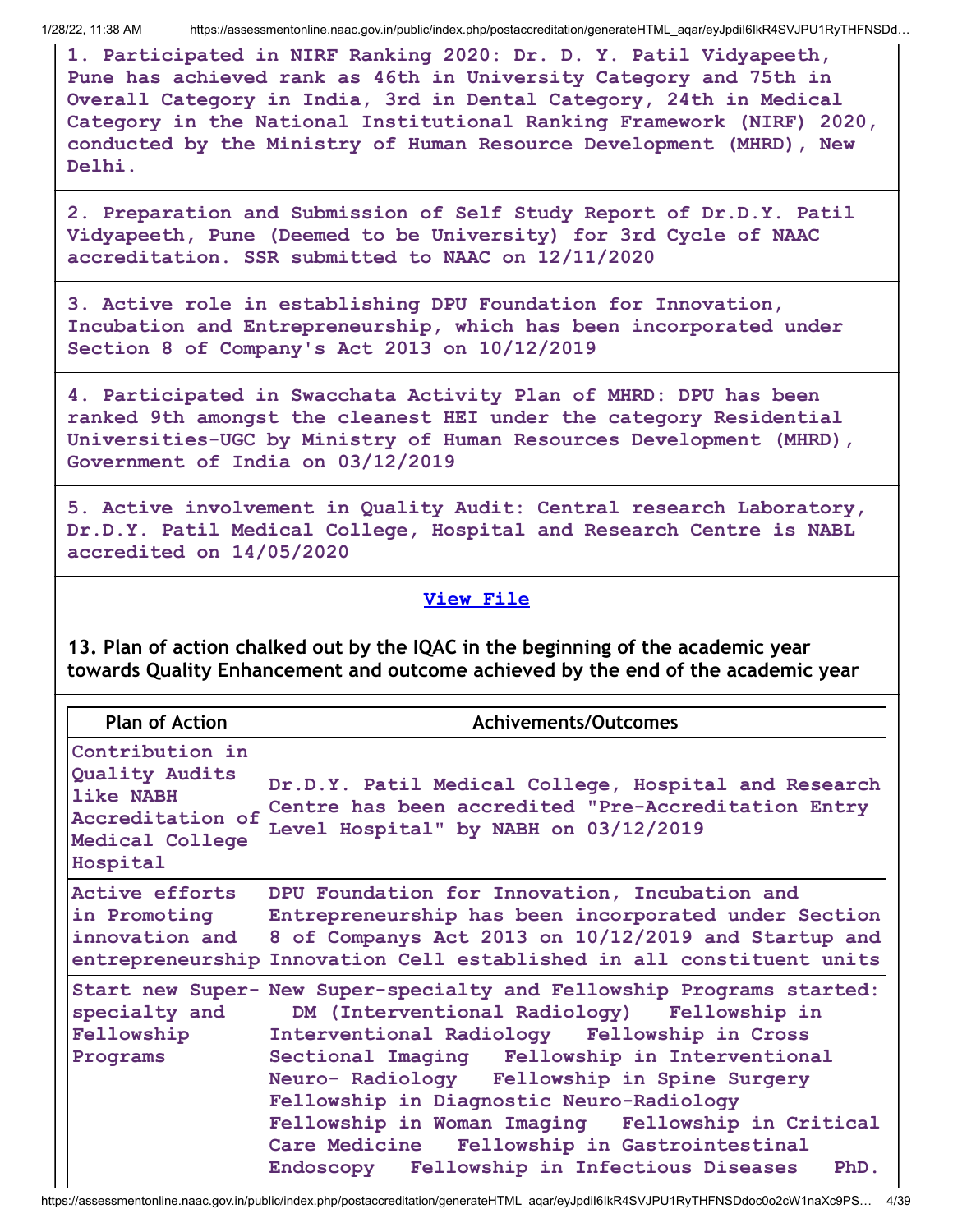**1. Participated in NIRF Ranking 2020: Dr. D. Y. Patil Vidyapeeth, Pune has achieved rank as 46th in University Category and 75th in Overall Category in India, 3rd in Dental Category, 24th in Medical Category in the National Institutional Ranking Framework (NIRF) 2020, conducted by the Ministry of Human Resource Development (MHRD), New Delhi.**

**2. Preparation and Submission of Self Study Report of Dr.D.Y. Patil Vidyapeeth, Pune (Deemed to be University) for 3rd Cycle of NAAC accreditation. SSR submitted to NAAC on 12/11/2020**

**3. Active role in establishing DPU Foundation for Innovation, Incubation and Entrepreneurship, which has been incorporated under Section 8 of Company's Act 2013 on 10/12/2019**

**4. Participated in Swacchata Activity Plan of MHRD: DPU has been ranked 9th amongst the cleanest HEI under the category Residential Universities-UGC by Ministry of Human Resources Development (MHRD), Government of India on 03/12/2019**

**5. Active involvement in Quality Audit: Central research Laboratory, Dr.D.Y. Patil Medical College, Hospital and Research Centre is NABL accredited on 14/05/2020**

#### **View [File](https://assessmentonline.naac.gov.in/public/Postacc/Contribution/10296_Contribution.xlsx)**

**13. Plan of action chalked out by the IQAC in the beginning of the academic year towards Quality Enhancement and outcome achieved by the end of the academic year**

| <b>Plan of Action</b>                                                                             | <b>Achivements/Outcomes</b>                                                                                                                                                                                                                                                                                                                                                                                                                                    |
|---------------------------------------------------------------------------------------------------|----------------------------------------------------------------------------------------------------------------------------------------------------------------------------------------------------------------------------------------------------------------------------------------------------------------------------------------------------------------------------------------------------------------------------------------------------------------|
| Contribution in<br>Quality Audits<br>like NABH<br>Accreditation of<br>Medical College<br>Hospital | Dr.D.Y. Patil Medical College, Hospital and Research<br>Centre has been accredited "Pre-Accreditation Entry<br>Level Hospital" by NABH on 03/12/2019                                                                                                                                                                                                                                                                                                           |
| <b>Active efforts</b><br>in Promoting<br>innovation and<br>entrepreneurship                       | DPU Foundation for Innovation, Incubation and<br>Entrepreneurship has been incorporated under Section<br>8 of Companys Act 2013 on 10/12/2019 and Startup and<br>Innovation Cell established in all constituent units                                                                                                                                                                                                                                          |
| Start new Super-<br>specialty and<br>Fellowship<br>Programs                                       | New Super-specialty and Fellowship Programs started:<br>DM (Interventional Radiology) Fellowship in<br>Interventional Radiology Fellowship in Cross<br>Sectional Imaging Fellowship in Interventional<br>Neuro- Radiology Fellowship in Spine Surgery<br>Fellowship in Diagnostic Neuro-Radiology<br>Fellowship in Woman Imaging Fellowship in Critical<br>Care Medicine Fellowship in Gastrointestinal<br>Endoscopy Fellowship in Infectious Diseases<br>PhD. |

https://assessmentonline.naac.gov.in/public/index.php/postaccreditation/generateHTML\_aqar/eyJpdiI6IkR4SVJPU1RyTHFNSDdoc0o2cW1naXc9PS… 4/39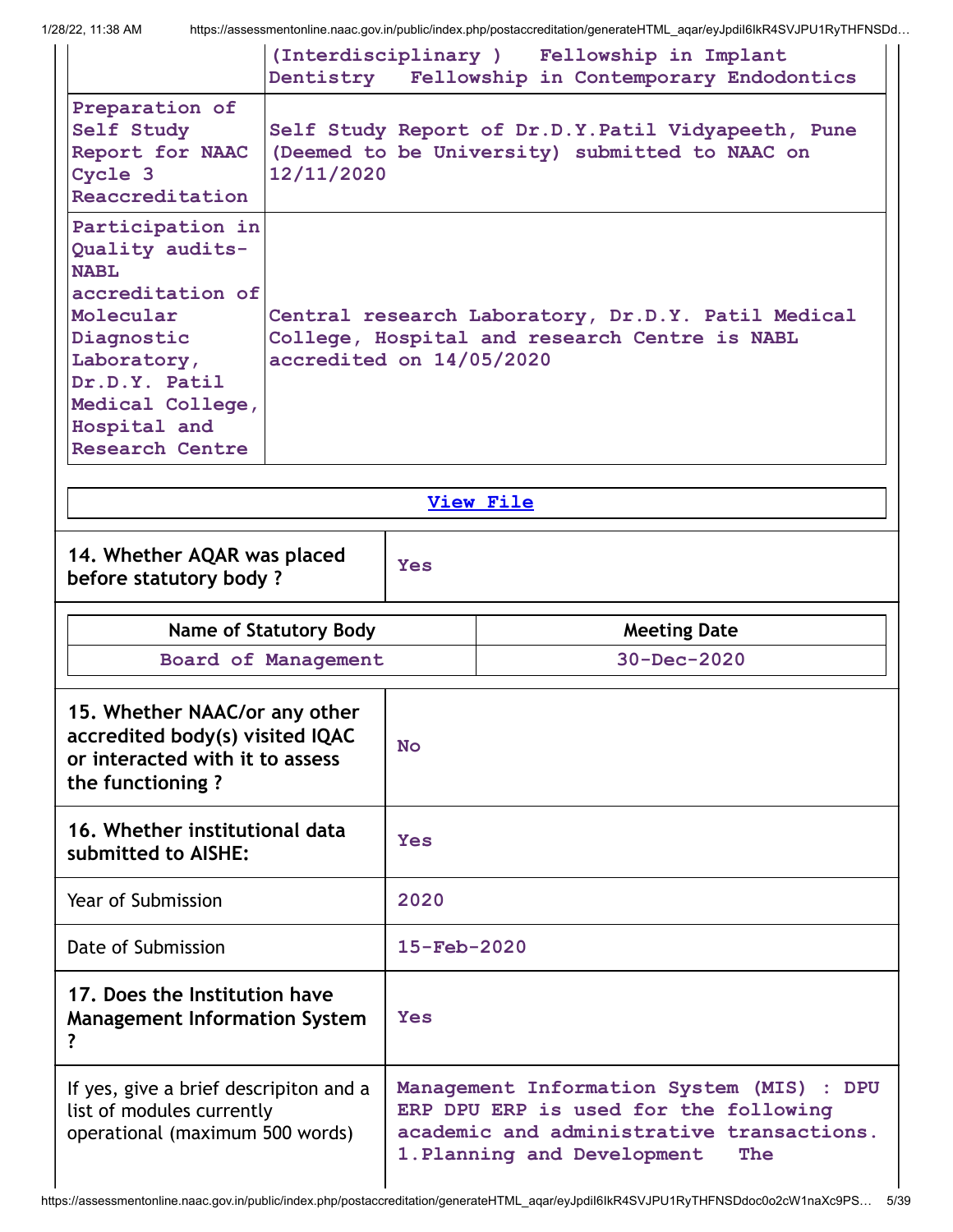|                                                                                                                                                                                                 |                                                                                                                                 |                          | (Interdisciplinary ) Fellowship in Implant<br>Dentistry Fellowship in Contemporary Endodontics       |  |  |
|-------------------------------------------------------------------------------------------------------------------------------------------------------------------------------------------------|---------------------------------------------------------------------------------------------------------------------------------|--------------------------|------------------------------------------------------------------------------------------------------|--|--|
| Preparation of<br>Self Study<br>Report for NAAC<br>Cycle 3<br>Reaccreditation                                                                                                                   | 12/11/2020                                                                                                                      |                          | Self Study Report of Dr.D.Y.Patil Vidyapeeth, Pune<br>(Deemed to be University) submitted to NAAC on |  |  |
| Participation in<br>Quality audits-<br><b>NABL</b><br>accreditation of<br>Molecular<br>Diagnostic<br>Laboratory,<br>Dr.D.Y. Patil<br>Medical College,<br>Hospital and<br><b>Research Centre</b> | Central research Laboratory, Dr.D.Y. Patil Medical<br>College, Hospital and research Centre is NABL<br>accredited on 14/05/2020 |                          |                                                                                                      |  |  |
|                                                                                                                                                                                                 |                                                                                                                                 |                          | <b>View File</b>                                                                                     |  |  |
| 14. Whether AQAR was placed<br>before statutory body?                                                                                                                                           |                                                                                                                                 | <b>Yes</b>               |                                                                                                      |  |  |
|                                                                                                                                                                                                 |                                                                                                                                 |                          |                                                                                                      |  |  |
|                                                                                                                                                                                                 | <b>Name of Statutory Body</b>                                                                                                   |                          | <b>Meeting Date</b>                                                                                  |  |  |
|                                                                                                                                                                                                 | Board of Management                                                                                                             |                          | $30 - Dec - 2020$                                                                                    |  |  |
| 15. Whether NAAC/or any other<br>accredited body(s) visited IQAC<br>or interacted with it to assess<br>the functioning?                                                                         |                                                                                                                                 | <b>No</b>                |                                                                                                      |  |  |
| 16. Whether institutional data<br>submitted to AISHE:                                                                                                                                           |                                                                                                                                 | <b>Yes</b>               |                                                                                                      |  |  |
| Year of Submission                                                                                                                                                                              |                                                                                                                                 | 2020                     |                                                                                                      |  |  |
| Date of Submission                                                                                                                                                                              |                                                                                                                                 | $15 - \text{Feb} - 2020$ |                                                                                                      |  |  |
| 17. Does the Institution have<br><b>Management Information System</b>                                                                                                                           |                                                                                                                                 | <b>Yes</b>               |                                                                                                      |  |  |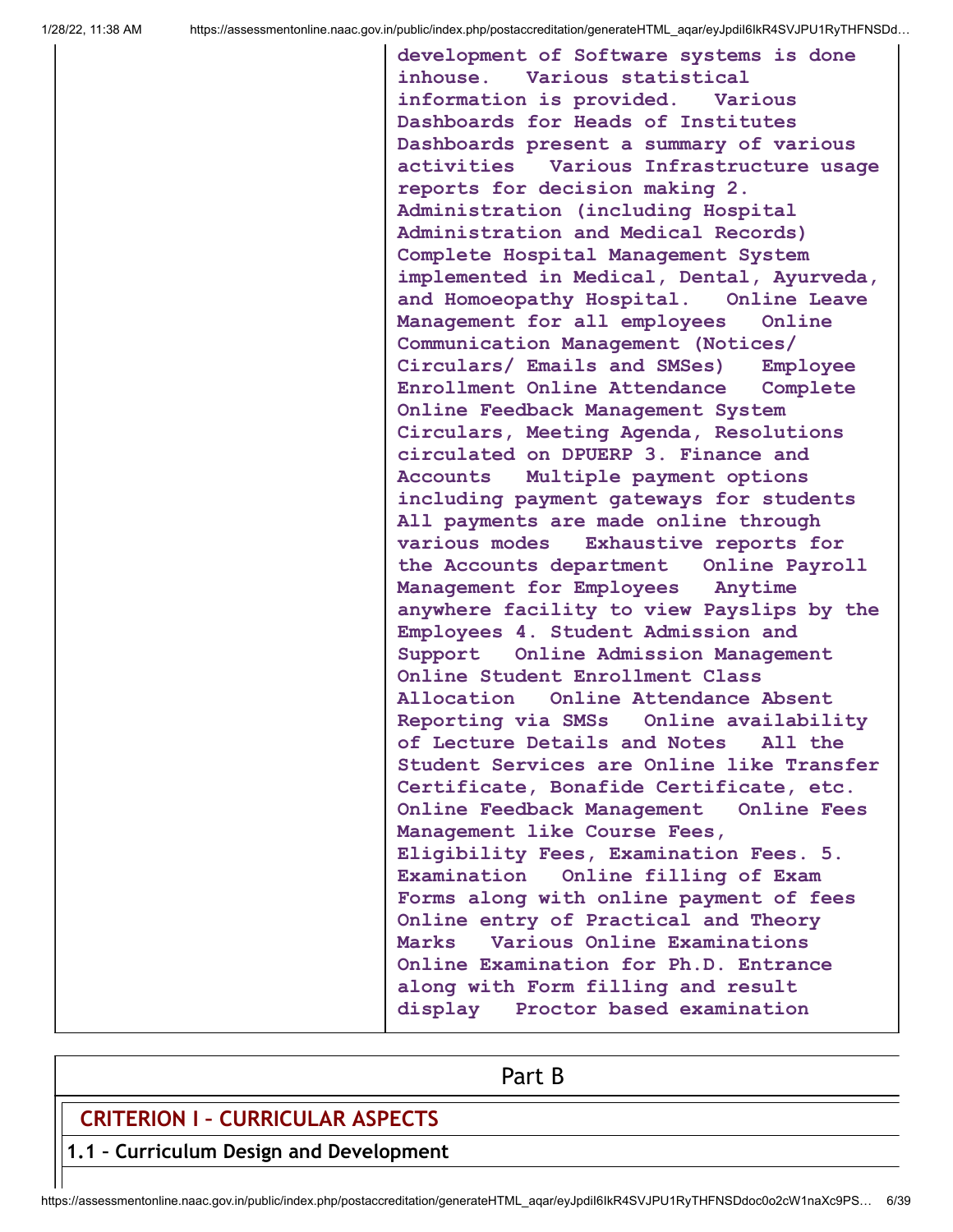**development of Software systems is done inhouse. Various statistical information is provided. Various Dashboards for Heads of Institutes Dashboards present a summary of various activities Various Infrastructure usage reports for decision making 2. Administration (including Hospital Administration and Medical Records) Complete Hospital Management System implemented in Medical, Dental, Ayurveda, and Homoeopathy Hospital. Online Leave Management for all employees Online Communication Management (Notices/ Circulars/ Emails and SMSes) Employee Enrollment Online Attendance Complete Online Feedback Management System Circulars, Meeting Agenda, Resolutions circulated on DPUERP 3. Finance and Accounts Multiple payment options including payment gateways for students All payments are made online through various modes Exhaustive reports for the Accounts department Online Payroll Management for Employees Anytime anywhere facility to view Payslips by the Employees 4. Student Admission and Support Online Admission Management Online Student Enrollment Class Allocation Online Attendance Absent Reporting via SMSs Online availability of Lecture Details and Notes All the Student Services are Online like Transfer Certificate, Bonafide Certificate, etc. Online Feedback Management Online Fees Management like Course Fees, Eligibility Fees, Examination Fees. 5. Examination Online filling of Exam Forms along with online payment of fees Online entry of Practical and Theory Marks Various Online Examinations Online Examination for Ph.D. Entrance along with Form filling and result display Proctor based examination**

Part B

## **CRITERION I – CURRICULAR ASPECTS**

**1.1 – Curriculum Design and Development**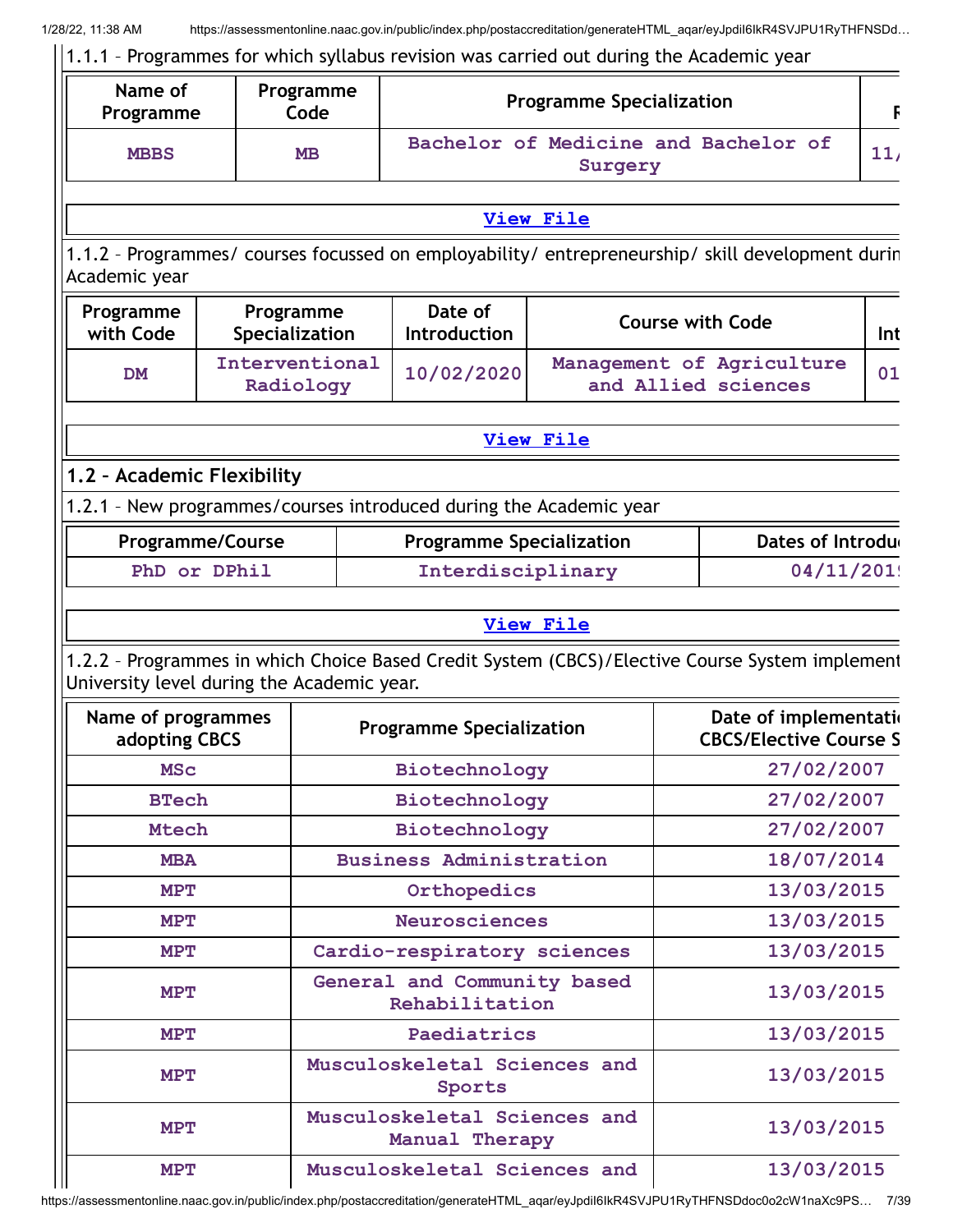| Name of<br>Programme                       |                         | Programme<br>Code           | <b>Programme Specialization</b>                                    |                                                  |            |                                                                                                  |     |
|--------------------------------------------|-------------------------|-----------------------------|--------------------------------------------------------------------|--------------------------------------------------|------------|--------------------------------------------------------------------------------------------------|-----|
| <b>MBBS</b>                                | <b>MB</b>               |                             |                                                                    | Surgery                                          |            | Bachelor of Medicine and Bachelor of                                                             | 11/ |
|                                            |                         |                             |                                                                    | <b>View File</b>                                 |            |                                                                                                  |     |
| Academic year                              |                         |                             |                                                                    |                                                  |            | 1.1.2 - Programmes/ courses focussed on employability/ entrepreneurship/ skill development durin |     |
| Programme<br>with Code                     |                         | Programme<br>Specialization | Date of<br>Introduction                                            |                                                  |            | <b>Course with Code</b>                                                                          | Int |
| <b>DM</b>                                  |                         | Interventional<br>Radiology | 10/02/2020                                                         | Management of Agriculture<br>and Allied sciences |            |                                                                                                  | 01  |
|                                            |                         |                             |                                                                    | <b>View File</b>                                 |            |                                                                                                  |     |
| 1.2 - Academic Flexibility                 |                         |                             |                                                                    |                                                  |            |                                                                                                  |     |
|                                            |                         |                             | 1.2.1 - New programmes/courses introduced during the Academic year |                                                  |            |                                                                                                  |     |
|                                            | <b>Programme/Course</b> |                             | <b>Programme Specialization</b>                                    |                                                  |            | Dates of Introdu                                                                                 |     |
| PhD or DPhil                               |                         |                             | Interdisciplinary                                                  |                                                  |            | 04/11/201!                                                                                       |     |
|                                            |                         |                             |                                                                    |                                                  |            |                                                                                                  |     |
|                                            |                         |                             |                                                                    | <b>View File</b>                                 |            |                                                                                                  |     |
| University level during the Academic year. |                         |                             |                                                                    |                                                  |            | 1.2.2 - Programmes in which Choice Based Credit System (CBCS)/Elective Course System implement   |     |
| Name of programmes<br>adopting CBCS        |                         |                             | <b>Programme Specialization</b>                                    |                                                  |            | Date of implementatio<br><b>CBCS/Elective Course S</b>                                           |     |
| <b>MSC</b>                                 |                         |                             | Biotechnology                                                      |                                                  | 27/02/2007 |                                                                                                  |     |
| <b>BTech</b>                               |                         |                             | Biotechnology                                                      |                                                  | 27/02/2007 |                                                                                                  |     |
| <b>Mtech</b>                               |                         |                             | Biotechnology                                                      |                                                  |            | 27/02/2007                                                                                       |     |
| <b>MBA</b>                                 |                         |                             | <b>Business Administration</b>                                     |                                                  |            | 18/07/2014                                                                                       |     |
| <b>MPT</b>                                 |                         |                             | Orthopedics                                                        |                                                  |            | 13/03/2015                                                                                       |     |
| MPT                                        |                         |                             | <b>Neurosciences</b>                                               |                                                  |            | 13/03/2015                                                                                       |     |
| MPT                                        |                         |                             | Cardio-respiratory sciences                                        |                                                  |            | 13/03/2015                                                                                       |     |
| <b>MPT</b>                                 |                         |                             | General and Community based<br>Rehabilitation                      |                                                  |            | 13/03/2015                                                                                       |     |
| <b>MPT</b>                                 |                         |                             | Paediatrics                                                        |                                                  |            | 13/03/2015                                                                                       |     |
| MPT                                        |                         |                             | Musculoskeletal Sciences and<br>Sports                             |                                                  |            | 13/03/2015                                                                                       |     |
|                                            |                         |                             | Musculoskeletal Sciences and                                       |                                                  |            |                                                                                                  |     |

https://assessmentonline.naac.gov.in/public/index.php/postaccreditation/generateHTML\_aqar/eyJpdiI6IkR4SVJPU1RyTHFNSDdoc0o2cW1naXc9PS… 7/39

**MPT Musculoskeletal Sciences and 13/03/2015**

**Manual Therapy**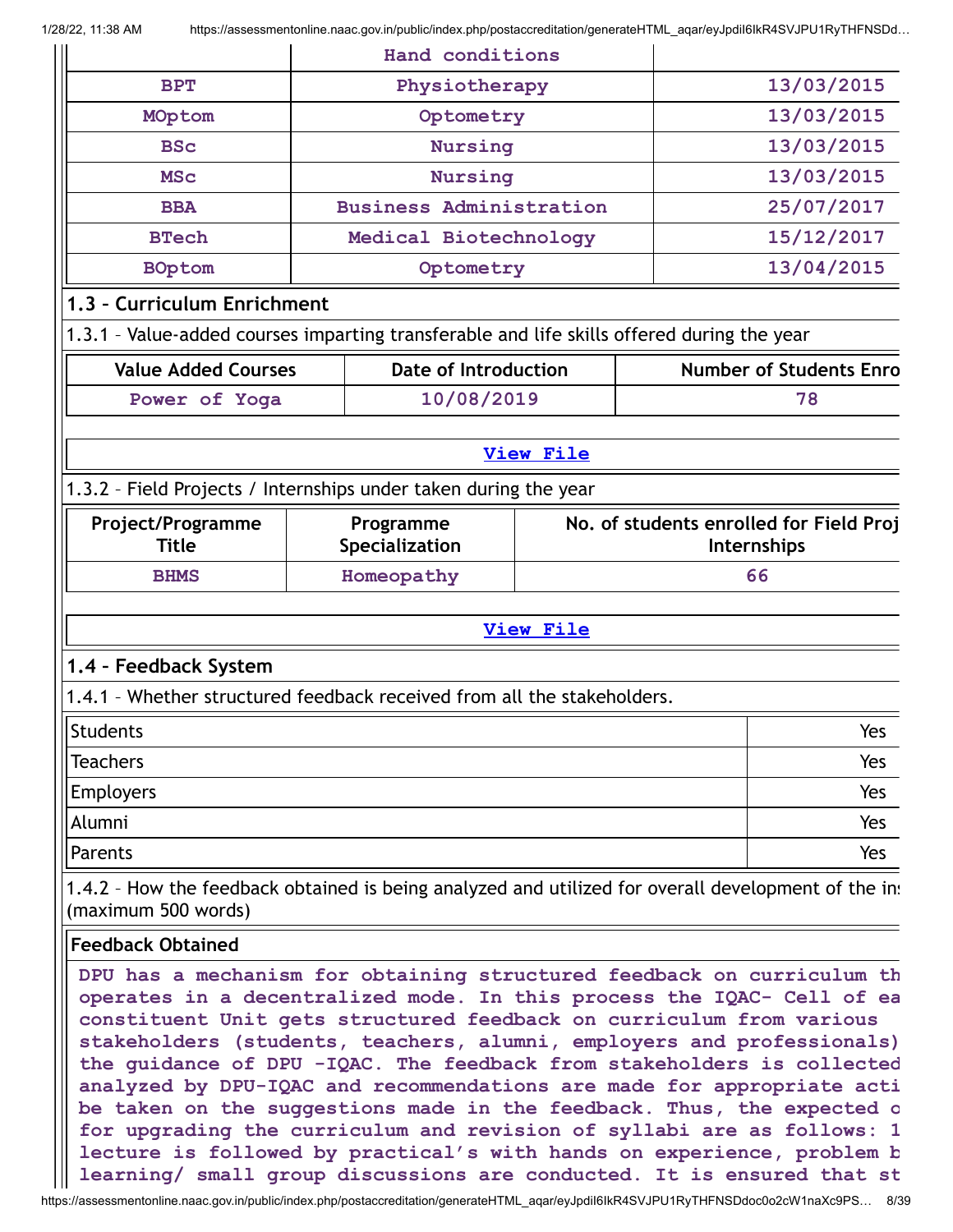|                                                                                                                                                                                                                                                                                                                                                                                                                                                                                                                                                                                                                                                                                                                                                                |                | Hand conditions                |                  |                   |                                         |  |
|----------------------------------------------------------------------------------------------------------------------------------------------------------------------------------------------------------------------------------------------------------------------------------------------------------------------------------------------------------------------------------------------------------------------------------------------------------------------------------------------------------------------------------------------------------------------------------------------------------------------------------------------------------------------------------------------------------------------------------------------------------------|----------------|--------------------------------|------------------|-------------------|-----------------------------------------|--|
| <b>BPT</b>                                                                                                                                                                                                                                                                                                                                                                                                                                                                                                                                                                                                                                                                                                                                                     | Physiotherapy  |                                |                  |                   | 13/03/2015                              |  |
| MOptom                                                                                                                                                                                                                                                                                                                                                                                                                                                                                                                                                                                                                                                                                                                                                         |                | Optometry                      |                  |                   | 13/03/2015                              |  |
| <b>BSc</b>                                                                                                                                                                                                                                                                                                                                                                                                                                                                                                                                                                                                                                                                                                                                                     | <b>Nursing</b> |                                |                  |                   | 13/03/2015                              |  |
| <b>MSC</b>                                                                                                                                                                                                                                                                                                                                                                                                                                                                                                                                                                                                                                                                                                                                                     | Nursing        |                                |                  |                   | 13/03/2015                              |  |
| <b>BBA</b>                                                                                                                                                                                                                                                                                                                                                                                                                                                                                                                                                                                                                                                                                                                                                     |                | <b>Business Administration</b> |                  |                   | 25/07/2017                              |  |
| <b>BTech</b>                                                                                                                                                                                                                                                                                                                                                                                                                                                                                                                                                                                                                                                                                                                                                   |                | Medical Biotechnology          |                  |                   | 15/12/2017                              |  |
| <b>BOptom</b>                                                                                                                                                                                                                                                                                                                                                                                                                                                                                                                                                                                                                                                                                                                                                  |                | Optometry                      |                  |                   | 13/04/2015                              |  |
| 1.3 - Curriculum Enrichment                                                                                                                                                                                                                                                                                                                                                                                                                                                                                                                                                                                                                                                                                                                                    |                |                                |                  |                   |                                         |  |
| 1.3.1 - Value-added courses imparting transferable and life skills offered during the year                                                                                                                                                                                                                                                                                                                                                                                                                                                                                                                                                                                                                                                                     |                |                                |                  |                   |                                         |  |
| <b>Value Added Courses</b>                                                                                                                                                                                                                                                                                                                                                                                                                                                                                                                                                                                                                                                                                                                                     |                | <b>Date of Introduction</b>    |                  |                   | <b>Number of Students Enro</b>          |  |
| Power of Yoga                                                                                                                                                                                                                                                                                                                                                                                                                                                                                                                                                                                                                                                                                                                                                  |                | 10/08/2019                     |                  |                   | 78                                      |  |
|                                                                                                                                                                                                                                                                                                                                                                                                                                                                                                                                                                                                                                                                                                                                                                |                |                                | <b>View File</b> |                   |                                         |  |
| 1.3.2 - Field Projects / Internships under taken during the year                                                                                                                                                                                                                                                                                                                                                                                                                                                                                                                                                                                                                                                                                               |                |                                |                  |                   |                                         |  |
| Project/Programme<br><b>Title</b>                                                                                                                                                                                                                                                                                                                                                                                                                                                                                                                                                                                                                                                                                                                              |                | Programme                      |                  |                   | No. of students enrolled for Field Proj |  |
| <b>BHMS</b>                                                                                                                                                                                                                                                                                                                                                                                                                                                                                                                                                                                                                                                                                                                                                    |                | Specialization<br>Homeopathy   |                  | Internships<br>66 |                                         |  |
|                                                                                                                                                                                                                                                                                                                                                                                                                                                                                                                                                                                                                                                                                                                                                                |                |                                |                  |                   |                                         |  |
|                                                                                                                                                                                                                                                                                                                                                                                                                                                                                                                                                                                                                                                                                                                                                                |                |                                | <b>View File</b> |                   |                                         |  |
| 1.4 - Feedback System                                                                                                                                                                                                                                                                                                                                                                                                                                                                                                                                                                                                                                                                                                                                          |                |                                |                  |                   |                                         |  |
| 1.4.1 - Whether structured feedback received from all the stakeholders.                                                                                                                                                                                                                                                                                                                                                                                                                                                                                                                                                                                                                                                                                        |                |                                |                  |                   |                                         |  |
| Students                                                                                                                                                                                                                                                                                                                                                                                                                                                                                                                                                                                                                                                                                                                                                       |                |                                |                  |                   | Yes                                     |  |
| <b>Teachers</b>                                                                                                                                                                                                                                                                                                                                                                                                                                                                                                                                                                                                                                                                                                                                                |                |                                |                  |                   | Yes                                     |  |
| <b>Employers</b>                                                                                                                                                                                                                                                                                                                                                                                                                                                                                                                                                                                                                                                                                                                                               |                |                                |                  |                   | Yes                                     |  |
| Alumni                                                                                                                                                                                                                                                                                                                                                                                                                                                                                                                                                                                                                                                                                                                                                         |                |                                |                  |                   | Yes                                     |  |
| Parents                                                                                                                                                                                                                                                                                                                                                                                                                                                                                                                                                                                                                                                                                                                                                        |                |                                |                  |                   | Yes                                     |  |
| 1.4.2 - How the feedback obtained is being analyzed and utilized for overall development of the inst<br>(maximum 500 words)                                                                                                                                                                                                                                                                                                                                                                                                                                                                                                                                                                                                                                    |                |                                |                  |                   |                                         |  |
| <b>Feedback Obtained</b>                                                                                                                                                                                                                                                                                                                                                                                                                                                                                                                                                                                                                                                                                                                                       |                |                                |                  |                   |                                         |  |
| DPU has a mechanism for obtaining structured feedback on curriculum th<br>operates in a decentralized mode. In this process the IQAC- Cell of ea<br>constituent Unit gets structured feedback on curriculum from various<br>stakeholders (students, teachers, alumni, employers and professionals)<br>the guidance of DPU -IQAC. The feedback from stakeholders is collected<br>analyzed by DPU-IQAC and recommendations are made for appropriate acti<br>be taken on the suggestions made in the feedback. Thus, the expected o<br>for upgrading the curriculum and revision of syllabi are as follows: 1<br>lecture is followed by practical's with hands on experience, problem b<br>learning/ small group discussions are conducted. It is ensured that st |                |                                |                  |                   |                                         |  |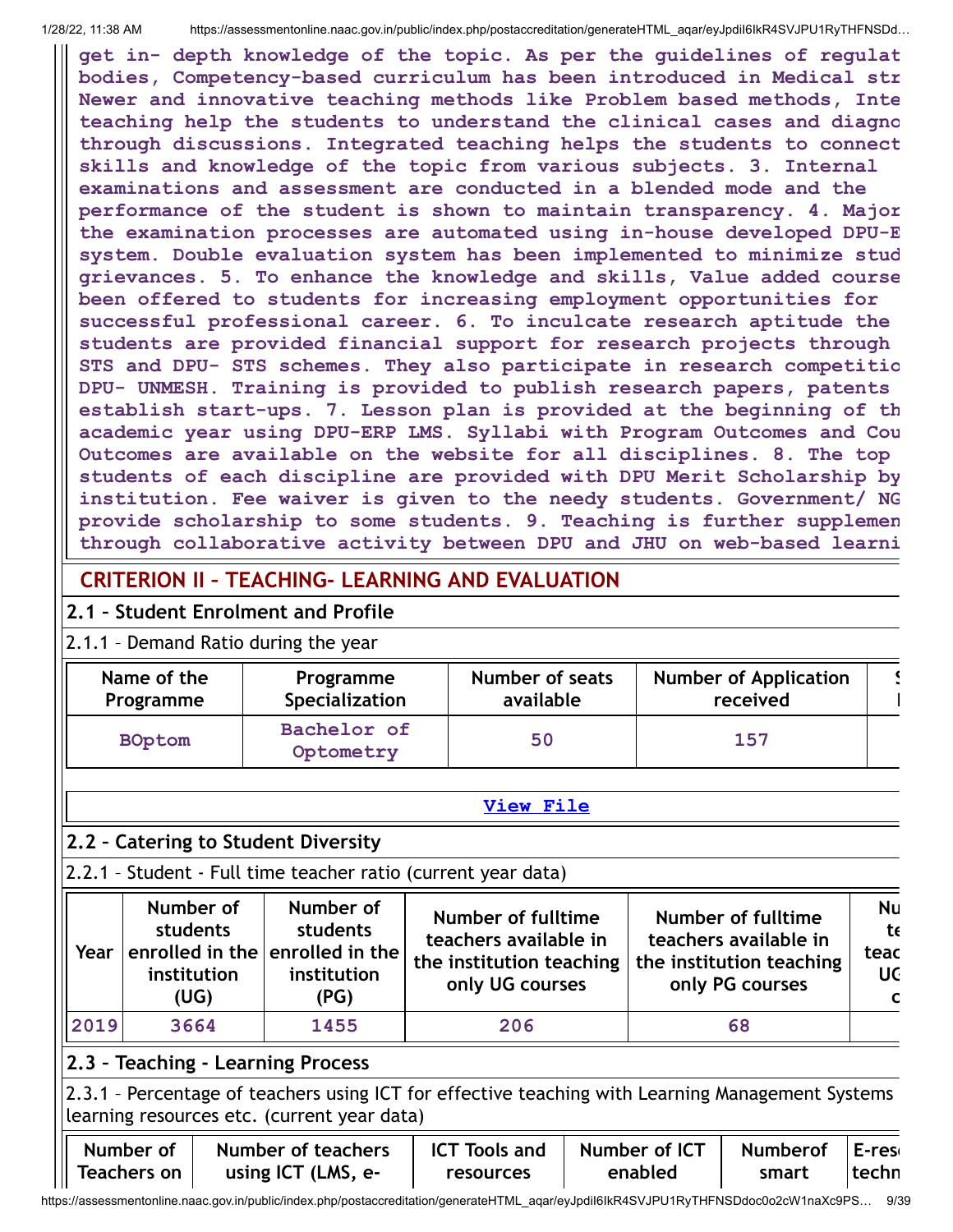**get in- depth knowledge of the topic. As per the guidelines of regulat bodies, Competency-based curriculum has been introduced in Medical str Newer and innovative teaching methods like Problem based methods, Inte teaching help the students to understand the clinical cases and diagno through discussions. Integrated teaching helps the students to connect skills and knowledge of the topic from various subjects. 3. Internal examinations and assessment are conducted in a blended mode and the performance of the student is shown to maintain transparency. 4. Major the examination processes are automated using in-house developed DPU-E system. Double evaluation system has been implemented to minimize stud grievances. 5. To enhance the knowledge and skills, Value added course been offered to students for increasing employment opportunities for successful professional career. 6. To inculcate research aptitude the students are provided financial support for research projects through STS and DPU- STS schemes. They also participate in research competitio DPU- UNMESH. Training is provided to publish research papers, patents establish start-ups. 7. Lesson plan is provided at the beginning of th academic year using DPU-ERP LMS. Syllabi with Program Outcomes and Cou Outcomes are available on the website for all disciplines. 8. The top students of each discipline are provided with DPU Merit Scholarship by institution. Fee waiver is given to the needy students. Government/ NG provide scholarship to some students. 9. Teaching is further supplemen through collaborative activity between DPU and JHU on web-based learni**

## **CRITERION II – TEACHING- LEARNING AND EVALUATION**

## **2.1 – Student Enrolment and Profile**

#### 2.1.1 – Demand Ratio during the year

| Name of the   | Programme                | Number of seats | <b>Number of Application</b> |  |
|---------------|--------------------------|-----------------|------------------------------|--|
| Programme     | Specialization           | available       | received                     |  |
| <b>BOptom</b> | Bachelor of<br>Optometry | 50              | 157                          |  |

#### **[View](https://assessmentonline.naac.gov.in/public/Postacc/Demand_ratio/10296_Demand_ratio_1642919426.xlsx) File**

## **2.2 – Catering to Student Diversity**

## 2.2.1 – Student - Full time teacher ratio (current year data)

| Year | Number of<br>students<br>institution<br>(UG) | Number of<br>students<br>$^{\shortmid}$ enrolled in the $\mid$ enrolled in the $\mid$<br>institution<br>(PG) | Number of fulltime<br>teachers available in<br>the institution teaching<br>only UG courses | <b>Number of fulltime</b><br>teachers available in<br>the institution teaching<br>only PG courses | Nu<br>te<br>teac<br><b>UC</b><br>$\mathbf{C}$ |
|------|----------------------------------------------|--------------------------------------------------------------------------------------------------------------|--------------------------------------------------------------------------------------------|---------------------------------------------------------------------------------------------------|-----------------------------------------------|
| 2019 | 3664                                         | 1455                                                                                                         | 206                                                                                        | 68                                                                                                |                                               |

## **2.3 – Teaching - Learning Process**

2.3.1 – Percentage of teachers using ICT for effective teaching with Learning Management Systems learning resources etc. (current year data)

|                    | Number of   Number of teachers |           | $\textsf{ICT}$ Tools and $\parallel$ Number of ICT $\parallel$ | Numberof E-res |       |
|--------------------|--------------------------------|-----------|----------------------------------------------------------------|----------------|-------|
| <b>Teachers on</b> | using ICT (LMS, e-             | resources | enabled                                                        | smart          | techn |

https://assessmentonline.naac.gov.in/public/index.php/postaccreditation/generateHTML\_aqar/eyJpdiI6IkR4SVJPU1RyTHFNSDdoc0o2cW1naXc9PS… 9/39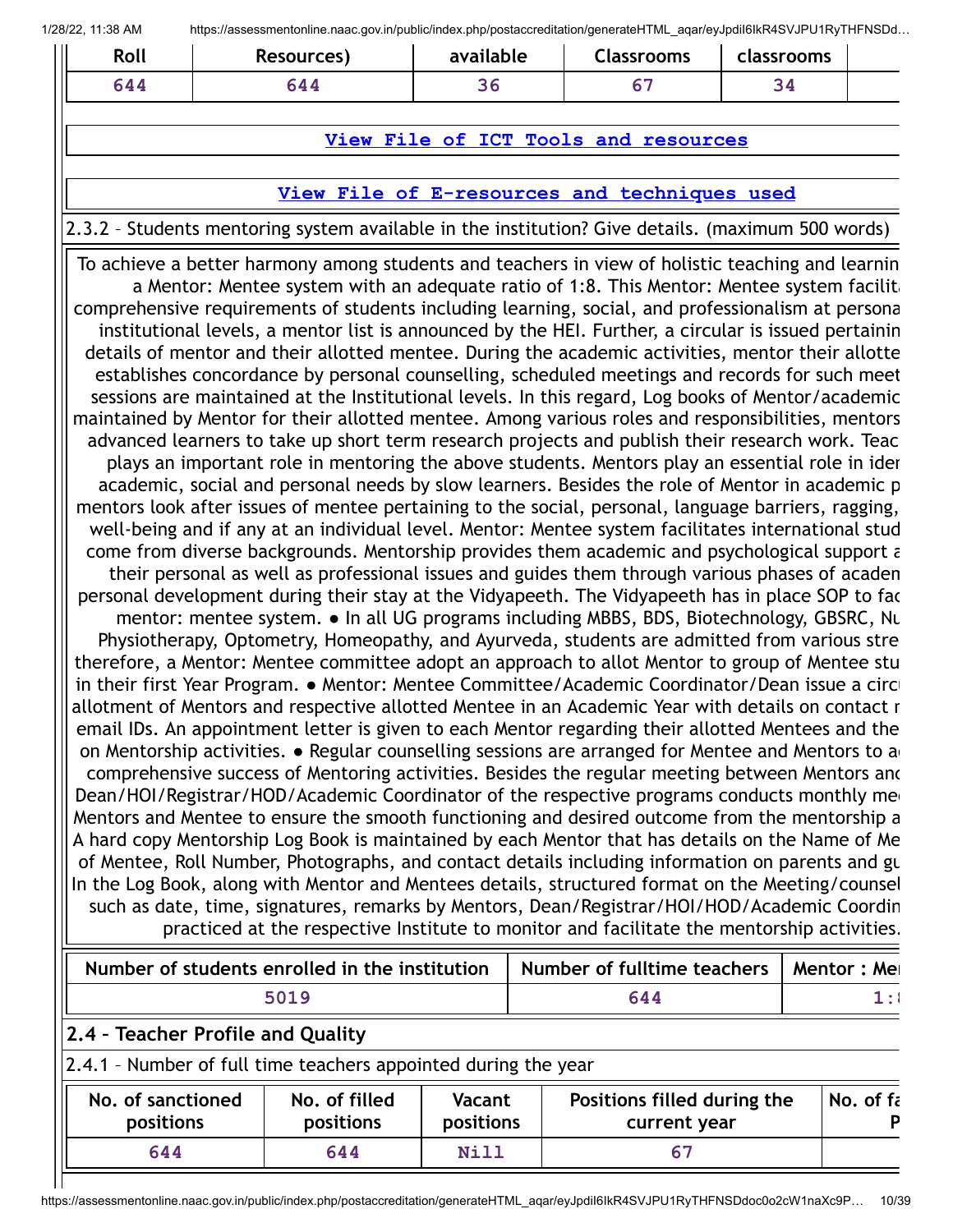| Roll | Resources)                                                                                                                                                                                     | available | <b>Classrooms</b>                    | classrooms |             |
|------|------------------------------------------------------------------------------------------------------------------------------------------------------------------------------------------------|-----------|--------------------------------------|------------|-------------|
| 644  | 644                                                                                                                                                                                            | 36        | 67                                   | 34         |             |
|      |                                                                                                                                                                                                |           |                                      |            |             |
|      |                                                                                                                                                                                                |           | View File of ICT Tools and resources |            |             |
|      | View File of E-resources and techniques used                                                                                                                                                   |           |                                      |            |             |
|      | 2.3.2 - Students mentoring system available in the institution? Give details. (maximum 500 words)                                                                                              |           |                                      |            |             |
|      | To achieve a better harmony among students and teachers in view of holistic teaching and learnin                                                                                               |           |                                      |            |             |
|      | a Mentor: Mentee system with an adequate ratio of 1:8. This Mentor: Mentee system facilita                                                                                                     |           |                                      |            |             |
|      | comprehensive requirements of students including learning, social, and professionalism at persona                                                                                              |           |                                      |            |             |
|      | institutional levels, a mentor list is announced by the HEI. Further, a circular is issued pertainin                                                                                           |           |                                      |            |             |
|      | details of mentor and their allotted mentee. During the academic activities, mentor their allotte                                                                                              |           |                                      |            |             |
|      | establishes concordance by personal counselling, scheduled meetings and records for such meet                                                                                                  |           |                                      |            |             |
|      | sessions are maintained at the Institutional levels. In this regard, Log books of Mentor/academic                                                                                              |           |                                      |            |             |
|      | maintained by Mentor for their allotted mentee. Among various roles and responsibilities, mentors                                                                                              |           |                                      |            |             |
|      | advanced learners to take up short term research projects and publish their research work. Teac                                                                                                |           |                                      |            |             |
|      | plays an important role in mentoring the above students. Mentors play an essential role in ider                                                                                                |           |                                      |            |             |
|      | academic, social and personal needs by slow learners. Besides the role of Mentor in academic p                                                                                                 |           |                                      |            |             |
|      | mentors look after issues of mentee pertaining to the social, personal, language barriers, ragging,                                                                                            |           |                                      |            |             |
|      | well-being and if any at an individual level. Mentor: Mentee system facilitates international stud                                                                                             |           |                                      |            |             |
|      | come from diverse backgrounds. Mentorship provides them academic and psychological support a<br>their personal as well as professional issues and guides them through various phases of academ |           |                                      |            |             |
|      | personal development during their stay at the Vidyapeeth. The Vidyapeeth has in place SOP to fac                                                                                               |           |                                      |            |             |
|      | mentor: mentee system. • In all UG programs including MBBS, BDS, Biotechnology, GBSRC, Nu                                                                                                      |           |                                      |            |             |
|      | Physiotherapy, Optometry, Homeopathy, and Ayurveda, students are admitted from various stre                                                                                                    |           |                                      |            |             |
|      | therefore, a Mentor: Mentee committee adopt an approach to allot Mentor to group of Mentee stu                                                                                                 |           |                                      |            |             |
|      | in their first Year Program. • Mentor: Mentee Committee/Academic Coordinator/Dean issue a circi                                                                                                |           |                                      |            |             |
|      | allotment of Mentors and respective allotted Mentee in an Academic Year with details on contact r                                                                                              |           |                                      |            |             |
|      | email IDs. An appointment letter is given to each Mentor regarding their allotted Mentees and the                                                                                              |           |                                      |            |             |
|      | on Mentorship activities. • Regular counselling sessions are arranged for Mentee and Mentors to a                                                                                              |           |                                      |            |             |
|      | comprehensive success of Mentoring activities. Besides the regular meeting between Mentors and                                                                                                 |           |                                      |            |             |
|      | Dean/HOI/Registrar/HOD/Academic Coordinator of the respective programs conducts monthly med                                                                                                    |           |                                      |            |             |
|      | Mentors and Mentee to ensure the smooth functioning and desired outcome from the mentorship a                                                                                                  |           |                                      |            |             |
|      | A hard copy Mentorship Log Book is maintained by each Mentor that has details on the Name of Me                                                                                                |           |                                      |            |             |
|      | of Mentee, Roll Number, Photographs, and contact details including information on parents and gu                                                                                               |           |                                      |            |             |
|      | In the Log Book, along with Mentor and Mentees details, structured format on the Meeting/counsel                                                                                               |           |                                      |            |             |
|      | such as date, time, signatures, remarks by Mentors, Dean/Registrar/HOI/HOD/Academic Coordin<br>practiced at the respective Institute to monitor and facilitate the mentorship activities.      |           |                                      |            |             |
|      | Number of students enrolled in the institution                                                                                                                                                 |           | Number of fulltime teachers          |            | Mentor: Mei |
|      | 5019                                                                                                                                                                                           |           | 644                                  |            | 1:1         |
|      |                                                                                                                                                                                                |           |                                      |            |             |

## **2.4 – Teacher Profile and Quality**

#### 2.4.1 – Number of full time teachers appointed during the year

| No. of sanctioned | No. of filled | <b>Vacant</b> | Positions filled during the | No. of fa |
|-------------------|---------------|---------------|-----------------------------|-----------|
| <b>positions</b>  | positions     | positions     | current year                |           |
| 644               | 644           | Nill          | 67                          |           |

https://assessmentonline.naac.gov.in/public/index.php/postaccreditation/generateHTML\_aqar/eyJpdiI6IkR4SVJPU1RyTHFNSDdoc0o2cW1naXc9P… 10/39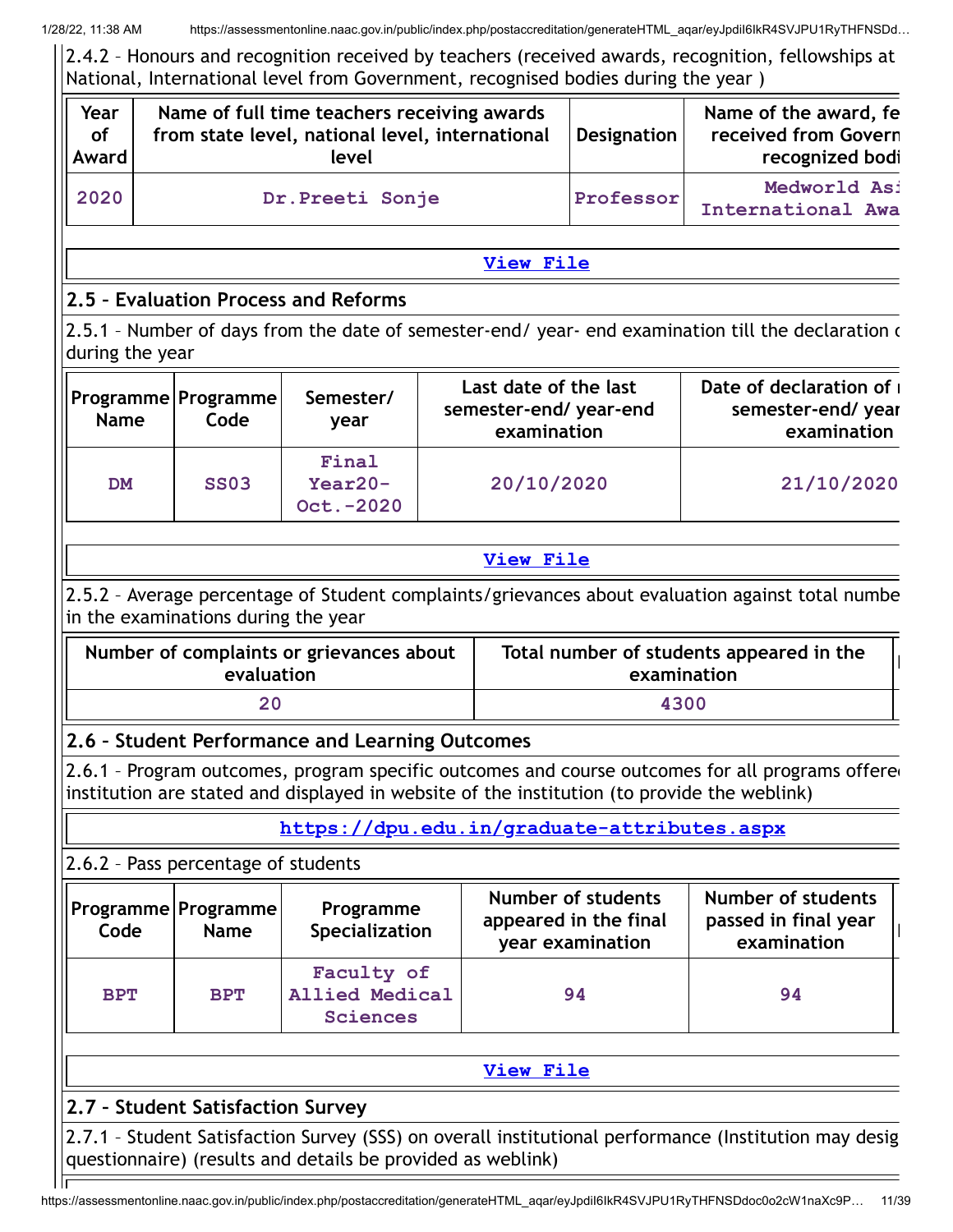2.4.2 – Honours and recognition received by teachers (received awards, recognition, fellowships at National, International level from Government, recognised bodies during the year )

| Year<br><b>of</b><br>Award |                                                             | Name of full time teachers receiving awards<br>from state level, national level, international<br>level |            |                                                               | <b>Designation</b>                                              | Name of the award, fe<br>received from Govern<br>recognized bodi                                      |  |  |
|----------------------------|-------------------------------------------------------------|---------------------------------------------------------------------------------------------------------|------------|---------------------------------------------------------------|-----------------------------------------------------------------|-------------------------------------------------------------------------------------------------------|--|--|
| 2020                       |                                                             | Dr. Preeti Sonje                                                                                        |            |                                                               | Medworld Asi<br>Professor<br>International Awa                  |                                                                                                       |  |  |
|                            |                                                             |                                                                                                         |            | <b>View File</b>                                              |                                                                 |                                                                                                       |  |  |
|                            | 2.5 - Evaluation Process and Reforms                        |                                                                                                         |            |                                                               |                                                                 |                                                                                                       |  |  |
| during the year            |                                                             |                                                                                                         |            |                                                               |                                                                 | 2.5.1 - Number of days from the date of semester-end/ year- end examination till the declaration of   |  |  |
| <b>Name</b>                | Programme Programme<br>Code                                 | Semester/<br>year                                                                                       |            | Last date of the last<br>semester-end/year-end<br>examination |                                                                 | Date of declaration of<br>semester-end/year<br>examination                                            |  |  |
| <b>DM</b>                  | <b>SS03</b>                                                 | Final<br>$Year20-$<br>Oct. - 2020                                                                       | 20/10/2020 |                                                               |                                                                 | 21/10/2020                                                                                            |  |  |
|                            |                                                             |                                                                                                         |            | <b>View File</b>                                              |                                                                 |                                                                                                       |  |  |
|                            | in the examinations during the year                         |                                                                                                         |            |                                                               |                                                                 | 2.5.2 - Average percentage of Student complaints/grievances about evaluation against total numbe      |  |  |
|                            | evaluation                                                  | Number of complaints or grievances about                                                                |            |                                                               | examination                                                     | Total number of students appeared in the                                                              |  |  |
|                            | 20                                                          |                                                                                                         |            |                                                               | 4300                                                            |                                                                                                       |  |  |
|                            |                                                             | 2.6 - Student Performance and Learning Outcomes                                                         |            |                                                               |                                                                 |                                                                                                       |  |  |
|                            |                                                             | institution are stated and displayed in website of the institution (to provide the weblink)             |            |                                                               |                                                                 | 2.6.1 - Program outcomes, program specific outcomes and course outcomes for all programs offered      |  |  |
|                            |                                                             | https://dpu.edu.in/graduate-attributes.aspx                                                             |            |                                                               |                                                                 |                                                                                                       |  |  |
|                            | 2.6.2 - Pass percentage of students                         |                                                                                                         |            |                                                               |                                                                 |                                                                                                       |  |  |
| Code                       | Programme Programme<br><b>Name</b>                          | Programme<br>Specialization                                                                             |            |                                                               | Number of students<br>appeared in the final<br>year examination | Number of students<br>passed in final year<br>examination                                             |  |  |
| <b>BPT</b>                 | <b>BPT</b>                                                  | Faculty of<br><b>Allied Medical</b><br><b>Sciences</b>                                                  |            |                                                               | 94                                                              | 94                                                                                                    |  |  |
|                            |                                                             |                                                                                                         |            | <b>View File</b>                                              |                                                                 |                                                                                                       |  |  |
|                            | 2.7 - Student Satisfaction Survey                           |                                                                                                         |            |                                                               |                                                                 |                                                                                                       |  |  |
|                            | questionnaire) (results and details be provided as weblink) |                                                                                                         |            |                                                               |                                                                 | 2.7.1 - Student Satisfaction Survey (SSS) on overall institutional performance (Institution may desig |  |  |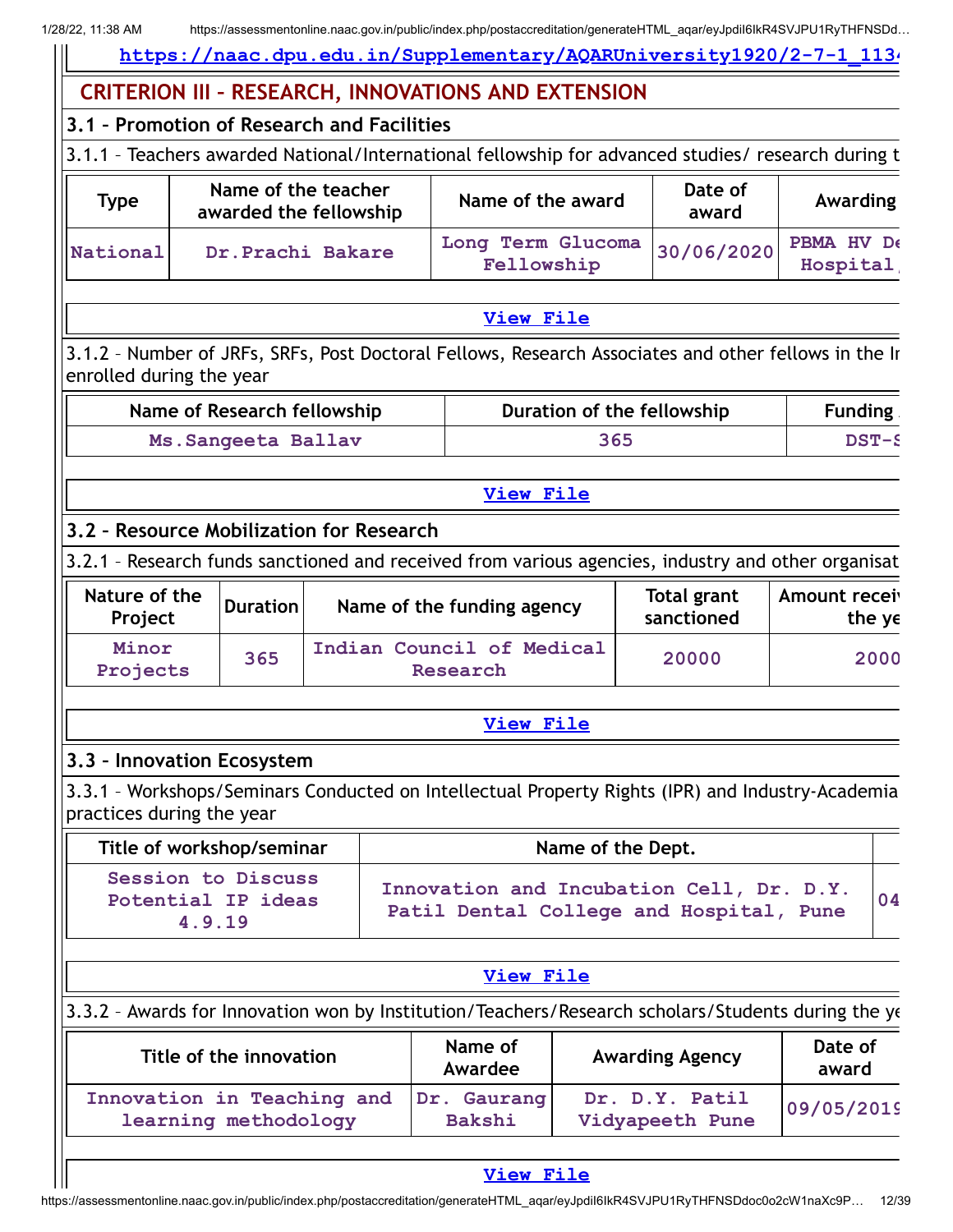**[https://naac.dpu.edu.in/Supplementary/AQARUniversity1920/2-7-1\\_1134](https://naac.dpu.edu.in/Supplementary/AQARUniversity1920/2-7-1_1134.pdf)**

## **CRITERION III – RESEARCH, INNOVATIONS AND EXTENSION**

**3.1 – Promotion of Research and Facilities**

3.1.1 – Teachers awarded National/International fellowship for advanced studies/ research during t

| <b>Type</b> | Name of the teacher<br>awarded the fellowship | Name of the award               | Date of<br>award | Awarding               |
|-------------|-----------------------------------------------|---------------------------------|------------------|------------------------|
| National    | Dr. Prachi Bakare                             | Long Term Glucoma<br>Fellowship | 30/06/2020       | PBMA HV De<br>Hospital |

## 3.1.2 – Number of JRFs, SRFs, Post Doctoral Fellows, Research Associates and other fellows in the In enrolled during the year

| Name of Research fellowship | Duration of the fellowship | <b>Funding</b> |
|-----------------------------|----------------------------|----------------|
| Ms. Sangeeta Ballav         | 365                        | $DST-S$        |

#### **[View](https://assessmentonline.naac.gov.in/public/Postacc/Research_Assoc/10296_Research_Assoc_1643195018.xlsx) File**

**[View](https://assessmentonline.naac.gov.in/public/Postacc/Teachers_fellowship/10296_Teachers_fellowship_1642405003.xlsx) File**

## **3.2 – Resource Mobilization for Research**

3.2.1 – Research funds sanctioned and received from various agencies, industry and other organisat

| Nature of the<br>Project | <b>Duration</b> | Name of the funding agency            | Total grant<br>sanctioned | Amount receiv<br>the $ye$ |
|--------------------------|-----------------|---------------------------------------|---------------------------|---------------------------|
| Minor<br>Projects        | 365             | Indian Council of Medical<br>Research | 20000                     | 2000                      |

#### **[View](https://assessmentonline.naac.gov.in/public/Postacc/Research_Fund/10296_Research_Fund_1642499802.xlsx) File**

#### **3.3 – Innovation Ecosystem**

3.3.1 – Workshops/Seminars Conducted on Intellectual Property Rights (IPR) and Industry-Academia practices during the year

| Title of workshop/seminar                                 | Name of the Dept.                                                                   |    |
|-----------------------------------------------------------|-------------------------------------------------------------------------------------|----|
| <b>Session to Discuss</b><br>Potential IP ideas<br>4.9.19 | Innovation and Incubation Cell, Dr. D.Y.<br>Patil Dental College and Hospital, Pune | 04 |

|                                                                                                    | View File                |                                   |                  |
|----------------------------------------------------------------------------------------------------|--------------------------|-----------------------------------|------------------|
| 3.3.2 - Awards for Innovation won by Institution/Teachers/Research scholars/Students during the ye |                          |                                   |                  |
| Title of the innovation                                                                            | Name of<br>Awardee       | <b>Awarding Agency</b>            | Date of<br>award |
| Innovation in Teaching and<br>learning methodology                                                 | Gaurang<br>Dr.<br>Bakshi | Dr. D.Y. Patil<br>Vidyapeeth Pune | 09/05/2019       |

#### **[View](https://assessmentonline.naac.gov.in/public/Postacc/Awards_won/10296_Awards_won_1643195127.xlsx) File**

https://assessmentonline.naac.gov.in/public/index.php/postaccreditation/generateHTML\_aqar/eyJpdiI6IkR4SVJPU1RyTHFNSDdoc0o2cW1naXc9P… 12/39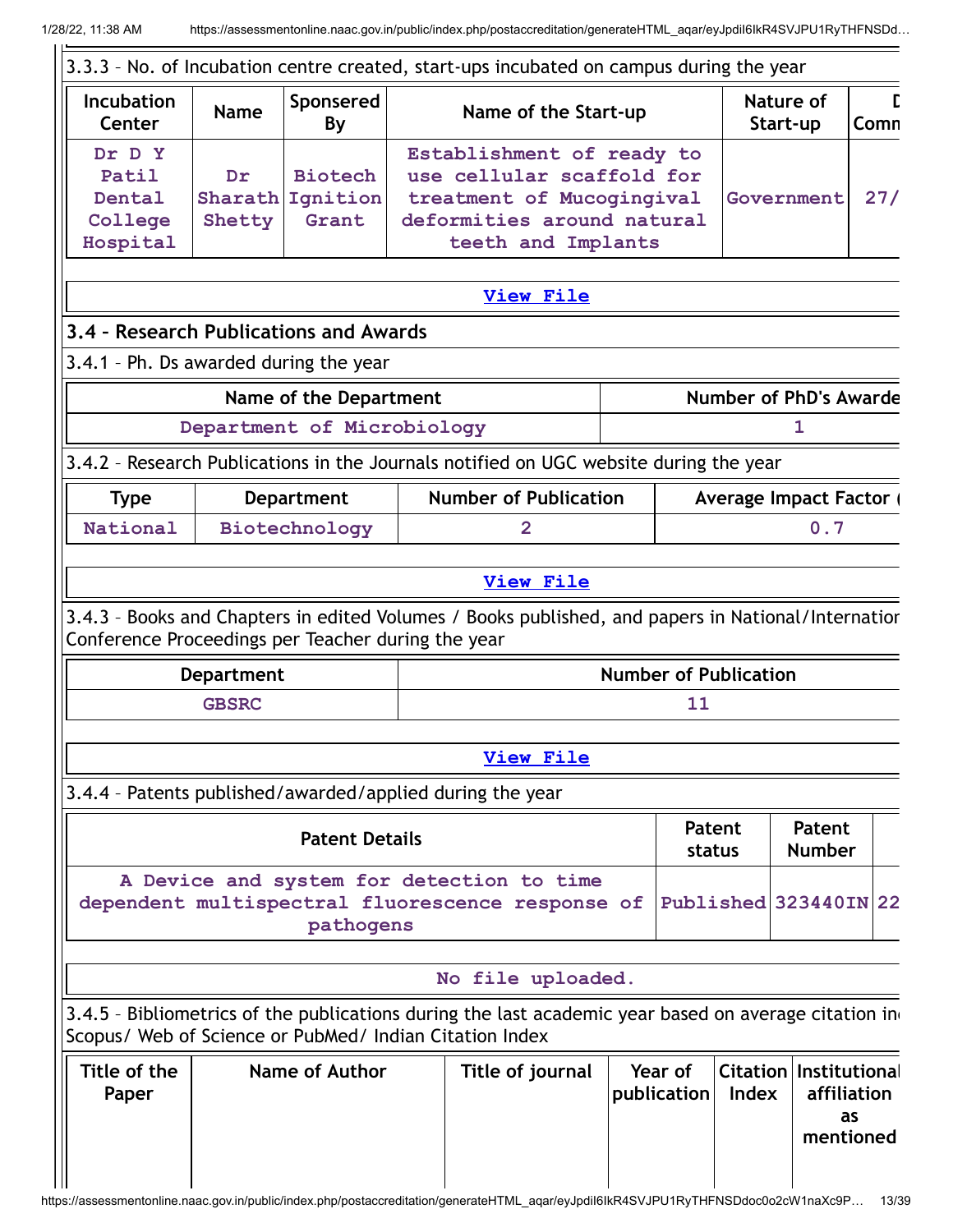|                                                           |                         |                                     | 3.3.3 - No. of Incubation centre created, start-ups incubated on campus during the year                                                 |                        |                              |                                                  |             |
|-----------------------------------------------------------|-------------------------|-------------------------------------|-----------------------------------------------------------------------------------------------------------------------------------------|------------------------|------------------------------|--------------------------------------------------|-------------|
| <b>Incubation</b><br>Center                               | <b>Name</b>             | Sponsered<br>By                     | Name of the Start-up                                                                                                                    |                        |                              | Nature of<br>Start-up                            | Г<br>Comn   |
| Dr D Y<br>Patil<br>Dental<br>College<br>Hospital          | Dr<br>Sharath<br>Shetty | <b>Biotech</b><br>Ignition<br>Grant | Establishment of ready to<br>use cellular scaffold for<br>treatment of Mucogingival<br>deformities around natural<br>teeth and Implants |                        |                              | Government                                       | 27/         |
|                                                           |                         |                                     | <b>View File</b>                                                                                                                        |                        |                              |                                                  |             |
| 3.4 - Research Publications and Awards                    |                         |                                     |                                                                                                                                         |                        |                              |                                                  |             |
| 3.4.1 - Ph. Ds awarded during the year                    |                         |                                     |                                                                                                                                         |                        |                              |                                                  |             |
|                                                           |                         | Name of the Department              |                                                                                                                                         |                        |                              | <b>Number of PhD's Awarde</b>                    |             |
|                                                           |                         | Department of Microbiology          |                                                                                                                                         |                        |                              | ı                                                |             |
|                                                           |                         |                                     | 3.4.2 - Research Publications in the Journals notified on UGC website during the year                                                   |                        |                              |                                                  |             |
| <b>Type</b>                                               |                         | <b>Department</b>                   | <b>Number of Publication</b>                                                                                                            |                        |                              | <b>Average Impact Factor (</b>                   |             |
| National                                                  |                         | Biotechnology                       | $\overline{2}$                                                                                                                          |                        |                              | 0.7                                              |             |
|                                                           |                         |                                     | <b>View File</b>                                                                                                                        |                        |                              |                                                  |             |
| Conference Proceedings per Teacher during the year        |                         |                                     | 3.4.3 - Books and Chapters in edited Volumes / Books published, and papers in National/Internatior                                      |                        |                              |                                                  |             |
|                                                           | <b>Department</b>       |                                     |                                                                                                                                         |                        | <b>Number of Publication</b> |                                                  |             |
|                                                           | <b>GBSRC</b>            |                                     |                                                                                                                                         | 11                     |                              |                                                  |             |
|                                                           |                         |                                     | <b>View File</b>                                                                                                                        |                        |                              |                                                  |             |
| 3.4.4 - Patents published/awarded/applied during the year |                         |                                     |                                                                                                                                         |                        |                              |                                                  |             |
|                                                           |                         | <b>Patent Details</b>               |                                                                                                                                         | status                 | <b>Patent</b>                | Patent<br><b>Number</b>                          |             |
|                                                           |                         | pathogens                           | A Device and system for detection to time<br>dependent multispectral fluorescence response of                                           |                        |                              | Published 323440IN 22                            |             |
|                                                           |                         |                                     | No file uploaded.                                                                                                                       |                        |                              |                                                  |             |
| Scopus/ Web of Science or PubMed/ Indian Citation Index   |                         |                                     | 3.4.5 - Bibliometrics of the publications during the last academic year based on average citation in                                    |                        |                              |                                                  |             |
| Title of the<br>Paper                                     |                         | Name of Author                      | Title of journal                                                                                                                        | Year of<br>publication | Index                        | <b>Citation Institutional</b><br>as<br>mentioned | affiliation |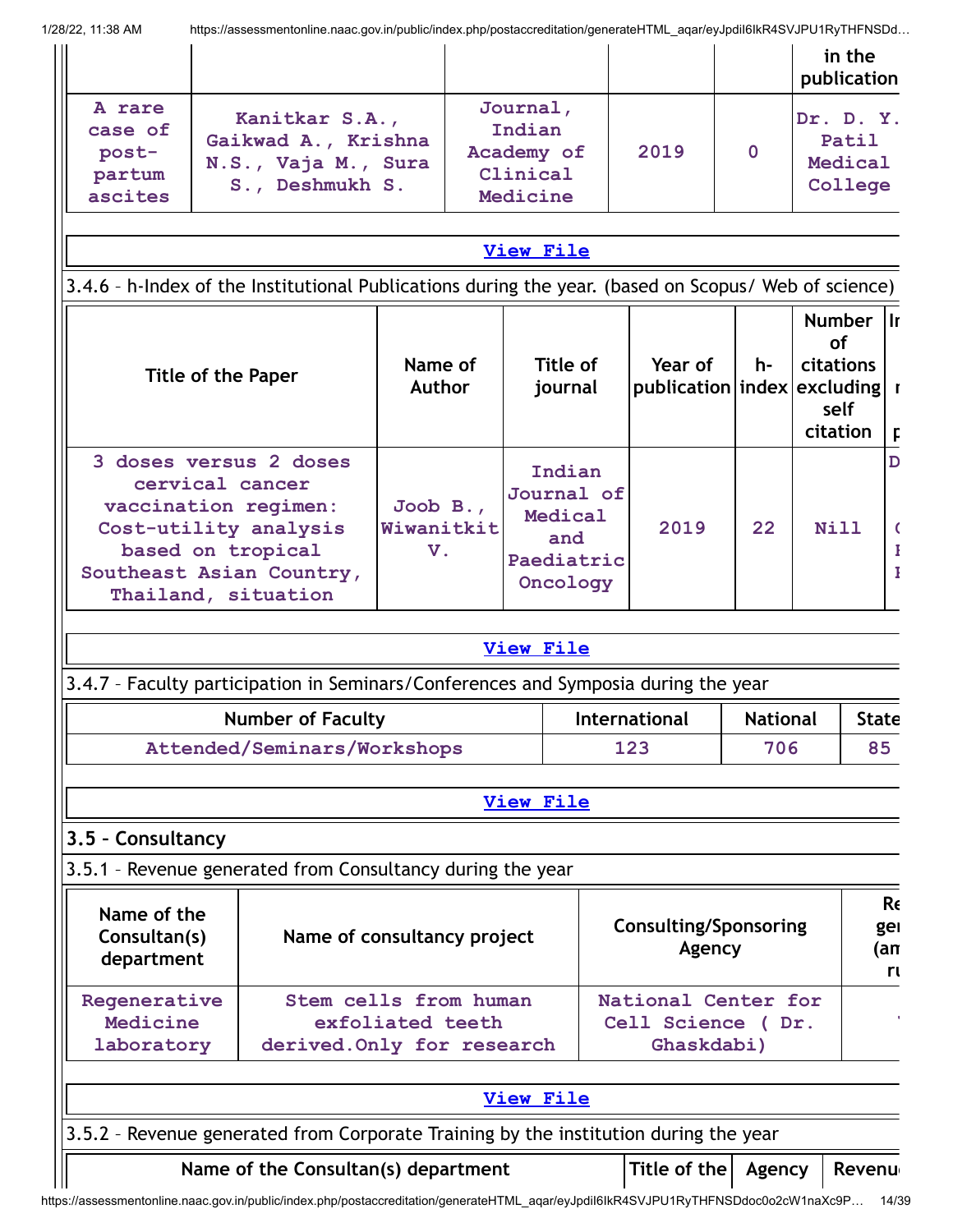|                                                 |                                                                                                                                                                    |                                                                         |                                                                  |                     |                                                        |                        | in the<br>publication                                   |                        |
|-------------------------------------------------|--------------------------------------------------------------------------------------------------------------------------------------------------------------------|-------------------------------------------------------------------------|------------------------------------------------------------------|---------------------|--------------------------------------------------------|------------------------|---------------------------------------------------------|------------------------|
| A rare<br>case of<br>post-<br>partum<br>ascites | Kanitkar S.A.,<br>Gaikwad A., Krishna<br>N.S., Vaja M., Sura<br>S., Deshmukh S.                                                                                    |                                                                         | Journal,<br>Indian<br>Academy of<br>Clinical<br>Medicine         |                     | 2019                                                   | 0                      | Dr. D. Y.<br>Patil<br>Medical<br>College                |                        |
|                                                 |                                                                                                                                                                    |                                                                         | <b>View File</b>                                                 |                     |                                                        |                        |                                                         |                        |
|                                                 | 3.4.6 - h-Index of the Institutional Publications during the year. (based on Scopus/ Web of science)                                                               |                                                                         |                                                                  |                     |                                                        |                        |                                                         |                        |
|                                                 | <b>Title of the Paper</b>                                                                                                                                          | Name of<br><b>Author</b>                                                |                                                                  | Title of<br>journal | Year of<br>publication index excluding r               | h-                     | Number II<br><b>of</b><br>citations<br>self<br>citation | F                      |
|                                                 | 3 doses versus 2 doses<br>cervical cancer<br>vaccination regimen:<br>Cost-utility analysis<br>based on tropical<br>Southeast Asian Country,<br>Thailand, situation | Joob $B.$ ,<br>Wiwanitkit<br>V.                                         | Indian<br>Journal of<br>Medical<br>and<br>Paediatric<br>Oncology |                     | 2019                                                   | 22                     | Nill                                                    |                        |
|                                                 |                                                                                                                                                                    |                                                                         | <b>View File</b>                                                 |                     |                                                        |                        |                                                         |                        |
|                                                 | 3.4.7 - Faculty participation in Seminars/Conferences and Symposia during the year                                                                                 |                                                                         |                                                                  |                     |                                                        |                        |                                                         |                        |
|                                                 |                                                                                                                                                                    |                                                                         |                                                                  |                     |                                                        |                        |                                                         |                        |
|                                                 | <b>Number of Faculty</b><br>Attended/Seminars/Workshops                                                                                                            |                                                                         |                                                                  |                     | International<br>123                                   | <b>National</b><br>706 |                                                         |                        |
|                                                 |                                                                                                                                                                    |                                                                         | <b>View File</b>                                                 |                     |                                                        |                        |                                                         |                        |
|                                                 |                                                                                                                                                                    |                                                                         |                                                                  |                     |                                                        |                        |                                                         | <b>State</b><br>85     |
| Name of the<br>Consultan(s)<br>department       | 3.5.1 - Revenue generated from Consultancy during the year                                                                                                         | Name of consultancy project                                             |                                                                  |                     | <b>Consulting/Sponsoring</b><br>Agency                 |                        |                                                         |                        |
| Regenerative<br>Medicine<br>laboratory          |                                                                                                                                                                    | Stem cells from human<br>exfoliated teeth<br>derived. Only for research |                                                                  |                     | National Center for<br>Cell Science (Dr.<br>Ghaskdabi) |                        |                                                         |                        |
| 3.5 - Consultancy                               |                                                                                                                                                                    |                                                                         | <b>View File</b>                                                 |                     |                                                        |                        |                                                         | Re<br>gel<br>(an<br>rı |
|                                                 | 3.5.2 - Revenue generated from Corporate Training by the institution during the year                                                                               |                                                                         |                                                                  |                     |                                                        |                        |                                                         |                        |

https://assessmentonline.naac.gov.in/public/index.php/postaccreditation/generateHTML\_aqar/eyJpdiI6IkR4SVJPU1RyTHFNSDdoc0o2cW1naXc9P… 14/39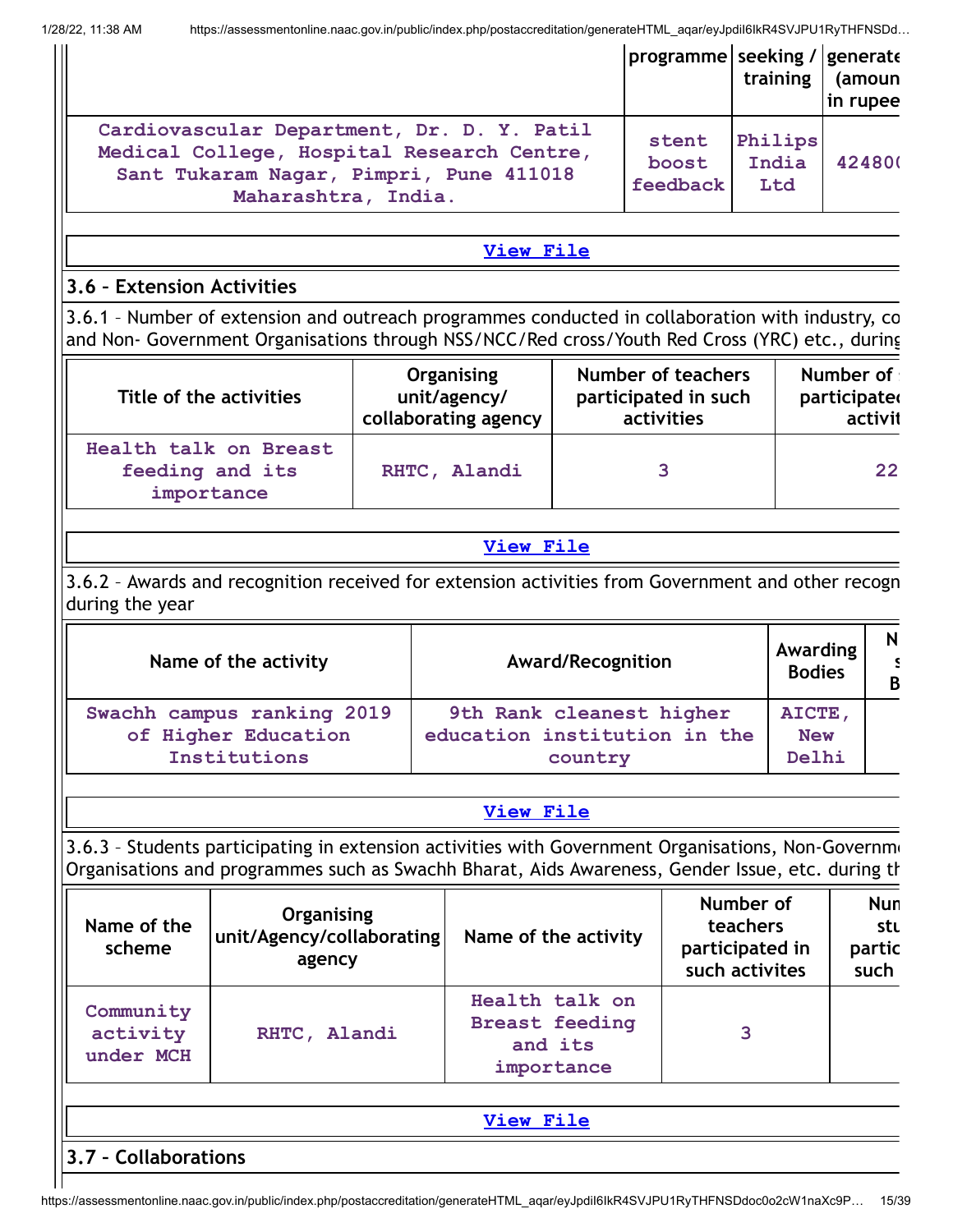|                                                                                                                                                            | programme seeking / generate | training                | (amoun<br>in rupee |
|------------------------------------------------------------------------------------------------------------------------------------------------------------|------------------------------|-------------------------|--------------------|
| Cardiovascular Department, Dr. D. Y. Patil<br>Medical College, Hospital Research Centre,<br>Sant Tukaram Nagar, Pimpri, Pune 411018<br>Maharashtra, India. | stent<br>boost<br>feedback   | Philips<br>India<br>Ltd | 424800             |

#### **[View](https://assessmentonline.naac.gov.in/public/Postacc/Revenue_from_corp_trng/10296_Revenue_from_corp_trng_1642500486.xlsx) File**

#### **3.6 – Extension Activities**

3.6.1 – Number of extension and outreach programmes conducted in collaboration with industry, co and Non- Government Organisations through NSS/NCC/Red cross/Youth Red Cross (YRC) etc., during

| Title of the activities                                | Organising           | <b>Number of teachers</b> | Number of    |
|--------------------------------------------------------|----------------------|---------------------------|--------------|
|                                                        | unit/agency/         | participated in such      | participated |
|                                                        | collaborating agency | activities                | activit      |
| Health talk on Breast<br>feeding and its<br>importance | RHTC, Alandi         | ર                         | 22           |

#### **[View](https://assessmentonline.naac.gov.in/public/Postacc/Extension/10296_Extension_1642680006.xlsx) File**

3.6.2 – Awards and recognition received for extension activities from Government and other recogn during the year

| Name of the activity       | <b>Award/Recognition</b>     | Awarding<br><b>Bodies</b> | $\overline{B}$ |
|----------------------------|------------------------------|---------------------------|----------------|
| Swachh campus ranking 2019 | 9th Rank cleanest higher     | AICTE,                    |                |
| of Higher Education        | education institution in the | <b>New</b>                |                |
| Institutions               | country                      | Delhi                     |                |

#### **[View](https://assessmentonline.naac.gov.in/public/Postacc/Awards_for_extension/10296_Awards_for_extension_1642574751.xlsx) File**

3.6.3 – Students participating in extension activities with Government Organisations, Non-Governme Organisations and programmes such as Swachh Bharat, Aids Awareness, Gender Issue, etc. during th

| Name of the<br>scheme              | Organising<br> unit/Agency/collaborating <br>agency | Name of the activity                                             | Number of<br>teachers<br>participated in<br>such activites | <b>Nun</b><br>stı<br>partic<br>such |
|------------------------------------|-----------------------------------------------------|------------------------------------------------------------------|------------------------------------------------------------|-------------------------------------|
| Community<br>activity<br>under MCH | RHTC, Alandi                                        | Health talk on<br><b>Breast feeding</b><br>and its<br>importance | 3                                                          |                                     |

| Te.<br>.<br>___ |
|-----------------|
|                 |

**3.7 – Collaborations**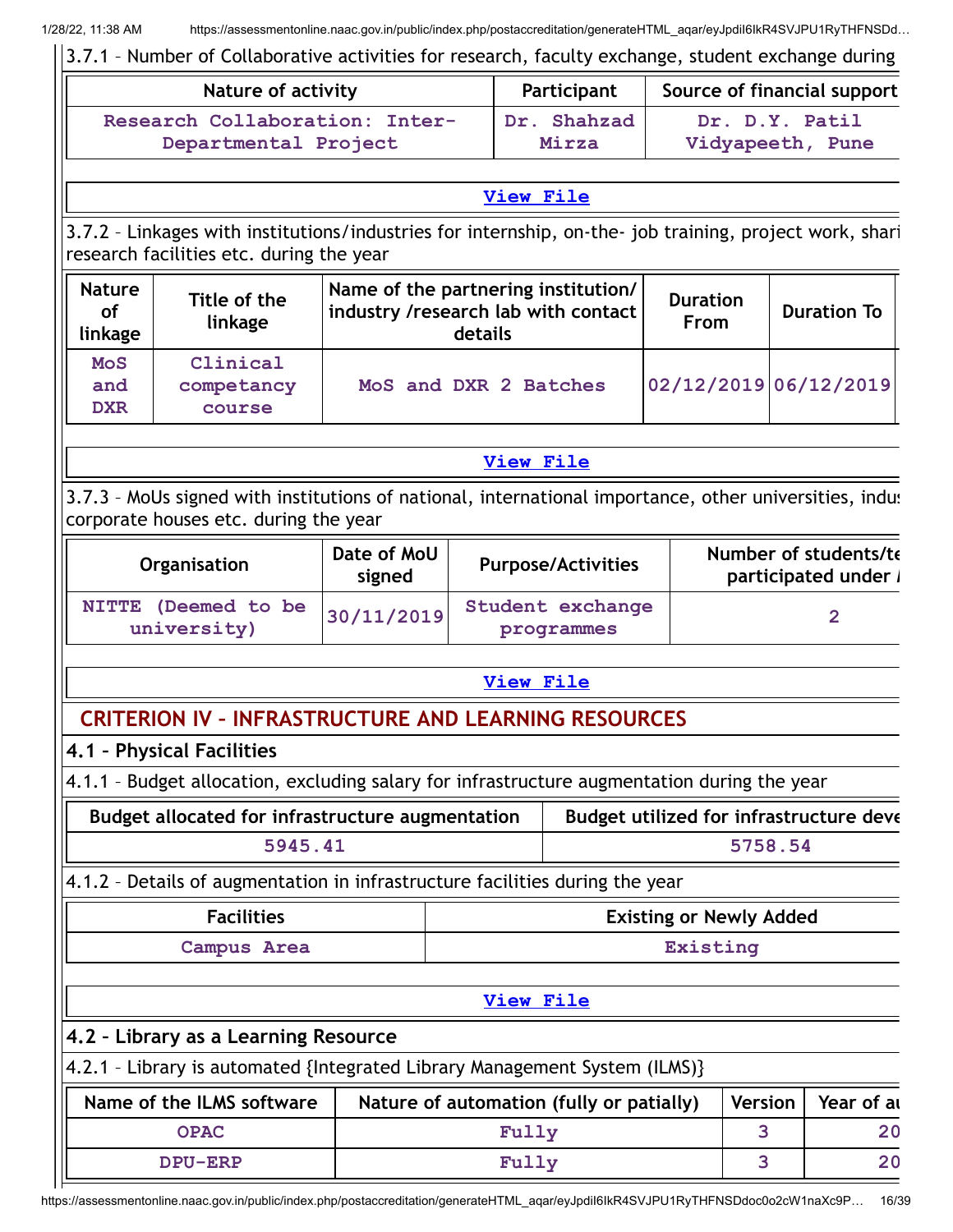3.7.1 – Number of Collaborative activities for research, faculty exchange, student exchange during **Nature of activity Participant Source of financial support Research Collaboration: Inter-Departmental Project Dr. Shahzad Mirza Dr. D.Y. Patil Vidyapeeth, Pune [View](https://assessmentonline.naac.gov.in/public/Postacc/Collab_activities/10296_Collab_activities_1642744989.xlsx) File** 3.7.2 – Linkages with institutions/industries for internship, on-the- job training, project work, shari research facilities etc. during the year **Nature of linkage Title of the linkage Name of the partnering institution/ industry /research lab with contact details Duration From Duration To MoS and DXR Clinical competancy course MoS and DXR 2 Batches 02/12/2019 06/12/2019 [View](https://assessmentonline.naac.gov.in/public/Postacc/Linkages/10296_Linkages_1642745306.xlsx) File** 3.7.3 – MoUs signed with institutions of national, international importance, other universities, indus corporate houses etc. during the year **Organisation Date of MoU signed Purpose/Activities Number of students/te participated under / NITTE (Deemed to be university) 30/11/2019 Student exchange programmes 2 [View](https://assessmentonline.naac.gov.in/public/Postacc/MoU/10296_MoU_1642745419.xlsx) File CRITERION IV – INFRASTRUCTURE AND LEARNING RESOURCES 4.1 – Physical Facilities** 4.1.1 – Budget allocation, excluding salary for infrastructure augmentation during the year **Budget allocated for infrastructure augmentation Budget utilized for infrastructure deve 5945.41 5758.54** 4.1.2 – Details of augmentation in infrastructure facilities during the year **Facilities Existing or Newly Added Campus Area Existing [View](https://assessmentonline.naac.gov.in/public/Postacc/augmentation_details/10296_augmentation_details_1638958243.xlsx) File 4.2 – Library as a Learning Resource** 4.2.1 – Library is automated {Integrated Library Management System (ILMS)} **Name of the ILMS software** | Nature of automation (fully or patially) | Version | Year of au **OPAC Fully 3 20 DPU-ERP Fully 3 20**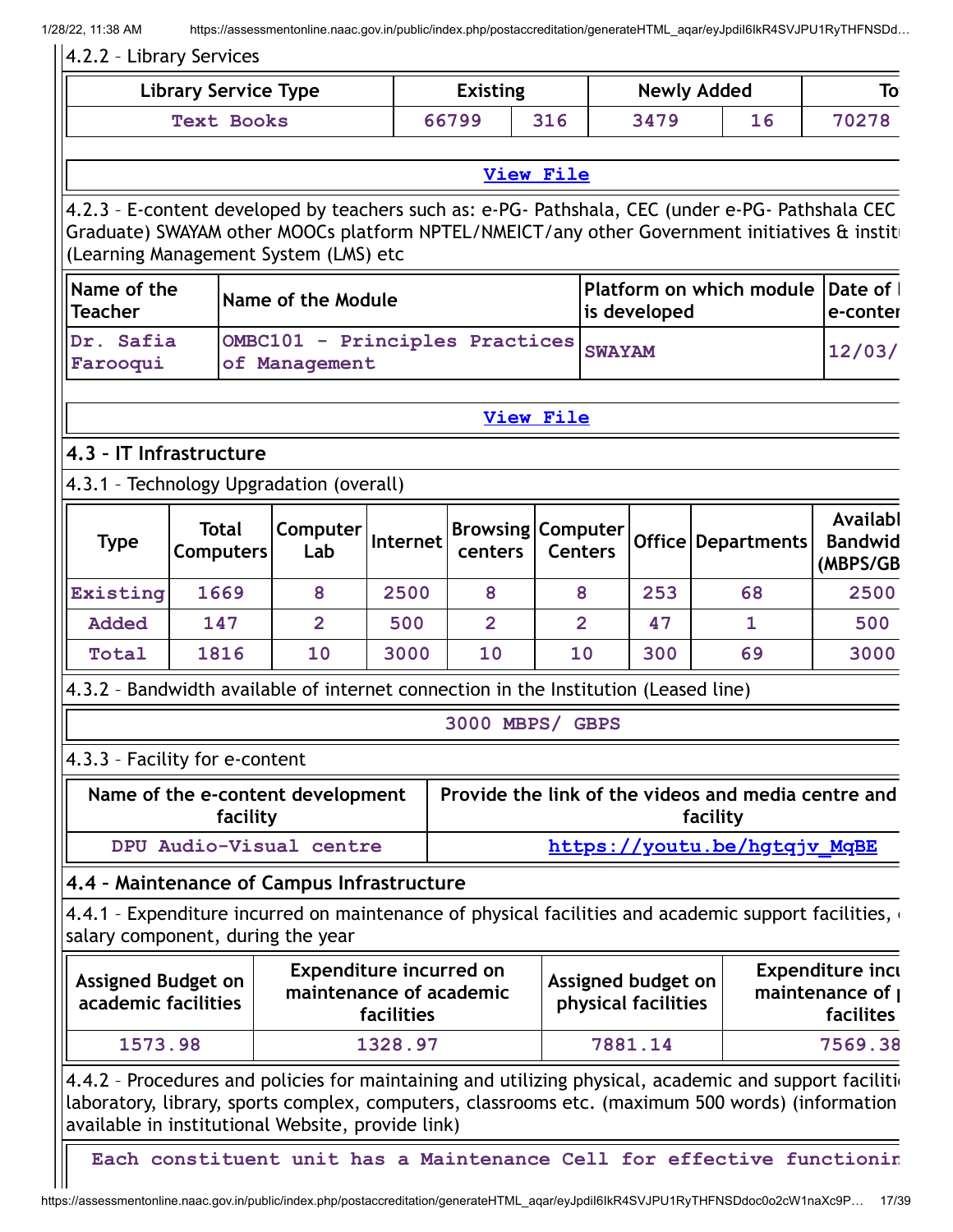#### 4.2.2 – Library Services

| Library Service Type | <b>Existing</b> |     | <b>Newly Added</b> |    |       |
|----------------------|-----------------|-----|--------------------|----|-------|
| <b>Text Books</b>    | 66799           | 316 | 3479               | 16 | 70278 |

#### **[View](https://assessmentonline.naac.gov.in/public/Postacc/Library/10296_Library_1643192098.xlsx) File**

4.2.3 – E-content developed by teachers such as: e-PG- Pathshala, CEC (under e-PG- Pathshala CEC Graduate) SWAYAM other MOOCs platform NPTEL/NMEICT/any other Government initiatives & institu (Learning Management System (LMS) etc

| Name of the<br><b>Teacher</b> | Name of the Module                                     | <b>Platform on which module Date of I</b><br>is developed | le-conter |
|-------------------------------|--------------------------------------------------------|-----------------------------------------------------------|-----------|
| Dr. Safia<br>Farooqui         | OMBC101 - Principles Practices SWAYAM<br>of Management |                                                           | 12/03/    |

#### **[View](https://assessmentonline.naac.gov.in/public/Postacc/e-content_by_teachers/10296_e-content_by_teachers_1643114687.xlsx) File**

#### **4.3 – IT Infrastructure**

#### 4.3.1 – Technology Upgradation (overall)

| <b>Type</b> | <b>Total</b><br><b>Computers</b> | <b>Computer</b><br>Lab | Internet | centers | <b>Browsing Computer</b><br><b>Centers</b> |     | Office   Departments | Availabl<br><b>Bandwid</b><br>(MBPS/GB |
|-------------|----------------------------------|------------------------|----------|---------|--------------------------------------------|-----|----------------------|----------------------------------------|
| Existing    | 1669                             | 8                      | 2500     | 8       | 8                                          | 253 | 68                   | 2500                                   |
| Added       | 147                              | 2                      | 500      | 2       | 2                                          | 47  |                      | 500                                    |
| Total       | 1816                             | <b>10</b>              | 3000     | 10      | <b>10</b>                                  | 300 | 69                   | 3000                                   |

4.3.2 – Bandwidth available of internet connection in the Institution (Leased line)

#### **3000 MBPS/ GBPS**

#### 4.3.3 – Facility for e-content

| Name of the e-content development | Provide the link of the videos and media centre and |
|-----------------------------------|-----------------------------------------------------|
| facility                          | facility                                            |
| DPU Audio-Visual centre           | https://youtu.be/hgtqjv MqBE                        |

#### **4.4 – Maintenance of Campus Infrastructure**

4.4.1 - Expenditure incurred on maintenance of physical facilities and academic support facilities, salary component, during the year

| <b>Assigned Budget on</b><br>academic facilities | <b>Expenditure incurred on</b><br>maintenance of academic<br><b>facilities</b> | Assigned budget on<br>physical facilities | <b>Expenditure incu</b><br>maintenance of I<br>facilites |
|--------------------------------------------------|--------------------------------------------------------------------------------|-------------------------------------------|----------------------------------------------------------|
| 1573.98                                          | 1328.97                                                                        | 7881.14                                   | 7569.38                                                  |

4.4.2 - Procedures and policies for maintaining and utilizing physical, academic and support facilition laboratory, library, sports complex, computers, classrooms etc. (maximum 500 words) (information available in institutional Website, provide link)

**Each constituent unit has a Maintenance Cell for effective functionin**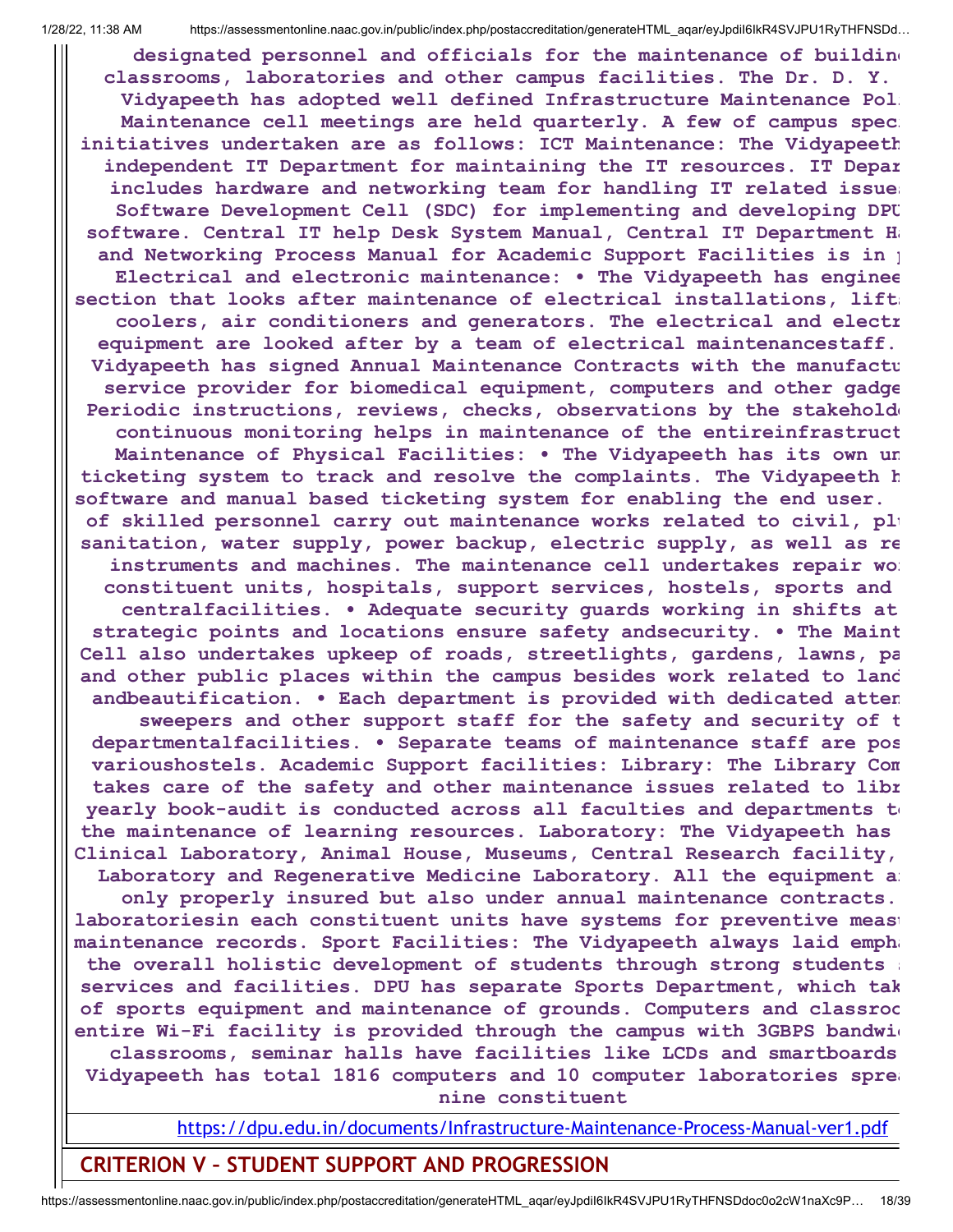**designated personnel and officials for the maintenance of building classrooms, laboratories and other campus facilities. The Dr. D. Y. Vidyapeeth has adopted well defined Infrastructure Maintenance Poli Maintenance cell meetings are held quarterly. A few of campus speci initiatives undertaken are as follows: ICT Maintenance: The Vidyapeeth independent IT Department for maintaining the IT resources. IT Depar includes hardware and networking team for handling IT related issues Software Development Cell (SDC) for implementing and developing DPU software. Central IT help Desk System Manual, Central IT Department Ha and Networking Process Manual for Academic Support Facilities is in p Electrical and electronic maintenance: • The Vidyapeeth has enginee section that looks after maintenance of electrical installations, lifts coolers, air conditioners and generators. The electrical and electr equipment are looked after by a team of electrical maintenancestaff. Vidyapeeth has signed Annual Maintenance Contracts with the manufactu service provider for biomedical equipment, computers and other gadge Periodic instructions, reviews, checks, observations by the stakeholde continuous monitoring helps in maintenance of the entireinfrastruct Maintenance of Physical Facilities: • The Vidyapeeth has its own un ticketing system to track and resolve the complaints. The Vidyapeeth h software and manual based ticketing system for enabling the end user. of skilled personnel carry out maintenance works related to civil, plu sanitation, water supply, power backup, electric supply, as well as re instruments and machines. The maintenance cell undertakes repair wor constituent units, hospitals, support services, hostels, sports and centralfacilities. • Adequate security guards working in shifts at strategic points and locations ensure safety andsecurity. • The Maint Cell also undertakes upkeep of roads, streetlights, gardens, lawns, pa and other public places within the campus besides work related to land andbeautification. • Each department is provided with dedicated atten sweepers and other support staff for the safety and security of t departmentalfacilities. • Separate teams of maintenance staff are pos varioushostels. Academic Support facilities: Library: The Library Com takes care of the safety and other maintenance issues related to libr yearly book-audit is conducted across all faculties and departments to the maintenance of learning resources. Laboratory: The Vidyapeeth has Clinical Laboratory, Animal House, Museums, Central Research facility, Laboratory and Regenerative Medicine Laboratory. All the equipment ar only properly insured but also under annual maintenance contracts. laboratoriesin each constituent units have systems for preventive measu maintenance records. Sport Facilities: The Vidyapeeth always laid empha the overall holistic development of students through strong students s services and facilities. DPU has separate Sports Department, which tak of sports equipment and maintenance of grounds. Computers and classroo entire Wi-Fi facility is provided through the campus with 3GBPS bandwid classrooms, seminar halls have facilities like LCDs and smartboards Vidyapeeth has total 1816 computers and 10 computer laboratories sprea nine constituent**

<https://dpu.edu.in/documents/Infrastructure-Maintenance-Process-Manual-ver1.pdf>

**CRITERION V – STUDENT SUPPORT AND PROGRESSION**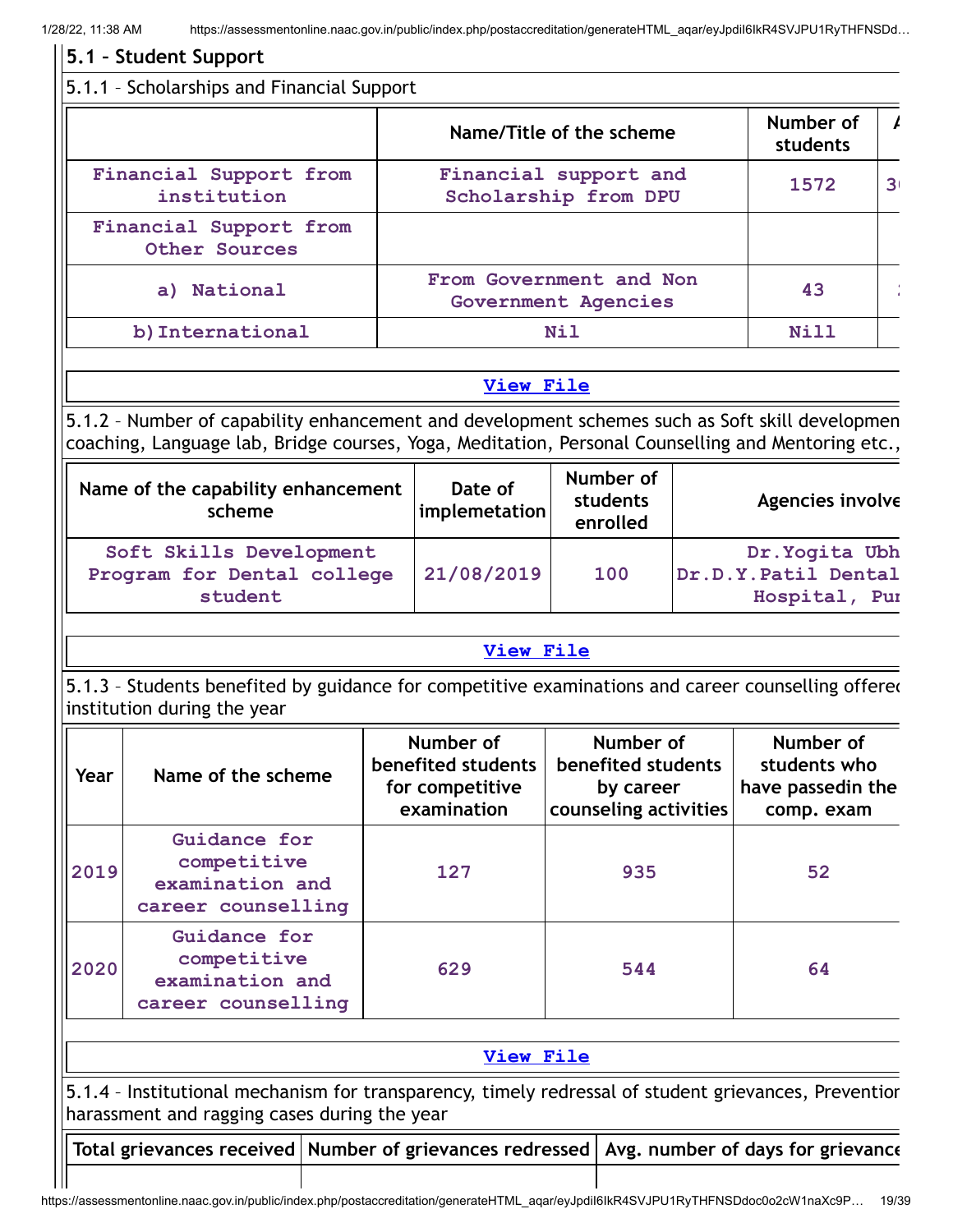|      |                                                                                                                                                                                                      | 5.1.1 - Scholarships and Financial Support |                                                                   |            |                                                                       |                                                              |                |
|------|------------------------------------------------------------------------------------------------------------------------------------------------------------------------------------------------------|--------------------------------------------|-------------------------------------------------------------------|------------|-----------------------------------------------------------------------|--------------------------------------------------------------|----------------|
|      |                                                                                                                                                                                                      |                                            | Name/Title of the scheme                                          |            |                                                                       | Number of<br>students                                        |                |
|      | Financial Support from<br>institution                                                                                                                                                                |                                            | Financial support and<br>Scholarship from DPU                     |            |                                                                       | 1572                                                         | 3 <sub>1</sub> |
|      | Financial Support from<br>Other Sources                                                                                                                                                              |                                            |                                                                   |            |                                                                       |                                                              |                |
|      | a) National                                                                                                                                                                                          |                                            | From Government and Non<br>Government Agencies                    |            |                                                                       | 43                                                           |                |
|      | b) International                                                                                                                                                                                     |                                            |                                                                   | <b>Nil</b> |                                                                       | Nill                                                         |                |
|      |                                                                                                                                                                                                      |                                            | View File                                                         |            |                                                                       |                                                              |                |
|      | 5.1.2 - Number of capability enhancement and development schemes such as Soft skill developmen<br>coaching, Language lab, Bridge courses, Yoga, Meditation, Personal Counselling and Mentoring etc., |                                            |                                                                   |            |                                                                       |                                                              |                |
|      | Name of the capability enhancement<br>scheme                                                                                                                                                         |                                            | Date of<br>implemetation                                          |            | Number of<br><b>students</b><br>enrolled                              | Agencies involve                                             |                |
|      | Soft Skills Development<br>Program for Dental college<br>student                                                                                                                                     |                                            | 21/08/2019                                                        |            | 100                                                                   | Dr. Yogita Ubh<br>Dr.D.Y.Patil Dental<br>Hospital, Pur       |                |
|      |                                                                                                                                                                                                      |                                            |                                                                   |            |                                                                       |                                                              |                |
|      |                                                                                                                                                                                                      |                                            | <b>View File</b>                                                  |            |                                                                       |                                                              |                |
|      | 5.1.3 - Students benefited by guidance for competitive examinations and career counselling offered<br>institution during the year                                                                    |                                            |                                                                   |            |                                                                       |                                                              |                |
| Year | Name of the scheme                                                                                                                                                                                   |                                            | Number of<br>benefited students<br>for competitive<br>examination |            | Number of<br>benefited students<br>by career<br>counseling activities | Number of<br>students who<br>have passedin the<br>comp. exam |                |
| 2019 | Guidance for<br>competitive<br>examination and<br>career counselling                                                                                                                                 |                                            | 127                                                               |            | 935                                                                   | 52                                                           |                |
| 2020 | Guidance for<br>competitive<br>examination and<br>career counselling                                                                                                                                 |                                            | 629                                                               |            | 544                                                                   | 64                                                           |                |
|      |                                                                                                                                                                                                      |                                            | View File                                                         |            |                                                                       |                                                              |                |
|      | 5.1.4 - Institutional mechanism for transparency, timely redressal of student grievances, Preventior<br>harassment and ragging cases during the year                                                 |                                            |                                                                   |            |                                                                       |                                                              |                |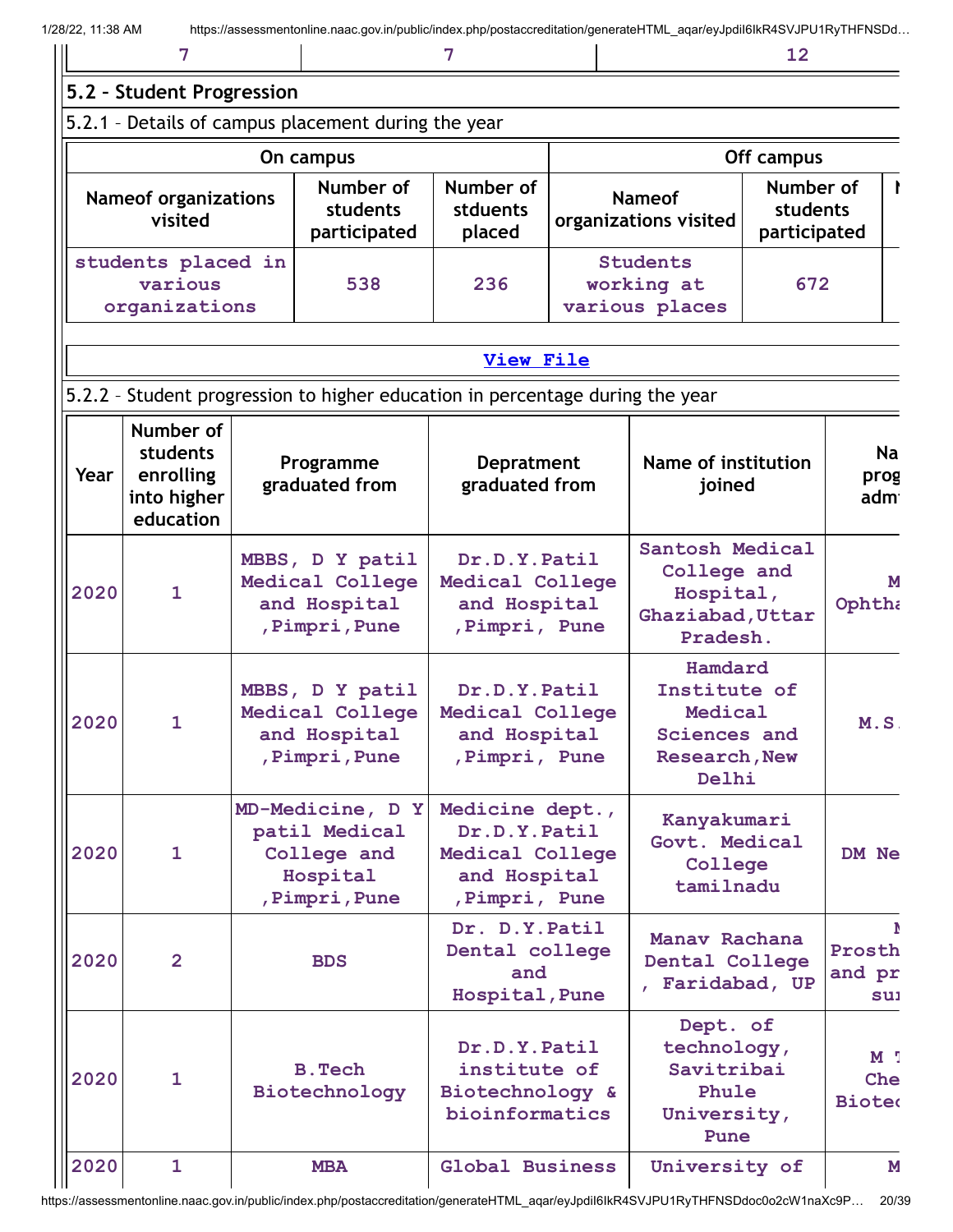|                                                     |                                       |                                 |                                                 | 12                                    |  |
|-----------------------------------------------------|---------------------------------------|---------------------------------|-------------------------------------------------|---------------------------------------|--|
| 5.2 - Student Progression                           |                                       |                                 |                                                 |                                       |  |
| 5.2.1 - Details of campus placement during the year |                                       |                                 |                                                 |                                       |  |
|                                                     | On campus                             |                                 | Off campus                                      |                                       |  |
| <b>Nameof organizations</b><br>visited              | Number of<br>students<br>participated | Number of<br>stduents<br>placed | <b>Nameof</b><br>organizations visited          | Number of<br>students<br>participated |  |
| students placed in<br>various<br>organizations      | 538                                   | 236                             | <b>Students</b><br>working at<br>various places | 672                                   |  |

## **[View](https://assessmentonline.naac.gov.in/public/Postacc/Placement/10296_Placement_1643197533.xlsx) File**

## 5.2.2 – Student progression to higher education in percentage during the year

| Year | Number of<br>students<br>enrolling<br>into higher<br>education | Programme<br>graduated from                                                    | <b>Depratment</b><br>graduated from                                                  | Name of institution<br>joined                                                       | <b>Na</b><br>prog<br>admi              |
|------|----------------------------------------------------------------|--------------------------------------------------------------------------------|--------------------------------------------------------------------------------------|-------------------------------------------------------------------------------------|----------------------------------------|
| 2020 | $\mathbf{1}$                                                   | MBBS, D Y patil<br>Medical College<br>and Hospital<br>, Pimpri, Pune           | Dr.D.Y.Patil<br>Medical College<br>and Hospital<br>, Pimpri, Pune                    | Santosh Medical<br>College and<br>Hospital,<br>Ghaziabad, Uttar<br>Pradesh.         | M<br>Ophtha                            |
| 2020 | $\mathbf{1}$                                                   | MBBS, D Y patil<br>Medical College<br>and Hospital<br>, Pimpri, Pune           | Dr.D.Y.Patil<br>Medical College<br>and Hospital<br>, Pimpri, Pune                    | Hamdard<br>Institute of<br>Medical<br>Sciences and<br><b>Research, New</b><br>Delhi | M.S.                                   |
| 2020 | $\mathbf{1}$                                                   | MD-Medicine, D Y<br>patil Medical<br>College and<br>Hospital<br>, Pimpri, Pune | Medicine dept.,<br>Dr.D.Y.Patil<br>Medical College<br>and Hospital<br>, Pimpri, Pune | Kanyakumari<br>Govt. Medical<br>College<br>tamilnadu                                | DM Ne                                  |
| 2020 | $\overline{2}$                                                 | <b>BDS</b>                                                                     | Dr. D.Y. Patil<br>Dental college<br>and<br>Hospital, Pune                            | Manav Rachana<br>Dental College<br>Faridabad, UP                                    | Prosth<br>and pr<br>sui                |
| 2020 | $\mathbf{1}$                                                   | <b>B. Tech</b><br>Biotechnology                                                | Dr.D.Y.Patil<br>institute of<br>Biotechnology &<br>bioinformatics                    | Dept. of<br>technology,<br>Savitribai<br>Phule<br>University,<br>Pune               | M <sub>1</sub><br>Che<br><b>Bioted</b> |
| 2020 | $\overline{1}$                                                 | <b>MBA</b>                                                                     | Global Business                                                                      | University of                                                                       | M                                      |

https://assessmentonline.naac.gov.in/public/index.php/postaccreditation/generateHTML\_aqar/eyJpdiI6IkR4SVJPU1RyTHFNSDdoc0o2cW1naXc9P… 20/39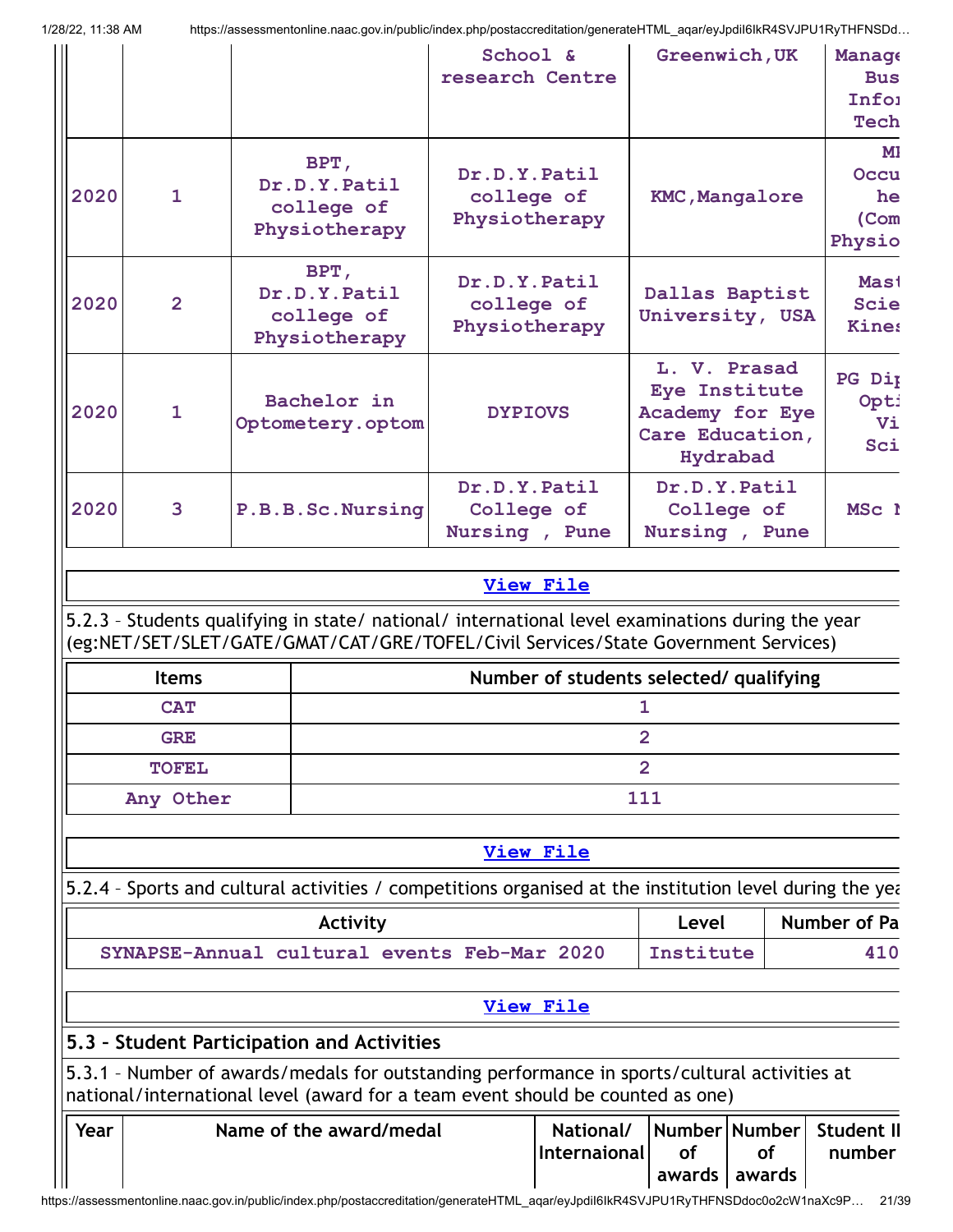| Year                                                     |                            | 5.3 - Student Participation and Activities<br>5.3.1 - Number of awards/medals for outstanding performance in sports/cultural activities at<br>national/international level (award for a team event should be counted as one)<br>Name of the award/medal |                                             | National/      | Number Number                               |                                                    | <b>Student II</b>                          |
|----------------------------------------------------------|----------------------------|---------------------------------------------------------------------------------------------------------------------------------------------------------------------------------------------------------------------------------------------------------|---------------------------------------------|----------------|---------------------------------------------|----------------------------------------------------|--------------------------------------------|
|                                                          |                            |                                                                                                                                                                                                                                                         |                                             |                |                                             |                                                    |                                            |
|                                                          |                            |                                                                                                                                                                                                                                                         |                                             |                |                                             |                                                    |                                            |
|                                                          |                            |                                                                                                                                                                                                                                                         | <b>View File</b>                            |                |                                             |                                                    |                                            |
| SYNAPSE-Annual cultural events Feb-Mar 2020<br>Institute |                            |                                                                                                                                                                                                                                                         |                                             | 410            |                                             |                                                    |                                            |
|                                                          |                            | 5.2.4 - Sports and cultural activities / competitions organised at the institution level during the year<br>Activity                                                                                                                                    |                                             |                | Level                                       |                                                    | Number of Pa                               |
|                                                          |                            |                                                                                                                                                                                                                                                         | View File                                   |                |                                             |                                                    |                                            |
|                                                          | Any Other                  |                                                                                                                                                                                                                                                         |                                             | 111            |                                             |                                                    |                                            |
|                                                          | <b>TOFEL</b>               |                                                                                                                                                                                                                                                         |                                             | $\overline{2}$ |                                             |                                                    |                                            |
|                                                          | <b>GRE</b>                 |                                                                                                                                                                                                                                                         |                                             | $\overline{2}$ |                                             |                                                    |                                            |
|                                                          | <b>Items</b><br><b>CAT</b> |                                                                                                                                                                                                                                                         | Number of students selected/ qualifying     | 1              |                                             |                                                    |                                            |
|                                                          |                            | 5.2.3 - Students qualifying in state/ national/ international level examinations during the year<br>(eg:NET/SET/SLET/GATE/GMAT/CAT/GRE/TOFEL/Civil Services/State Government Services)                                                                  | <b>View File</b>                            |                |                                             |                                                    |                                            |
|                                                          |                            |                                                                                                                                                                                                                                                         |                                             |                |                                             |                                                    |                                            |
| 2020                                                     | 3                          | P.B.B.Sc.Nursing                                                                                                                                                                                                                                        | Dr.D.Y.Patil<br>College of<br>Nursing, Pune |                | Dr.D.Y.Patil<br>College of<br>Nursing, Pune |                                                    | MSc 1                                      |
| 2020                                                     | $\mathbf{1}$               | Bachelor in<br>Optometery.optom                                                                                                                                                                                                                         | <b>DYPIOVS</b>                              |                | Eye Institute<br>Hydrabad                   | L. V. Prasad<br>Academy for Eye<br>Care Education, | PG Dip<br>Opti<br>Vi<br>Sci                |
| 2020                                                     | $\overline{2}$             | BPT,<br>Dr.D.Y.Patil<br>college of<br>Physiotherapy                                                                                                                                                                                                     | Dr.D.Y.Patil<br>college of<br>Physiotherapy |                |                                             | Dallas Baptist<br>University, USA                  | <b>Mast</b><br><b>Scie</b><br><b>Kines</b> |
| 2020                                                     | $\overline{1}$             | BPT,<br>Dr.D.Y.Patil<br>college of<br>Physiotherapy                                                                                                                                                                                                     | Dr.D.Y.Patil<br>college of<br>Physiotherapy |                | <b>KMC, Mangalore</b>                       |                                                    | MI.<br>Occu<br>he<br>(Com<br>Physio        |
|                                                          |                            |                                                                                                                                                                                                                                                         | School &<br>research Centre                 |                | Greenwich, UK                               |                                                    | Manage<br><b>Bus</b><br>Infoi<br>Tech      |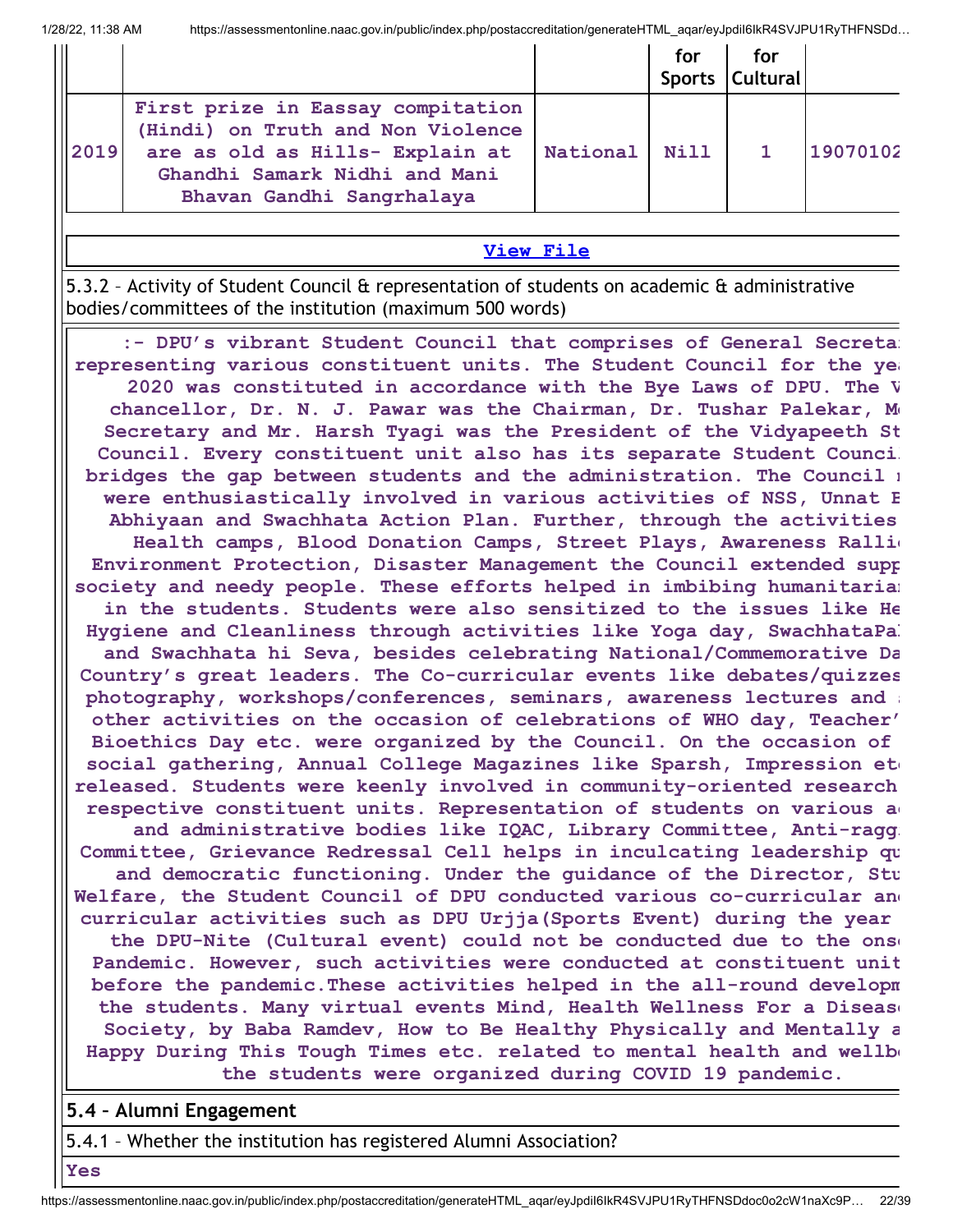|      |                                                                                                                                                                         |          | for  | for<br>Sports Cultural |          |
|------|-------------------------------------------------------------------------------------------------------------------------------------------------------------------------|----------|------|------------------------|----------|
| 2019 | First prize in Eassay compitation<br>(Hindi) on Truth and Non Violence<br>are as old as Hills- Explain at<br>Ghandhi Samark Nidhi and Mani<br>Bhavan Gandhi Sangrhalaya | National | Nill |                        | 19070102 |

#### **[View](https://assessmentonline.naac.gov.in/public/Postacc/awards_in_activities/10296_awards_in_activities_1642843712.xlsx) File**

5.3.2 – Activity of Student Council & representation of students on academic & administrative bodies/committees of the institution (maximum 500 words)

**:- DPU's vibrant Student Council that comprises of General Secretar representing various constituent units. The Student Council for the yea 2020 was constituted in accordance with the Bye Laws of DPU. The V chancellor, Dr. N. J. Pawar was the Chairman, Dr. Tushar Palekar, Me Secretary and Mr. Harsh Tyagi was the President of the Vidyapeeth St Council. Every constituent unit also has its separate Student Council bridges the gap between students and the administration. The Council m were enthusiastically involved in various activities of NSS, Unnat B Abhiyaan and Swachhata Action Plan. Further, through the activities Health camps, Blood Donation Camps, Street Plays, Awareness Rallie Environment Protection, Disaster Management the Council extended supp society and needy people. These efforts helped in imbibing humanitarian in the students. Students were also sensitized to the issues like He Hygiene and Cleanliness through activities like Yoga day, SwachhataPak and Swachhata hi Seva, besides celebrating National/Commemorative Da Country's great leaders. The Co-curricular events like debates/quizzes photography, workshops/conferences, seminars, awareness lectures and s other activities on the occasion of celebrations of WHO day, Teacher' Bioethics Day etc. were organized by the Council. On the occasion of social gathering, Annual College Magazines like Sparsh, Impression etc released. Students were keenly involved in community-oriented research respective constituent units. Representation of students on various ac and administrative bodies like IQAC, Library Committee, Anti-raggi Committee, Grievance Redressal Cell helps in inculcating leadership qu and democratic functioning. Under the guidance of the Director, Stu Welfare, the Student Council of DPU conducted various co-curricular and curricular activities such as DPU Urjja(Sports Event) during the year the DPU-Nite (Cultural event) could not be conducted due to the onse Pandemic. However, such activities were conducted at constituent unit before the pandemic.These activities helped in the all-round developm the students. Many virtual events Mind, Health Wellness For a Disease Society, by Baba Ramdev, How to Be Healthy Physically and Mentally a Happy During This Tough Times etc. related to mental health and wellbe the students were organized during COVID 19 pandemic.**

#### **5.4 – Alumni Engagement**

5.4.1 – Whether the institution has registered Alumni Association?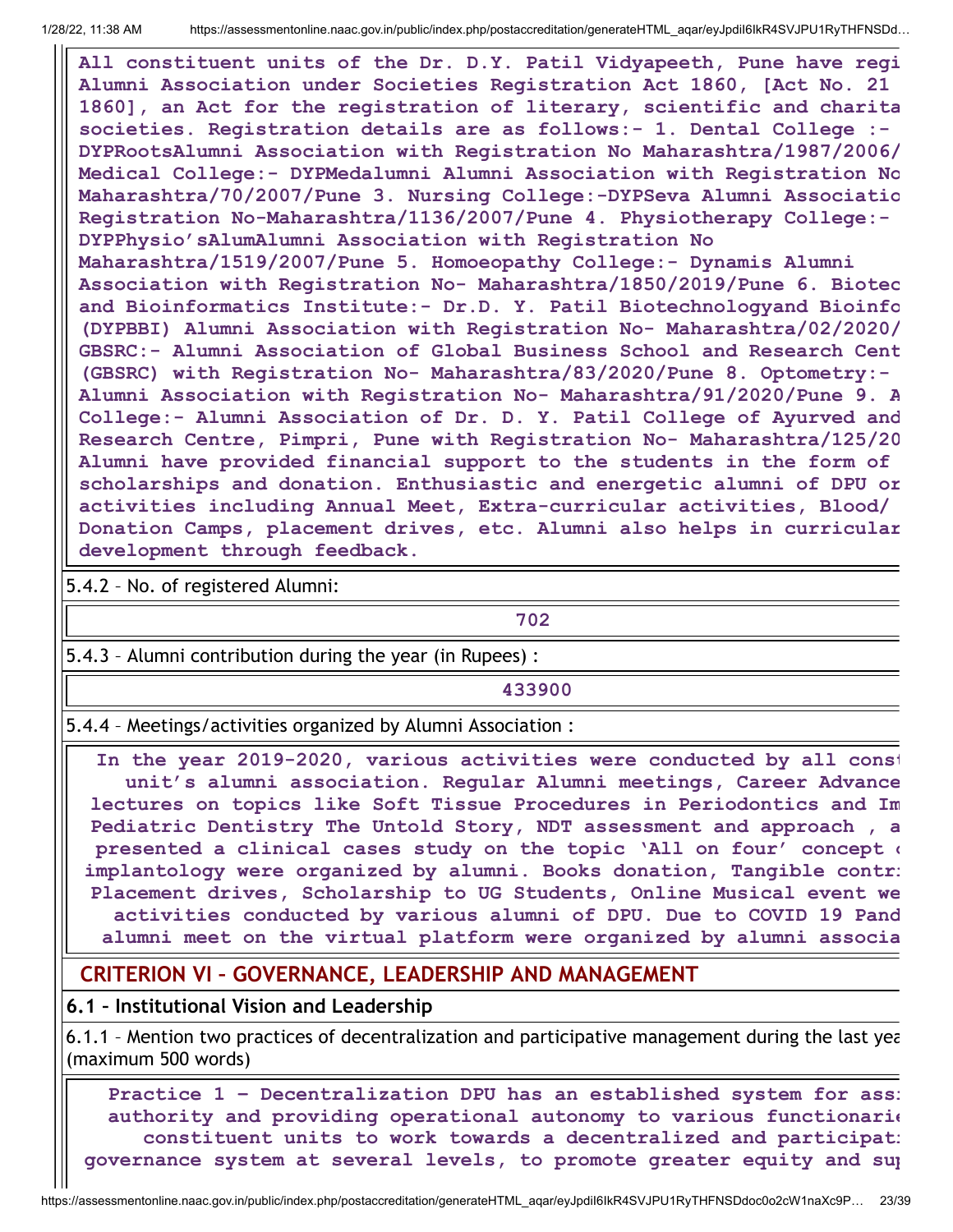**All constituent units of the Dr. D.Y. Patil Vidyapeeth, Pune have regi Alumni Association under Societies Registration Act 1860, [Act No. 21 1860], an Act for the registration of literary, scientific and charita societies. Registration details are as follows:- 1. Dental College :- DYPRootsAlumni Association with Registration No Maharashtra/1987/2006/ Medical College:- DYPMedalumni Alumni Association with Registration No Maharashtra/70/2007/Pune 3. Nursing College:-DYPSeva Alumni Associatio Registration No-Maharashtra/1136/2007/Pune 4. Physiotherapy College:- DYPPhysio'sAlumAlumni Association with Registration No Maharashtra/1519/2007/Pune 5. Homoeopathy College:- Dynamis Alumni Association with Registration No- Maharashtra/1850/2019/Pune 6. Biotec and Bioinformatics Institute:- Dr.D. Y. Patil Biotechnologyand Bioinfo (DYPBBI) Alumni Association with Registration No- Maharashtra/02/2020/ GBSRC:- Alumni Association of Global Business School and Research Cent (GBSRC) with Registration No- Maharashtra/83/2020/Pune 8. Optometry:- Alumni Association with Registration No- Maharashtra/91/2020/Pune 9. A College:- Alumni Association of Dr. D. Y. Patil College of Ayurved and Research Centre, Pimpri, Pune with Registration No- Maharashtra/125/20 Alumni have provided financial support to the students in the form of scholarships and donation. Enthusiastic and energetic alumni of DPU or activities including Annual Meet, Extra-curricular activities, Blood/ Donation Camps, placement drives, etc. Alumni also helps in curricular development through feedback.**

5.4.2 – No. of registered Alumni:

**702**

5.4.3 – Alumni contribution during the year (in Rupees) :

**433900**

5.4.4 – Meetings/activities organized by Alumni Association :

**In the year 2019-2020, various activities were conducted by all const unit's alumni association. Regular Alumni meetings, Career Advance lectures on topics like Soft Tissue Procedures in Periodontics and Im Pediatric Dentistry The Untold Story, NDT assessment and approach , a presented a clinical cases study on the topic 'All on four' concept o implantology were organized by alumni. Books donation, Tangible contri Placement drives, Scholarship to UG Students, Online Musical event we activities conducted by various alumni of DPU. Due to COVID 19 Pand alumni meet on the virtual platform were organized by alumni associa**

#### **CRITERION VI – GOVERNANCE, LEADERSHIP AND MANAGEMENT**

**6.1 – Institutional Vision and Leadership**

6.1.1 – Mention two practices of decentralization and participative management during the last yea (maximum 500 words)

**Practice 1 – Decentralization DPU has an established system for assi authority and providing operational autonomy to various functionarie constituent units to work towards a decentralized and participati governance system at several levels, to promote greater equity and sup**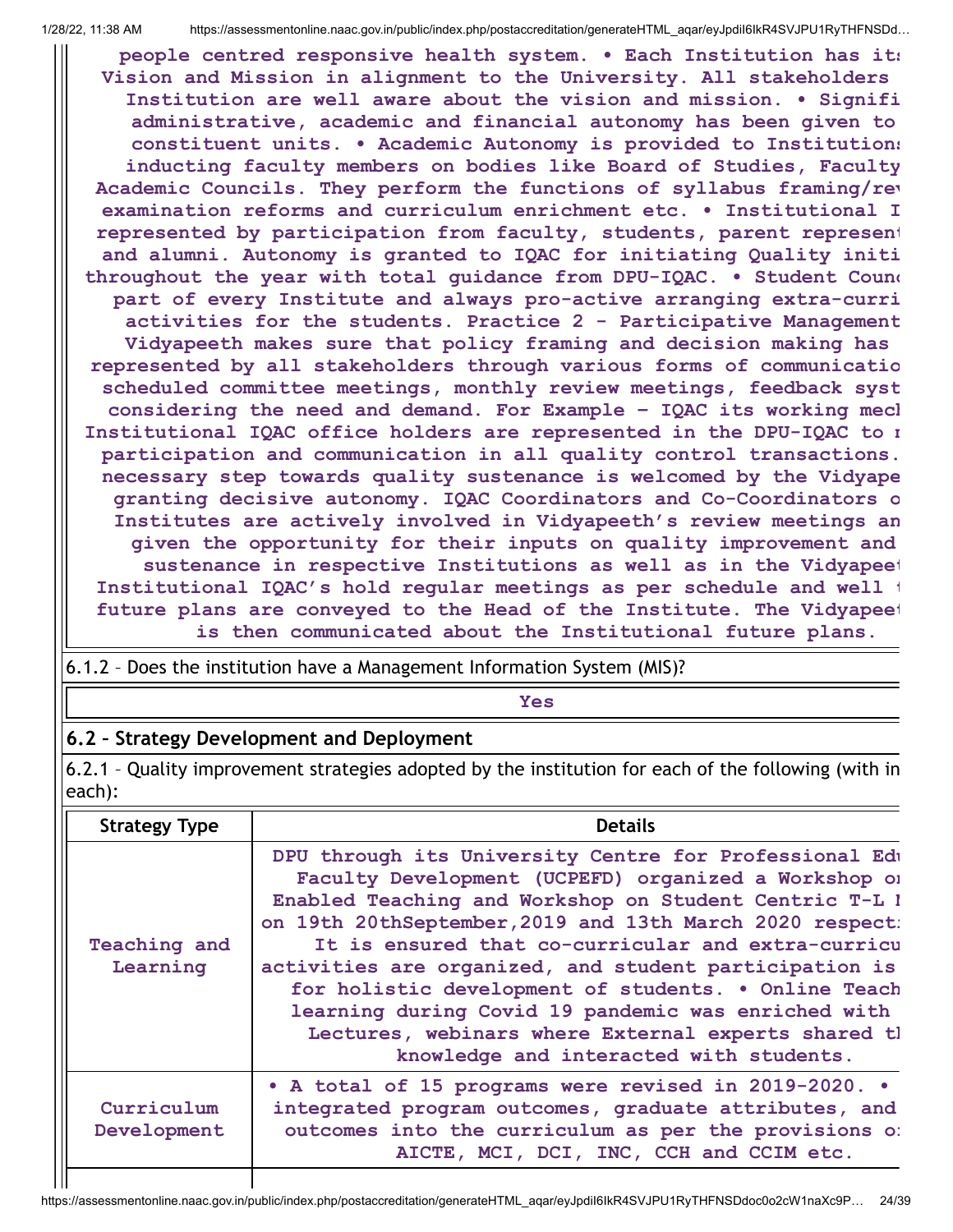$\blacksquare$ 

1/28/22, 11:38 AM https://assessmentonline.naac.gov.in/public/index.php/postaccreditation/generateHTML\_aqar/eyJpdiI6IkR4SVJPU1RyTHFNSDd…

**people centred responsive health system. • Each Institution has its Vision and Mission in alignment to the University. All stakeholders Institution are well aware about the vision and mission. • Signifi administrative, academic and financial autonomy has been given to constituent units. • Academic Autonomy is provided to Institutions inducting faculty members on bodies like Board of Studies, Faculty Academic Councils. They perform the functions of syllabus framing/rev examination reforms and curriculum enrichment etc. • Institutional I represented by participation from faculty, students, parent represent and alumni. Autonomy is granted to IQAC for initiating Quality initi throughout the year with total guidance from DPU-IQAC. • Student Counc part of every Institute and always pro-active arranging extra-curri activities for the students. Practice 2 - Participative Management Vidyapeeth makes sure that policy framing and decision making has represented by all stakeholders through various forms of communicatio scheduled committee meetings, monthly review meetings, feedback syst considering the need and demand. For Example – IQAC its working mech Institutional IQAC office holders are represented in the DPU-IQAC to m participation and communication in all quality control transactions. necessary step towards quality sustenance is welcomed by the Vidyape granting decisive autonomy. IQAC Coordinators and Co-Coordinators o Institutes are actively involved in Vidyapeeth's review meetings an given the opportunity for their inputs on quality improvement and sustenance in respective Institutions as well as in the Vidyapeet Institutional IQAC's hold regular meetings as per schedule and well t future plans are conveyed to the Head of the Institute. The Vidyapeet**

**is then communicated about the Institutional future plans.**

#### **Yes**

#### **6.2 – Strategy Development and Deployment**

6.2.1 – Quality improvement strategies adopted by the institution for each of the following (with in each):

| <b>Strategy Type</b>      | <b>Details</b>                                                                                                                                                                                                                                                                                                                                                                                                                                                                                                                                                        |
|---------------------------|-----------------------------------------------------------------------------------------------------------------------------------------------------------------------------------------------------------------------------------------------------------------------------------------------------------------------------------------------------------------------------------------------------------------------------------------------------------------------------------------------------------------------------------------------------------------------|
| Teaching and<br>Learning  | DPU through its University Centre for Professional Edu<br>Faculty Development (UCPEFD) organized a Workshop or<br>Enabled Teaching and Workshop on Student Centric T-L l<br>on 19th 20thSeptember, 2019 and 13th March 2020 respect:<br>It is ensured that co-curricular and extra-curricu<br>activities are organized, and student participation is<br>for holistic development of students. . Online Teach<br>learning during Covid 19 pandemic was enriched with<br>Lectures, webinars where External experts shared tl<br>knowledge and interacted with students. |
| Curriculum<br>Development | • A total of 15 programs were revised in 2019-2020. •<br>integrated program outcomes, graduate attributes, and<br>outcomes into the curriculum as per the provisions o:<br>AICTE, MCI, DCI, INC, CCH and CCIM etc.                                                                                                                                                                                                                                                                                                                                                    |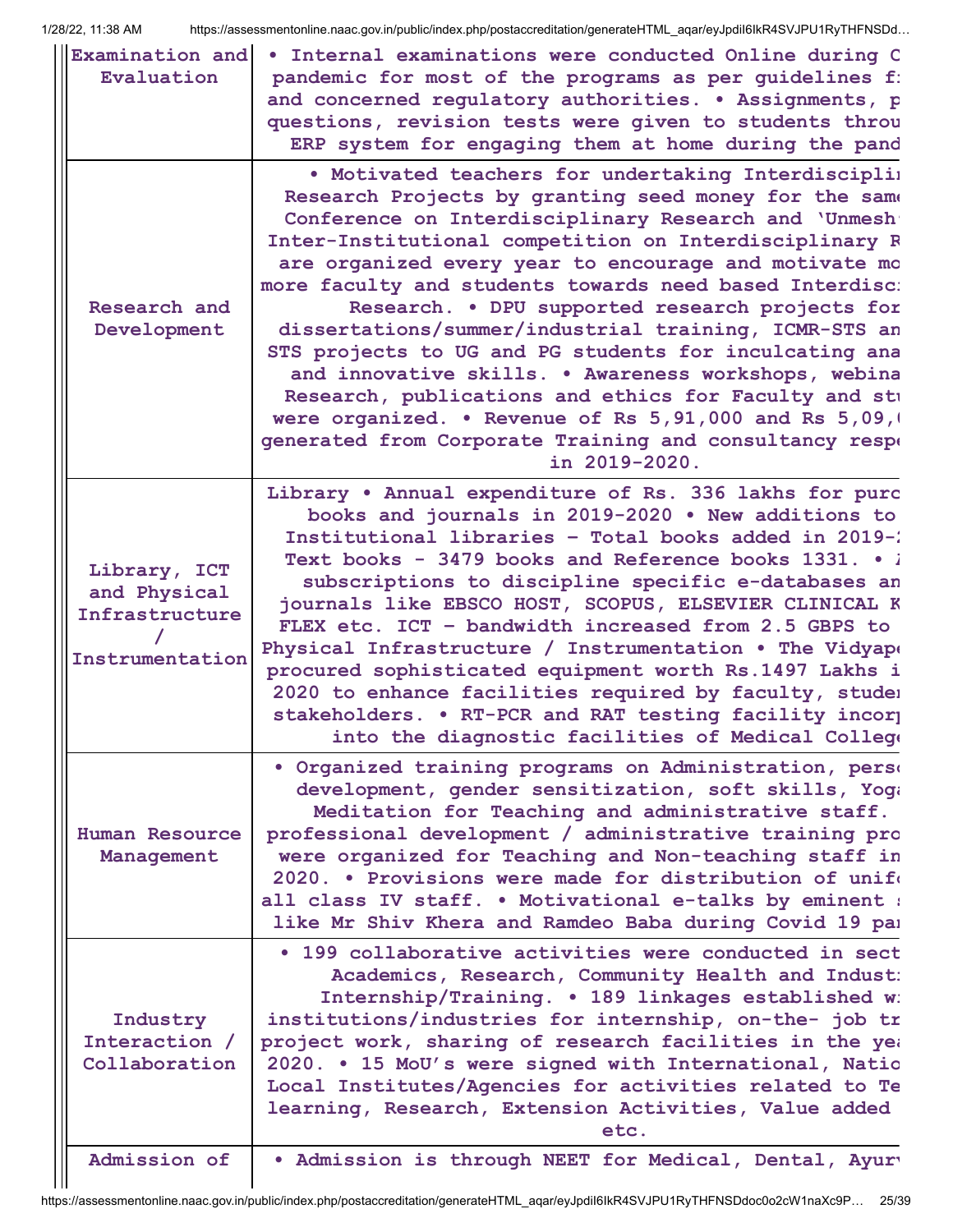| Examination and<br>Evaluation                                     | . Internal examinations were conducted Online during C<br>pandemic for most of the programs as per guidelines f:<br>and concerned regulatory authorities. . Assignments, p<br>questions, revision tests were given to students throu<br>ERP system for engaging them at home during the pand                                                                                                                                                                                                                                                                                                                                                                                                                                                                                         |
|-------------------------------------------------------------------|--------------------------------------------------------------------------------------------------------------------------------------------------------------------------------------------------------------------------------------------------------------------------------------------------------------------------------------------------------------------------------------------------------------------------------------------------------------------------------------------------------------------------------------------------------------------------------------------------------------------------------------------------------------------------------------------------------------------------------------------------------------------------------------|
| Research and<br>Development                                       | . Motivated teachers for undertaking Interdisciplin<br>Research Projects by granting seed money for the same<br>Conference on Interdisciplinary Research and 'Unmesh'<br>Inter-Institutional competition on Interdisciplinary R<br>are organized every year to encourage and motivate mo<br>more faculty and students towards need based Interdisc:<br>Research. . DPU supported research projects for<br>dissertations/summer/industrial training, ICMR-STS an<br>STS projects to UG and PG students for inculcating ana<br>and innovative skills. . Awareness workshops, webina<br>Research, publications and ethics for Faculty and stu<br>were organized. • Revenue of Rs 5, 91, 000 and Rs 5, 09, 0<br>generated from Corporate Training and consultancy respe<br>in 2019-2020. |
| Library, ICT<br>and Physical<br>Infrastructure<br>Instrumentation | Library . Annual expenditure of Rs. 336 lakhs for purc<br>books and journals in 2019-2020 . New additions to<br>Institutional libraries - Total books added in 2019-2<br>Text books - 3479 books and Reference books 1331. . i<br>subscriptions to discipline specific e-databases an<br>journals like EBSCO HOST, SCOPUS, ELSEVIER CLINICAL K<br>FLEX etc. ICT - bandwidth increased from 2.5 GBPS to<br>Physical Infrastructure / Instrumentation . The Vidyape<br>procured sophisticated equipment worth Rs.1497 Lakhs i<br>2020 to enhance facilities required by faculty, studem<br>stakeholders. . RT-PCR and RAT testing facility incorp<br>into the diagnostic facilities of Medical College                                                                                 |
| Human Resource<br>Management                                      | · Organized training programs on Administration, perse<br>development, gender sensitization, soft skills, Yoga<br>Meditation for Teaching and administrative staff.<br>professional development / administrative training pro<br>were organized for Teaching and Non-teaching staff in<br>2020. • Provisions were made for distribution of unife<br>all class IV staff. . Motivational e-talks by eminent :<br>like Mr Shiv Khera and Ramdeo Baba during Covid 19 par                                                                                                                                                                                                                                                                                                                |
| Industry<br>Interaction /<br>Collaboration                        | • 199 collaborative activities were conducted in sect<br>Academics, Research, Community Health and Indust:<br>Internship/Training. . 189 linkages established w:<br>institutions/industries for internship, on-the- job tr<br>project work, sharing of research facilities in the yea<br>2020. . 15 MoU's were signed with International, Natio<br>Local Institutes/Agencies for activities related to Te<br>learning, Research, Extension Activities, Value added<br>etc.                                                                                                                                                                                                                                                                                                           |
| Admission of                                                      | . Admission is through NEET for Medical, Dental, Ayury                                                                                                                                                                                                                                                                                                                                                                                                                                                                                                                                                                                                                                                                                                                               |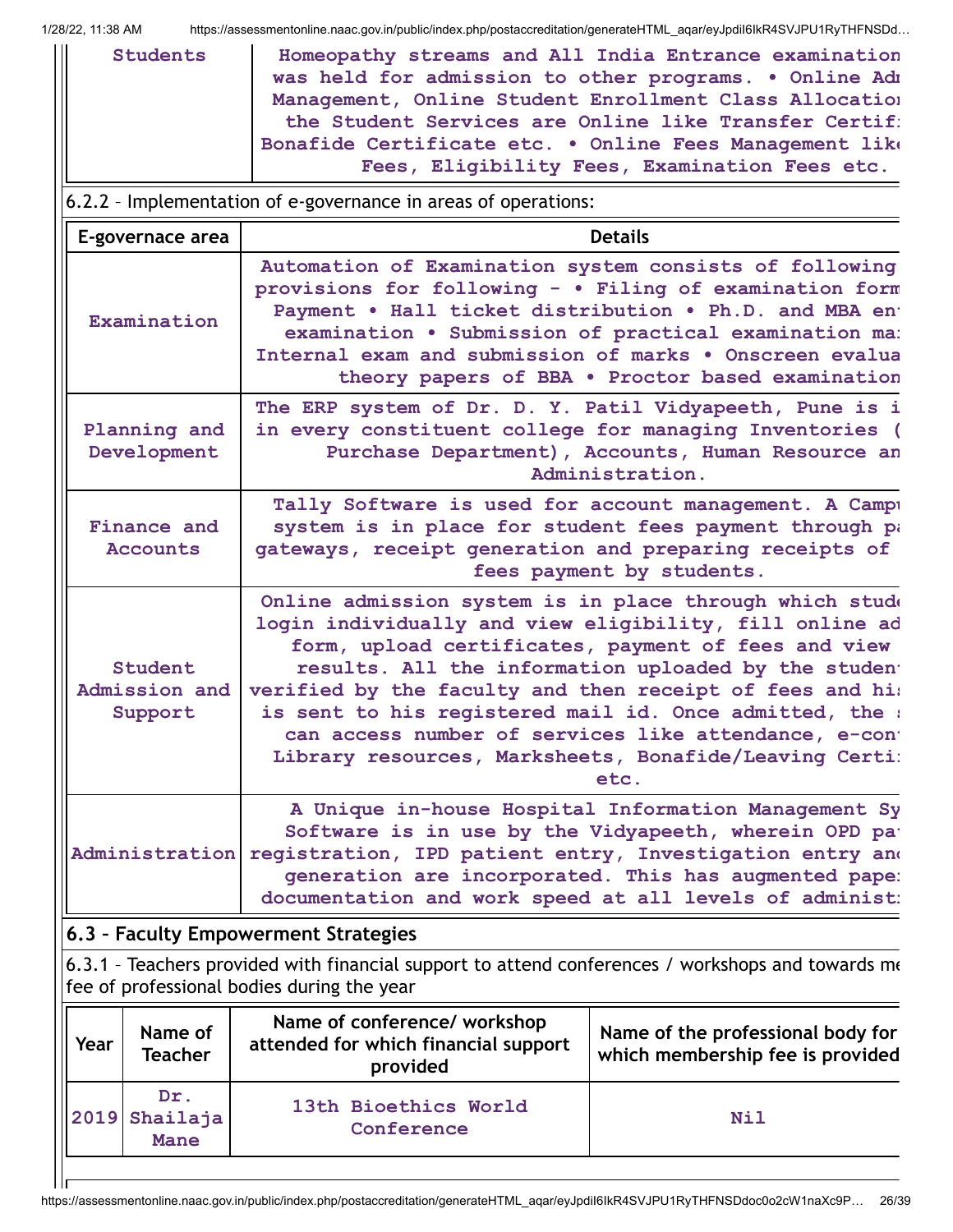| 1/28/22. 11:38 AM |  |
|-------------------|--|

l Ir

https://assessmentonline.naac.gov.in/public/index.php/postaccreditation/generateHTML\_aqar/eyJpdiI6IkR4SVJPU1RyTHFNSDd...

| <b>Students</b><br>Homeopathy streams and All India Entrance examination<br>was held for admission to other programs. . Online Adm<br>Management, Online Student Enrollment Class Allocation<br>the Student Services are Online like Transfer Certif:<br>Bonafide Certificate etc. . Online Fees Management like<br>Fees, Eligibility Fees, Examination Fees etc. |                                                                                                                                                                                                                                                                                                                                                                                                                                                                                     |                                                                                                           |  |  |  |
|-------------------------------------------------------------------------------------------------------------------------------------------------------------------------------------------------------------------------------------------------------------------------------------------------------------------------------------------------------------------|-------------------------------------------------------------------------------------------------------------------------------------------------------------------------------------------------------------------------------------------------------------------------------------------------------------------------------------------------------------------------------------------------------------------------------------------------------------------------------------|-----------------------------------------------------------------------------------------------------------|--|--|--|
|                                                                                                                                                                                                                                                                                                                                                                   | 6.2.2 - Implementation of e-governance in areas of operations:                                                                                                                                                                                                                                                                                                                                                                                                                      |                                                                                                           |  |  |  |
| E-governace area                                                                                                                                                                                                                                                                                                                                                  |                                                                                                                                                                                                                                                                                                                                                                                                                                                                                     | <b>Details</b>                                                                                            |  |  |  |
| Examination                                                                                                                                                                                                                                                                                                                                                       | Automation of Examination system consists of following<br>provisions for following - . Filing of examination form<br>Payment . Hall ticket distribution . Ph.D. and MBA ent<br>Internal exam and submission of marks . Onscreen evalua                                                                                                                                                                                                                                              | examination . Submission of practical examination ma:<br>theory papers of BBA . Proctor based examination |  |  |  |
| Planning and<br>Development                                                                                                                                                                                                                                                                                                                                       | The ERP system of Dr. D. Y. Patil Vidyapeeth, Pune is i<br>in every constituent college for managing Inventories (                                                                                                                                                                                                                                                                                                                                                                  | Purchase Department), Accounts, Human Resource an<br>Administration.                                      |  |  |  |
| Finance and<br><b>Accounts</b>                                                                                                                                                                                                                                                                                                                                    | Tally Software is used for account management. A Campu<br>system is in place for student fees payment through pa<br>gateways, receipt generation and preparing receipts of<br>fees payment by students.                                                                                                                                                                                                                                                                             |                                                                                                           |  |  |  |
| Student<br>Admission and<br>Support                                                                                                                                                                                                                                                                                                                               | Online admission system is in place through which stude<br>login individually and view eligibility, fill online ad<br>form, upload certificates, payment of fees and view<br>results. All the information uploaded by the student<br>verified by the faculty and then receipt of fees and his<br>is sent to his registered mail id. Once admitted, the :<br>can access number of services like attendance, e-cont<br>Library resources, Marksheets, Bonafide/Leaving Certi:<br>etc. |                                                                                                           |  |  |  |
| A Unique in-house Hospital Information Management Sy<br>Software is in use by the Vidyapeeth, wherein OPD pat<br>Administration<br>registration, IPD patient entry, Investigation entry and<br>generation are incorporated. This has augmented pape:<br>documentation and work speed at all levels of administ:                                                   |                                                                                                                                                                                                                                                                                                                                                                                                                                                                                     |                                                                                                           |  |  |  |
| 6.3 - Faculty Empowerment Strategies                                                                                                                                                                                                                                                                                                                              |                                                                                                                                                                                                                                                                                                                                                                                                                                                                                     |                                                                                                           |  |  |  |
|                                                                                                                                                                                                                                                                                                                                                                   | 6.3.1 - Teachers provided with financial support to attend conferences / workshops and towards me<br>fee of professional bodies during the year                                                                                                                                                                                                                                                                                                                                     |                                                                                                           |  |  |  |
| Name of<br>Year<br><b>Teacher</b>                                                                                                                                                                                                                                                                                                                                 | Name of conference/ workshop<br>attended for which financial support<br>provided                                                                                                                                                                                                                                                                                                                                                                                                    | Name of the professional body for<br>which membership fee is provided                                     |  |  |  |
| Dr.<br>Shailaja<br>2019<br><b>Mane</b>                                                                                                                                                                                                                                                                                                                            | 13th Bioethics World<br><b>Nil</b><br>Conference                                                                                                                                                                                                                                                                                                                                                                                                                                    |                                                                                                           |  |  |  |

https://assessmentonline.naac.gov.in/public/index.php/postaccreditation/generateHTML\_aqar/eyJpdiI6IkR4SVJPU1RyTHFNSDdoc0o2cW1naXc9P… 26/39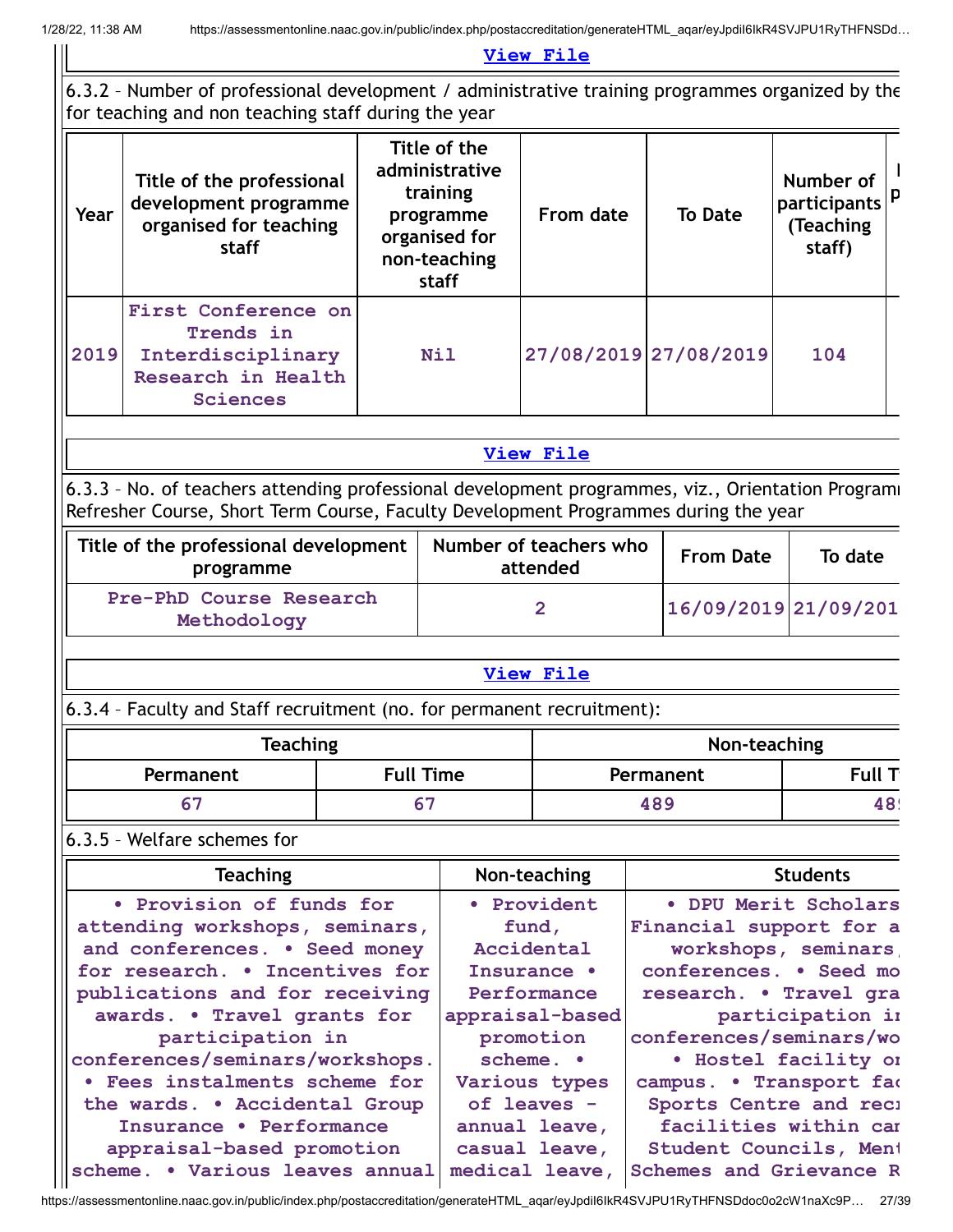#### **[View](https://assessmentonline.naac.gov.in/public/Postacc/Faculty_Emp/10296_Faculty_Emp_1642764131.xlsx) File**

#### 6.3.2 – Number of professional development / administrative training programmes organized by the for teaching and non teaching staff during the year **Year Title of the professional development programme organised for teaching staff Title of the administrative training programme organised for non-teaching staff From date To Date Number of participants (Teaching staff) N p 2019 First Conference on Trends in Interdisciplinary Research in Health Nil 27/08/2019 27/08/2019 104**

#### **[View](https://assessmentonline.naac.gov.in/public/Postacc/Development_training_programmes/10296_Development_training_programmes_1642765203.xlsx) File**

6.3.3 - No. of teachers attending professional development programmes, viz., Orientation Programi Refresher Course, Short Term Course, Faculty Development Programmes during the year

| Title of the professional development  <br>programme | Number of teachers who<br>attended | <b>From Date</b>     | To date |
|------------------------------------------------------|------------------------------------|----------------------|---------|
| Pre-PhD Course Research<br>Methodology               |                                    | 16/09/2019 21/09/201 |         |

#### **[View](https://assessmentonline.naac.gov.in/public/Postacc/Training_Programmes/10296_Training_Programmes_1642765222.xlsx) File**

## 6.3.4 – Faculty and Staff recruitment (no. for permanent recruitment):

| <b>Teaching</b> |                  | Non-teaching |               |
|-----------------|------------------|--------------|---------------|
| Permanent       | <b>Full Time</b> | Permanent    | <b>Full T</b> |
| 67              |                  | 489          |               |

## 6.3.5 – Welfare schemes for

**Sciences**

| <b>Teaching</b>                 | Non-teaching    | <b>Students</b>         |
|---------------------------------|-----------------|-------------------------|
| • Provision of funds for        | • Provident     | • DPU Merit Scholars    |
| attending workshops, seminars,  | fund,           | Financial support for a |
| and conferences. . Seed money   | Accidental      | workshops, seminars     |
| for research. . Incentives for  | Insurance .     | conferences. • Seed mo  |
| publications and for receiving  | Performance     | research. . Travel gra  |
| awards. . Travel grants for     | appraisal-based | participation in        |
| participation in                | promotion       | conferences/seminars/wo |
| conferences/seminars/workshops. | scheme. •       | . Hostel facility or    |
| • Fees instalments scheme for   | Various types   | campus. . Transport fac |
| the wards. . Accidental Group   | of leaves -     | Sports Centre and reci  |
| Insurance . Performance         | annual leave,   | facilities within car   |
| appraisal-based promotion       | casual leave,   | Student Councils, Ment  |
| scheme. . Various leaves annual | medical leave,  | Schemes and Grievance R |

https://assessmentonline.naac.gov.in/public/index.php/postaccreditation/generateHTML\_aqar/eyJpdiI6IkR4SVJPU1RyTHFNSDdoc0o2cW1naXc9P… 27/39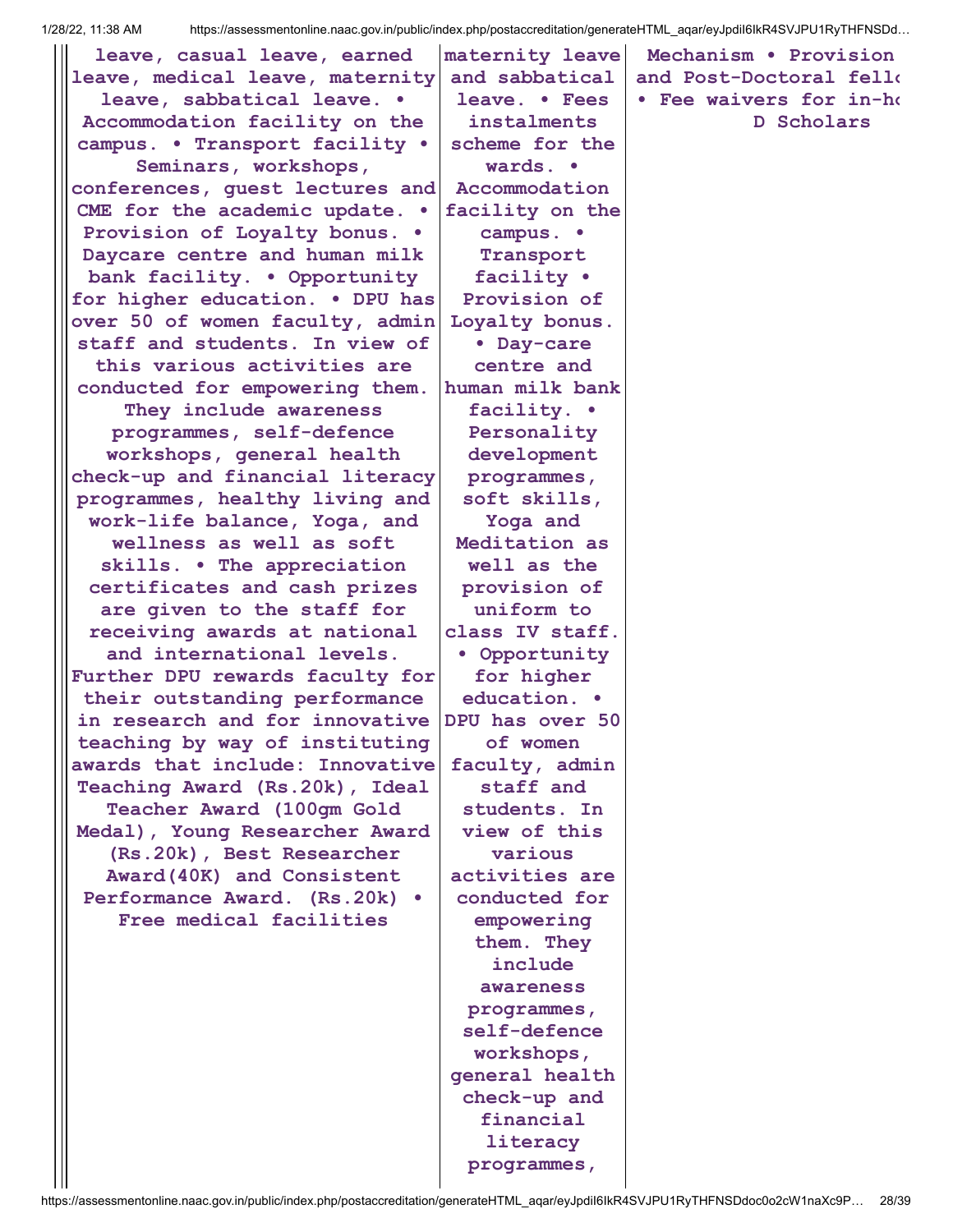| leave, casual leave, earned                                       | maternity leave             | Mechanism . Provision   |
|-------------------------------------------------------------------|-----------------------------|-------------------------|
| leave, medical leave, maternity                                   | and sabbatical              | and Post-Doctoral fello |
| leave, sabbatical leave. .                                        | leave. • Fees               | • Fee waivers for in-ho |
| Accommodation facility on the                                     | instalments                 | D Scholars              |
| campus. . Transport facility .                                    | scheme for the              |                         |
| Seminars, workshops,                                              | wards. •                    |                         |
| conferences, guest lectures and                                   | Accommodation               |                         |
| CME for the academic update. .                                    | facility on the             |                         |
| Provision of Loyalty bonus. .                                     | campus. •                   |                         |
| Daycare centre and human milk                                     | Transport                   |                         |
| bank facility. . Opportunity                                      | facility .                  |                         |
| for higher education. . DPU has                                   | Provision of                |                         |
| over 50 of women faculty, admin                                   | Loyalty bonus.              |                         |
| staff and students. In view of                                    | • Day-care                  |                         |
| this various activities are                                       | centre and                  |                         |
| conducted for empowering them.                                    | human milk bank             |                         |
| They include awareness                                            | facility. .                 |                         |
| programmes, self-defence<br>workshops, general health             | Personality<br>development  |                         |
|                                                                   |                             |                         |
| check-up and financial literacy<br>programmes, healthy living and | programmes,<br>soft skills, |                         |
| work-life balance, Yoga, and                                      | Yoga and                    |                         |
| wellness as well as soft                                          | Meditation as               |                         |
| skills. . The appreciation                                        | well as the                 |                         |
| certificates and cash prizes                                      | provision of                |                         |
| are given to the staff for                                        | uniform to                  |                         |
| receiving awards at national                                      | class IV staff.             |                         |
| and international levels.                                         | • Opportunity               |                         |
| Further DPU rewards faculty for                                   | for higher                  |                         |
| their outstanding performance                                     | education. .                |                         |
| in research and for innovative                                    | DPU has over 50             |                         |
| teaching by way of instituting                                    | of women                    |                         |
| awards that include: Innovative                                   | faculty, admin              |                         |
| Teaching Award (Rs.20k), Ideal                                    | staff and                   |                         |
| Teacher Award (100gm Gold                                         | students. In                |                         |
| Medal), Young Researcher Award                                    | view of this                |                         |
| (Rs.20k), Best Researcher                                         | various                     |                         |
| Award(40K) and Consistent                                         | activities are              |                         |
| Performance Award. (Rs.20k) .                                     | conducted for               |                         |
| Free medical facilities                                           | empowering                  |                         |
|                                                                   | them. They                  |                         |
|                                                                   | include                     |                         |
|                                                                   | awareness                   |                         |
|                                                                   | programmes,<br>self-defence |                         |
|                                                                   | workshops,                  |                         |
|                                                                   | general health              |                         |
|                                                                   | check-up and                |                         |
|                                                                   | financial                   |                         |
|                                                                   | literacy                    |                         |
|                                                                   | programmes,                 |                         |
|                                                                   |                             |                         |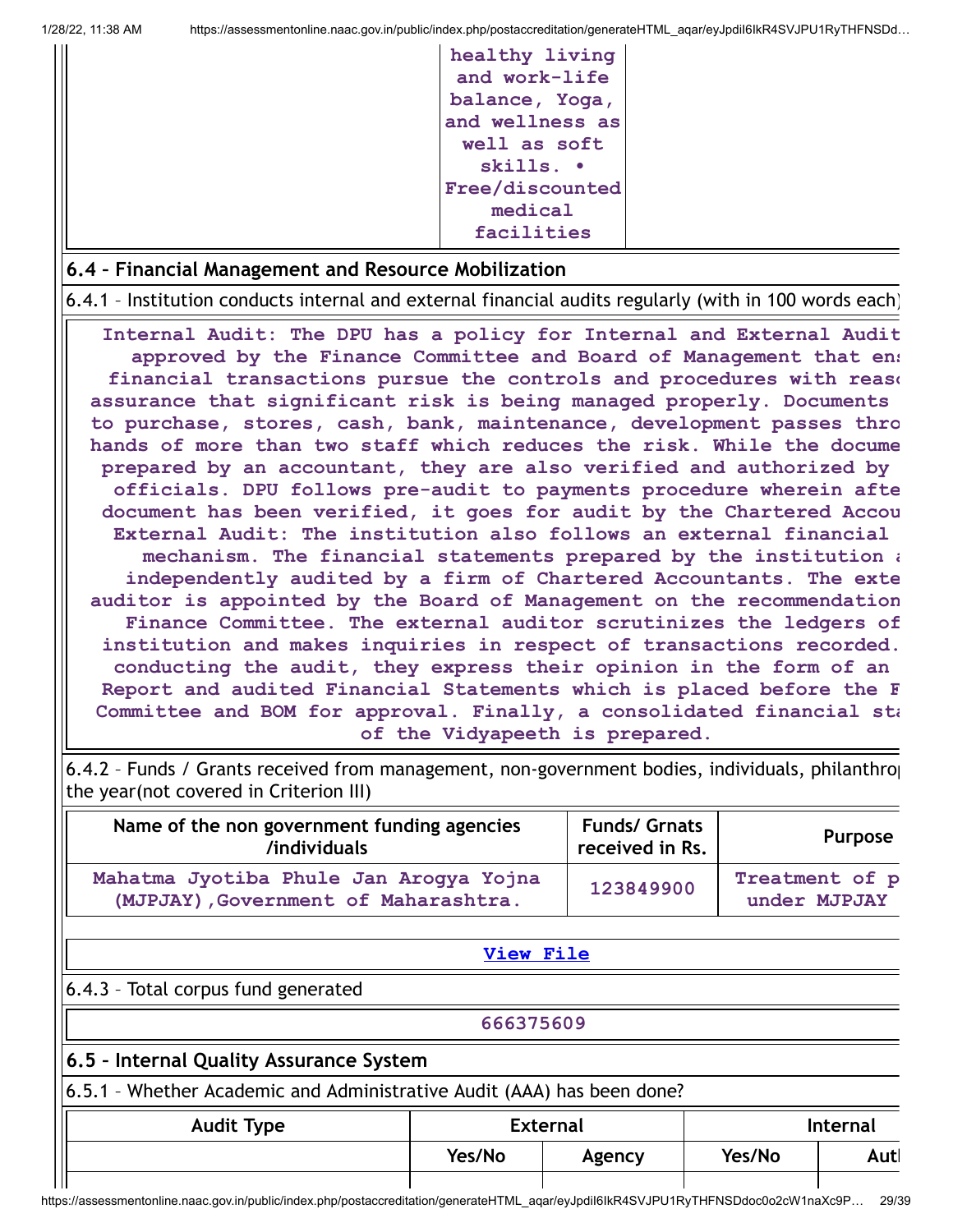| healthy living  |
|-----------------|
| and work-life   |
| balance, Yoga,  |
| and wellness as |
| well as soft    |
| $skills.$ .     |
| Free/discounted |
| medical         |
| facilities      |

#### **6.4 – Financial Management and Resource Mobilization**

6.4.1 – Institution conducts internal and external financial audits regularly (with in 100 words each)

**Internal Audit: The DPU has a policy for Internal and External Audit approved by the Finance Committee and Board of Management that ens financial transactions pursue the controls and procedures with reaso assurance that significant risk is being managed properly. Documents to purchase, stores, cash, bank, maintenance, development passes thro hands of more than two staff which reduces the risk. While the docume prepared by an accountant, they are also verified and authorized by officials. DPU follows pre-audit to payments procedure wherein afte document has been verified, it goes for audit by the Chartered Accou External Audit: The institution also follows an external financial mechanism. The financial statements prepared by the institution a independently audited by a firm of Chartered Accountants. The exte auditor is appointed by the Board of Management on the recommendation Finance Committee. The external auditor scrutinizes the ledgers of institution and makes inquiries in respect of transactions recorded. conducting the audit, they express their opinion in the form of an Report and audited Financial Statements which is placed before the F Committee and BOM for approval. Finally, a consolidated financial sta of the Vidyapeeth is prepared.**

6.4.2 – Funds / Grants received from management, non-government bodies, individuals, philanthrop the year(not covered in Criterion III)

| Name of the non government funding agencies<br>/individuals                    | <b>Funds/ Grnats</b><br>received in Rs. | <b>Purpose</b>                 |
|--------------------------------------------------------------------------------|-----------------------------------------|--------------------------------|
| Mahatma Jyotiba Phule Jan Arogya Yojna<br>(MJPJAY), Government of Maharashtra. | 123849900                               | Treatment of p<br>under MJPJAY |

**[View](https://assessmentonline.naac.gov.in/public/Postacc/Funds_or_Grants/10296_Funds_or_Grants_1642852501.xlsx) File**

#### 6.4.3 – Total corpus fund generated

**666375609**

## **6.5 – Internal Quality Assurance System**

6.5.1 – Whether Academic and Administrative Audit (AAA) has been done?

| <b>Audit Type</b> | <b>External</b> |        |        | <b>Internal</b> |
|-------------------|-----------------|--------|--------|-----------------|
|                   | Yes/No          | Agency | Yes/No | Autl            |
|                   |                 |        |        |                 |

https://assessmentonline.naac.gov.in/public/index.php/postaccreditation/generateHTML\_aqar/eyJpdiI6IkR4SVJPU1RyTHFNSDdoc0o2cW1naXc9P… 29/39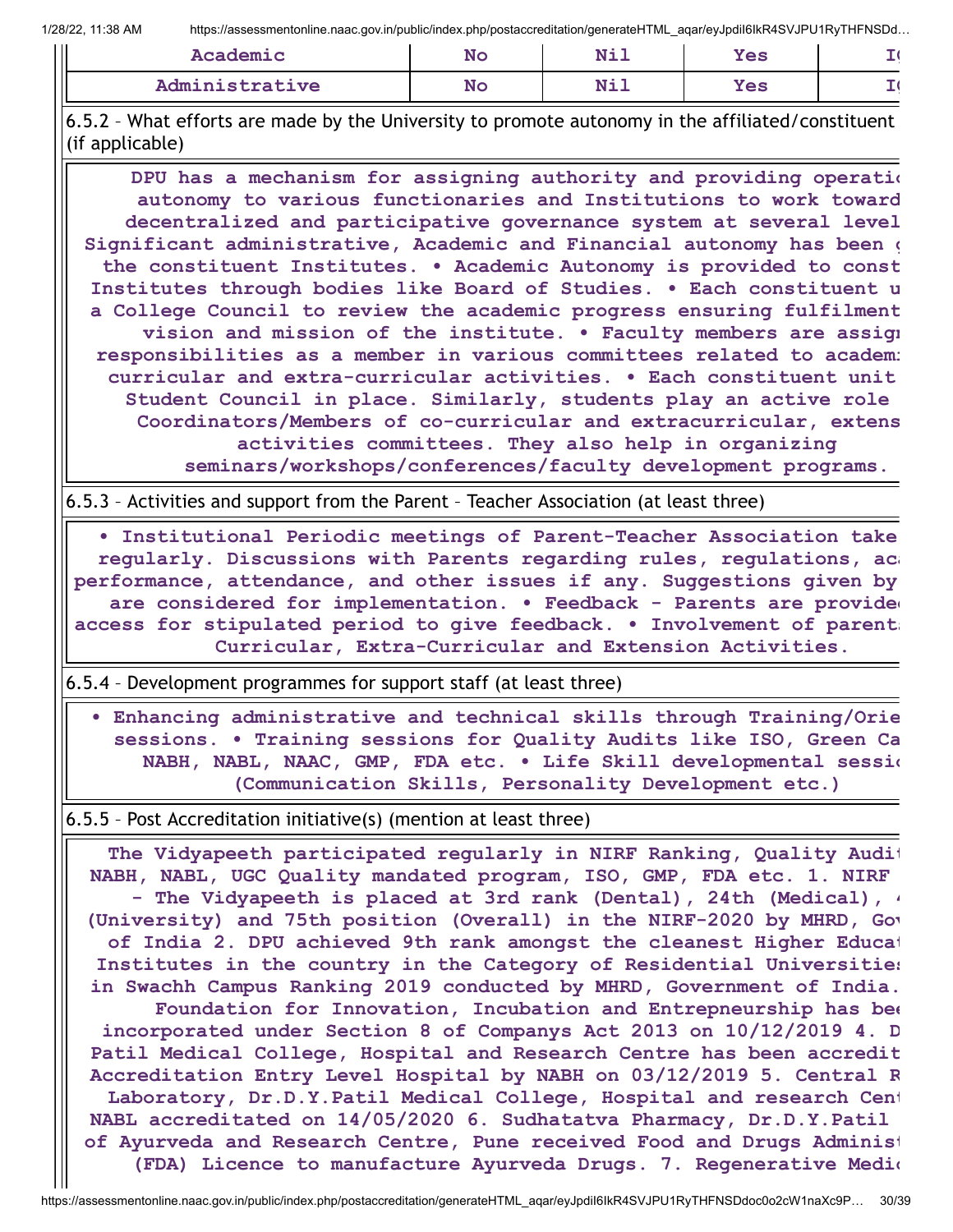| Academic       | No | $N + 1$ | <b>Yes</b> |  |
|----------------|----|---------|------------|--|
| Administrative | No | Nil     | Yes        |  |

6.5.2 – What efforts are made by the University to promote autonomy in the affiliated/constituent (if applicable)

**DPU has a mechanism for assigning authority and providing operatio autonomy to various functionaries and Institutions to work toward decentralized and participative governance system at several level Significant administrative, Academic and Financial autonomy has been g the constituent Institutes. • Academic Autonomy is provided to const Institutes through bodies like Board of Studies. • Each constituent u a College Council to review the academic progress ensuring fulfilment vision and mission of the institute. • Faculty members are assign responsibilities as a member in various committees related to academi curricular and extra-curricular activities. • Each constituent unit Student Council in place. Similarly, students play an active role Coordinators/Members of co-curricular and extracurricular, extens activities committees. They also help in organizing seminars/workshops/conferences/faculty development programs.**

6.5.3 – Activities and support from the Parent – Teacher Association (at least three)

**• Institutional Periodic meetings of Parent-Teacher Association take regularly. Discussions with Parents regarding rules, regulations, aca performance, attendance, and other issues if any. Suggestions given by are considered for implementation. • Feedback - Parents are provided access for stipulated period to give feedback. • Involvement of parents Curricular, Extra-Curricular and Extension Activities.**

6.5.4 – Development programmes for support staff (at least three)

**• Enhancing administrative and technical skills through Training/Orie sessions. • Training sessions for Quality Audits like ISO, Green Ca NABH, NABL, NAAC, GMP, FDA etc. • Life Skill developmental sessio (Communication Skills, Personality Development etc.)**

6.5.5 – Post Accreditation initiative(s) (mention at least three)

**The Vidyapeeth participated regularly in NIRF Ranking, Quality Audit NABH, NABL, UGC Quality mandated program, ISO, GMP, FDA etc. 1. NIRF - The Vidyapeeth is placed at 3rd rank (Dental), 24th (Medical), 4 (University) and 75th position (Overall) in the NIRF-2020 by MHRD, Gov of India 2. DPU achieved 9th rank amongst the cleanest Higher Educat Institutes in the country in the Category of Residential Universities in Swachh Campus Ranking 2019 conducted by MHRD, Government of India. Foundation for Innovation, Incubation and Entrepneurship has bee incorporated under Section 8 of Companys Act 2013 on 10/12/2019 4. D Patil Medical College, Hospital and Research Centre has been accredit Accreditation Entry Level Hospital by NABH on 03/12/2019 5. Central R Laboratory, Dr.D.Y.Patil Medical College, Hospital and research Cent NABL accreditated on 14/05/2020 6. Sudhatatva Pharmacy, Dr.D.Y.Patil of Ayurveda and Research Centre, Pune received Food and Drugs Administ (FDA) Licence to manufacture Ayurveda Drugs. 7. Regenerative Medic**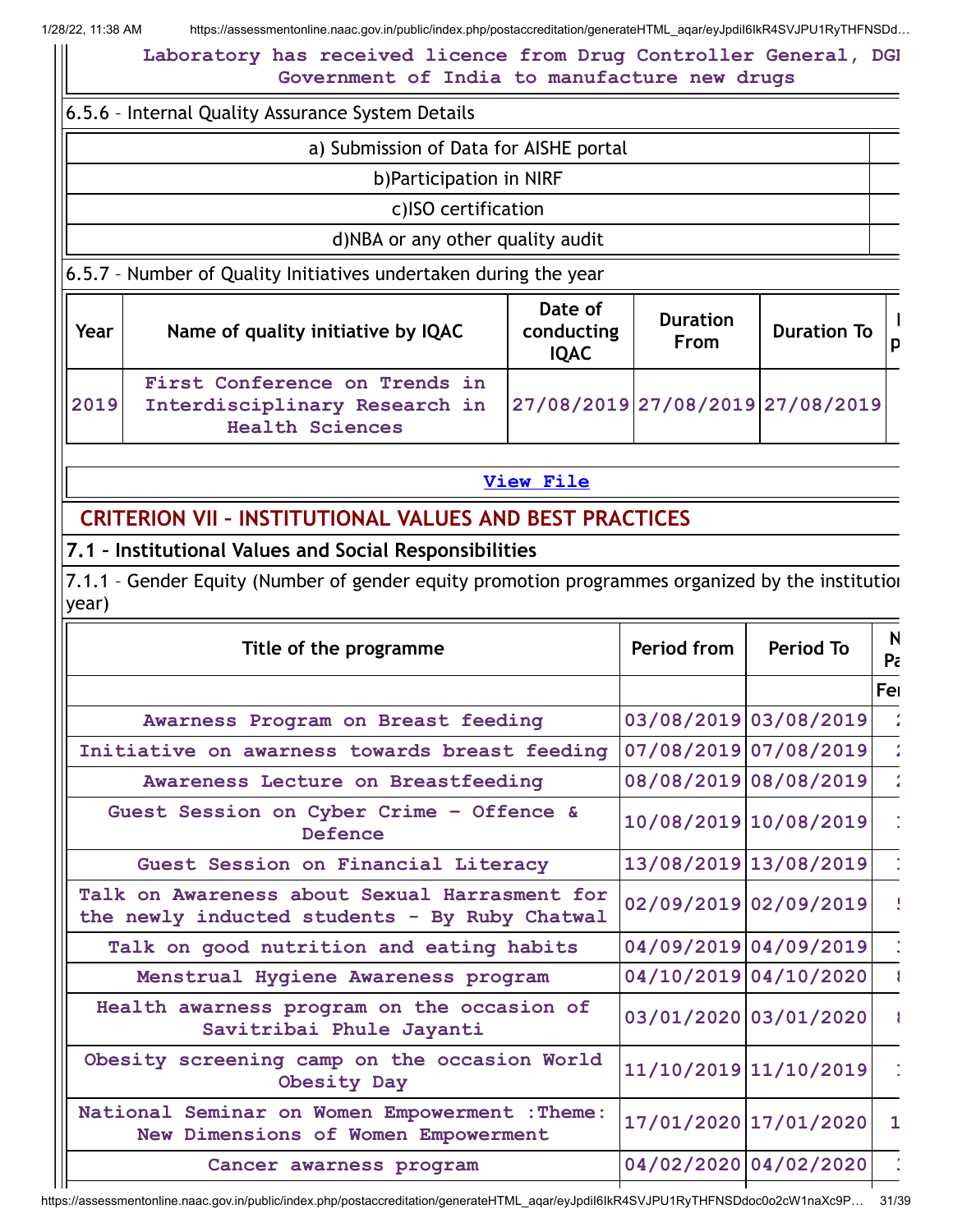**Laboratory has received licence from Drug Controller General, DGH Government of India to manufacture new drugs**

6.5.6 – Internal Quality Assurance System Details

|  | a) Submission of Data for AISHE portal |  |  |  |  |  |
|--|----------------------------------------|--|--|--|--|--|
|--|----------------------------------------|--|--|--|--|--|

b)Participation in NIRF

c)ISO certification

#### d)NBA or any other quality audit

6.5.7 – Number of Quality Initiatives undertaken during the year

| Year | Name of quality initiative by IQAC                                                       | Date of<br>conducting<br><b>IQAC</b> | <b>Duration</b><br>From | <b>Duration To</b> |  |
|------|------------------------------------------------------------------------------------------|--------------------------------------|-------------------------|--------------------|--|
| 2019 | First Conference on Trends in<br>Interdisciplinary Research in<br><b>Health Sciences</b> | 27/08/2019 27/08/2019 27/08/2019     |                         |                    |  |

**[View](https://assessmentonline.naac.gov.in/public/Postacc/Quality_Initiatives_B/10296_Quality_Initiatives_B_1642764828.xlsx) File**

## **CRITERION VII – INSTITUTIONAL VALUES AND BEST PRACTICES**

**7.1 – Institutional Values and Social Responsibilities**

7.1.1 – Gender Equity (Number of gender equity promotion programmes organized by the institution year)

| Title of the programme                                                                         | Period from | <b>Period To</b>      | N<br>Pa |
|------------------------------------------------------------------------------------------------|-------------|-----------------------|---------|
|                                                                                                |             |                       | Fer     |
| Awarness Program on Breast feeding                                                             |             | 03/08/2019 03/08/2019 |         |
| Initiative on awarness towards breast feeding                                                  |             | 07/08/2019 07/08/2019 |         |
| Awareness Lecture on Breastfeeding                                                             |             | 08/08/2019 08/08/2019 |         |
| Guest Session on Cyber Crime - Offence &<br>Defence                                            |             | 10/08/2019 10/08/2019 |         |
| Guest Session on Financial Literacy                                                            |             | 13/08/2019 13/08/2019 |         |
| Talk on Awareness about Sexual Harrasment for<br>the newly inducted students - By Ruby Chatwal |             | 02/09/2019 02/09/2019 |         |
| Talk on good nutrition and eating habits                                                       |             | 04/09/2019 04/09/2019 |         |
| Menstrual Hygiene Awareness program                                                            |             | 04/10/2019 04/10/2020 |         |
| Health awarness program on the occasion of<br>Savitribai Phule Jayanti                         |             | 03/01/2020 03/01/2020 |         |
| Obesity screening camp on the occasion World<br>Obesity Day                                    |             | 11/10/2019 11/10/2019 |         |
| National Seminar on Women Empowerment : Theme:<br>New Dimensions of Women Empowerment          |             | 17/01/2020 17/01/2020 | 1       |
| Cancer awarness program                                                                        |             | 04/02/2020 04/02/2020 |         |
|                                                                                                |             |                       |         |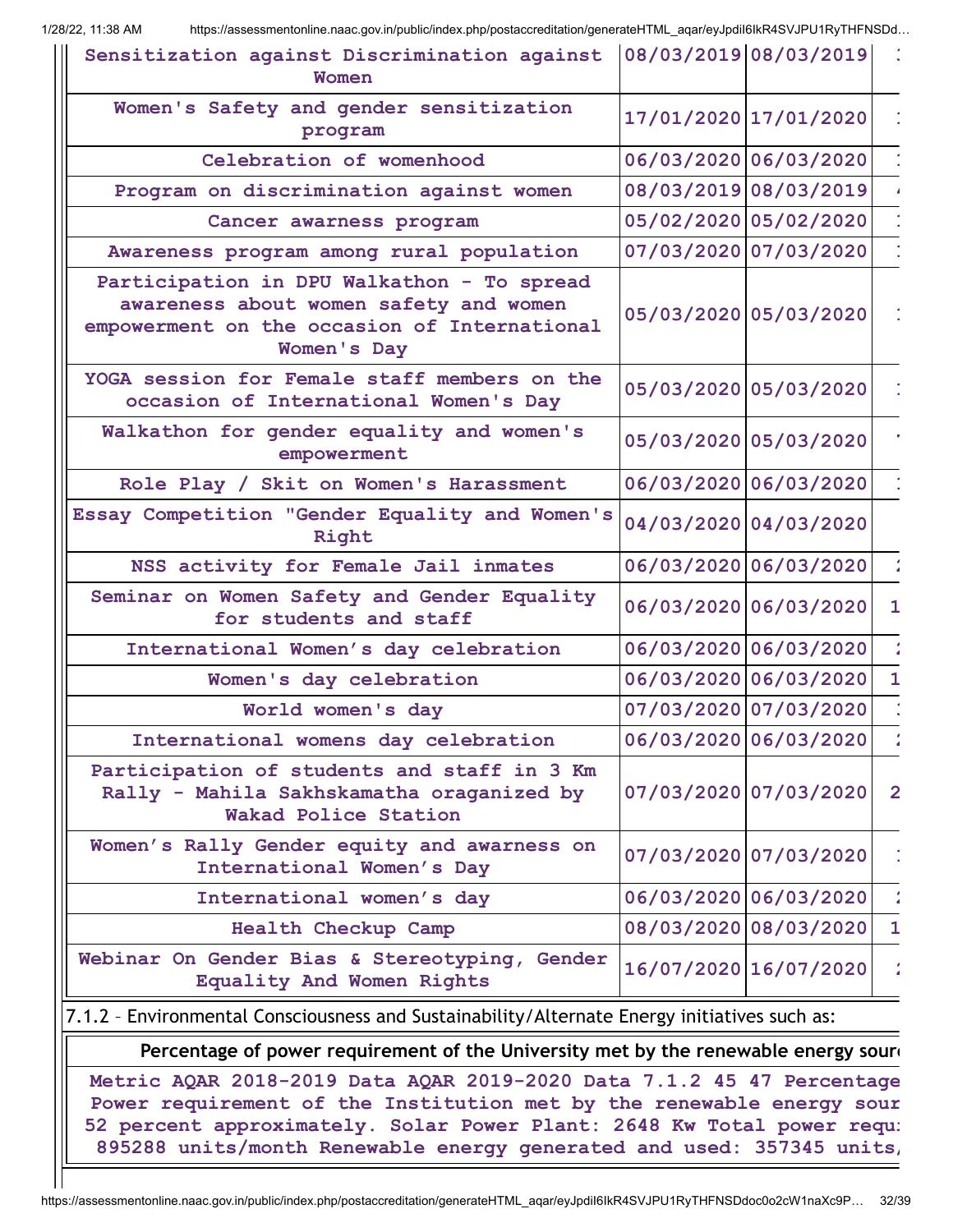| Sensitization against Discrimination against $ 08/03/2019 08/03/2019 $ :<br>Women                                                                                                                                                                                                                 |                                                                                    |                       |                |  |  |  |  |
|---------------------------------------------------------------------------------------------------------------------------------------------------------------------------------------------------------------------------------------------------------------------------------------------------|------------------------------------------------------------------------------------|-----------------------|----------------|--|--|--|--|
| Women's Safety and gender sensitization<br>program                                                                                                                                                                                                                                                |                                                                                    | 17/01/2020 17/01/2020 |                |  |  |  |  |
| Celebration of womenhood                                                                                                                                                                                                                                                                          |                                                                                    | 06/03/2020 06/03/2020 |                |  |  |  |  |
| Program on discrimination against women                                                                                                                                                                                                                                                           |                                                                                    | 08/03/2019 08/03/2019 |                |  |  |  |  |
| Cancer awarness program                                                                                                                                                                                                                                                                           |                                                                                    | 05/02/2020 05/02/2020 |                |  |  |  |  |
| Awareness program among rural population                                                                                                                                                                                                                                                          |                                                                                    | 07/03/2020 07/03/2020 |                |  |  |  |  |
| Participation in DPU Walkathon - To spread<br>awareness about women safety and women<br>empowerment on the occasion of International<br>Women's Day                                                                                                                                               |                                                                                    | 05/03/2020 05/03/2020 |                |  |  |  |  |
| YOGA session for Female staff members on the<br>occasion of International Women's Day                                                                                                                                                                                                             |                                                                                    | 05/03/2020 05/03/2020 |                |  |  |  |  |
| Walkathon for gender equality and women's<br>empowerment                                                                                                                                                                                                                                          |                                                                                    | 05/03/2020 05/03/2020 |                |  |  |  |  |
| Role Play / Skit on Women's Harassment                                                                                                                                                                                                                                                            |                                                                                    | 06/03/2020 06/03/2020 |                |  |  |  |  |
| Essay Competition "Gender Equality and Women's<br>Right                                                                                                                                                                                                                                           |                                                                                    | 04/03/2020 04/03/2020 |                |  |  |  |  |
| NSS activity for Female Jail inmates                                                                                                                                                                                                                                                              |                                                                                    | 06/03/2020 06/03/2020 |                |  |  |  |  |
| Seminar on Women Safety and Gender Equality<br>for students and staff                                                                                                                                                                                                                             |                                                                                    | 06/03/2020 06/03/2020 | $\mathbf{1}$   |  |  |  |  |
| International Women's day celebration                                                                                                                                                                                                                                                             |                                                                                    | 06/03/2020 06/03/2020 |                |  |  |  |  |
| Women's day celebration                                                                                                                                                                                                                                                                           |                                                                                    | 06/03/2020 06/03/2020 | $\mathbf{1}$   |  |  |  |  |
| World women's day                                                                                                                                                                                                                                                                                 |                                                                                    | 07/03/2020 07/03/2020 |                |  |  |  |  |
| International womens day celebration                                                                                                                                                                                                                                                              |                                                                                    | 06/03/2020 06/03/2020 |                |  |  |  |  |
| Participation of students and staff in 3 Km<br>Rally - Mahila Sakhskamatha oraganized by<br>Wakad Police Station                                                                                                                                                                                  |                                                                                    | 07/03/2020 07/03/2020 | $\overline{2}$ |  |  |  |  |
| Women's Rally Gender equity and awarness on<br>International Women's Day                                                                                                                                                                                                                          |                                                                                    | 07/03/2020 07/03/2020 |                |  |  |  |  |
| International women's day                                                                                                                                                                                                                                                                         |                                                                                    | 06/03/2020 06/03/2020 |                |  |  |  |  |
| <b>Health Checkup Camp</b>                                                                                                                                                                                                                                                                        |                                                                                    | 08/03/2020 08/03/2020 | $\mathbf{1}$   |  |  |  |  |
| Webinar On Gender Bias & Stereotyping, Gender<br>Equality And Women Rights                                                                                                                                                                                                                        |                                                                                    | 16/07/2020 16/07/2020 | $\frac{1}{2}$  |  |  |  |  |
| 7.1.2 - Environmental Consciousness and Sustainability/Alternate Energy initiatives such as:                                                                                                                                                                                                      |                                                                                    |                       |                |  |  |  |  |
|                                                                                                                                                                                                                                                                                                   | Percentage of power requirement of the University met by the renewable energy sour |                       |                |  |  |  |  |
| Metric AQAR 2018-2019 Data AQAR 2019-2020 Data 7.1.2 45 47 Percentage<br>Power requirement of the Institution met by the renewable energy sour<br>52 percent approximately. Solar Power Plant: 2648 Kw Total power requi<br>895288 units/month Renewable energy generated and used: 357345 units, |                                                                                    |                       |                |  |  |  |  |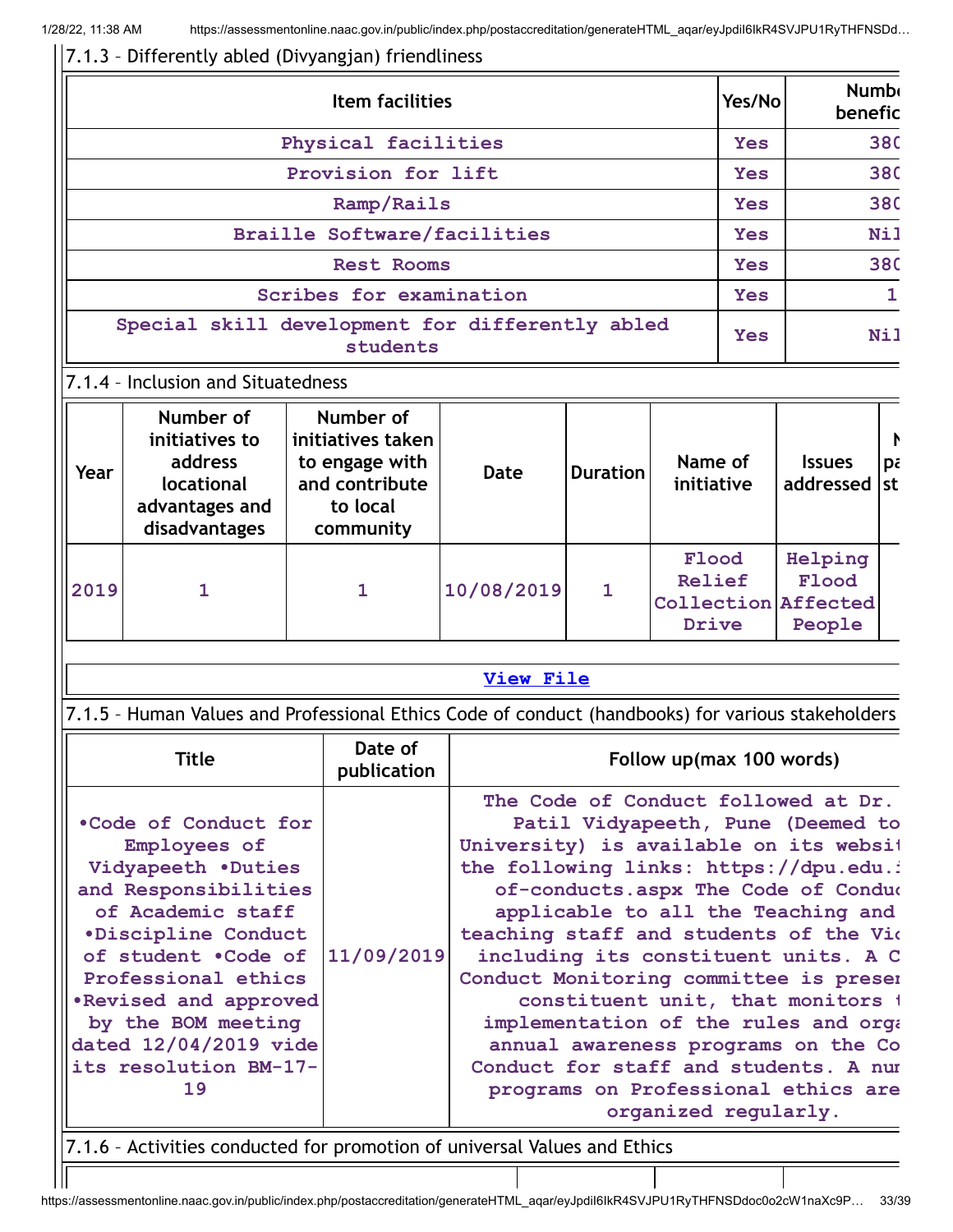**Year**

**locational advantages and disadvantages**

**and contribute to local community**

## 7.1.3 – Differently abled (Divyangjan) friendliness

|                                                             |                                        | Yes/No                                           |      | <b>Numb</b><br>benefic |  |            |               |            |
|-------------------------------------------------------------|----------------------------------------|--------------------------------------------------|------|------------------------|--|------------|---------------|------------|
|                                                             | Physical facilities                    | <b>Yes</b>                                       |      | <b>380</b>             |  |            |               |            |
|                                                             |                                        | Provision for lift                               |      |                        |  | <b>Yes</b> |               | <b>380</b> |
|                                                             |                                        | <b>Yes</b>                                       |      | <b>380</b>             |  |            |               |            |
|                                                             | <b>Braille Software/facilities</b>     | <b>Yes</b>                                       |      | Nil                    |  |            |               |            |
|                                                             |                                        | <b>Yes</b>                                       |      | <b>380</b>             |  |            |               |            |
| Scribes for examination                                     |                                        |                                                  |      |                        |  |            |               |            |
| Special skill development for differently abled<br>students |                                        |                                                  |      |                        |  | Yes        |               | <b>Nil</b> |
|                                                             | 7.1.4 - Inclusion and Situatedness     |                                                  |      |                        |  |            |               |            |
| Year                                                        | Number of<br>initiatives to<br>address | Number of<br>initiatives taken<br>to engage with | Date | <b>Duration</b>        |  | Name of    | <b>Issues</b> | P.<br>pε   |

#### **2019 1 1 10/08/2019 1 Relief Collection Affected Drive**

**initiative**

**Flood**

**addressed st**

**Helping Flood**

**People**

#### **[View](https://assessmentonline.naac.gov.in/public/Postacc/Inclusion/10296_Inclusion_1643192471.xlsx) File**

## 7.1.5 – Human Values and Professional Ethics Code of conduct (handbooks) for various stakeholders

| <b>Title</b>                                                                                                                                                                                                                                                                                       | Date of<br>publication | Follow up(max 100 words)                                                                                                                                                                                                                                                                                                                                                                                                                                                                                                                                                                          |  |  |  |
|----------------------------------------------------------------------------------------------------------------------------------------------------------------------------------------------------------------------------------------------------------------------------------------------------|------------------------|---------------------------------------------------------------------------------------------------------------------------------------------------------------------------------------------------------------------------------------------------------------------------------------------------------------------------------------------------------------------------------------------------------------------------------------------------------------------------------------------------------------------------------------------------------------------------------------------------|--|--|--|
| .Code of Conduct for<br>Employees of<br>Vidyapeeth .Duties<br>and Responsibilities<br>of Academic staff<br><i><b>•Discipline Conduct</b></i><br>of student . Code of<br>Professional ethics<br>.Revised and approved<br>by the BOM meeting<br>dated 12/04/2019 vide<br>its resolution BM-17-<br>19 | 11/09/2019             | The Code of Conduct followed at Dr.<br>Patil Vidyapeeth, Pune (Deemed to<br>University) is available on its websit<br>the following links: https://dpu.edu.i<br>of-conducts.aspx The Code of Conduc<br>applicable to all the Teaching and<br>teaching staff and students of the Vio<br>including its constituent units. A C<br>Conduct Monitoring committee is preser<br>constituent unit, that monitors 1<br>implementation of the rules and orga<br>annual awareness programs on the Co<br>Conduct for staff and students. A num<br>programs on Professional ethics are<br>organized regularly. |  |  |  |
| 7.1.6 - Activities conducted for promotion of universal Values and Ethics                                                                                                                                                                                                                          |                        |                                                                                                                                                                                                                                                                                                                                                                                                                                                                                                                                                                                                   |  |  |  |

https://assessmentonline.naac.gov.in/public/index.php/postaccreditation/generateHTML\_aqar/eyJpdiI6IkR4SVJPU1RyTHFNSDdoc0o2cW1naXc9P… 33/39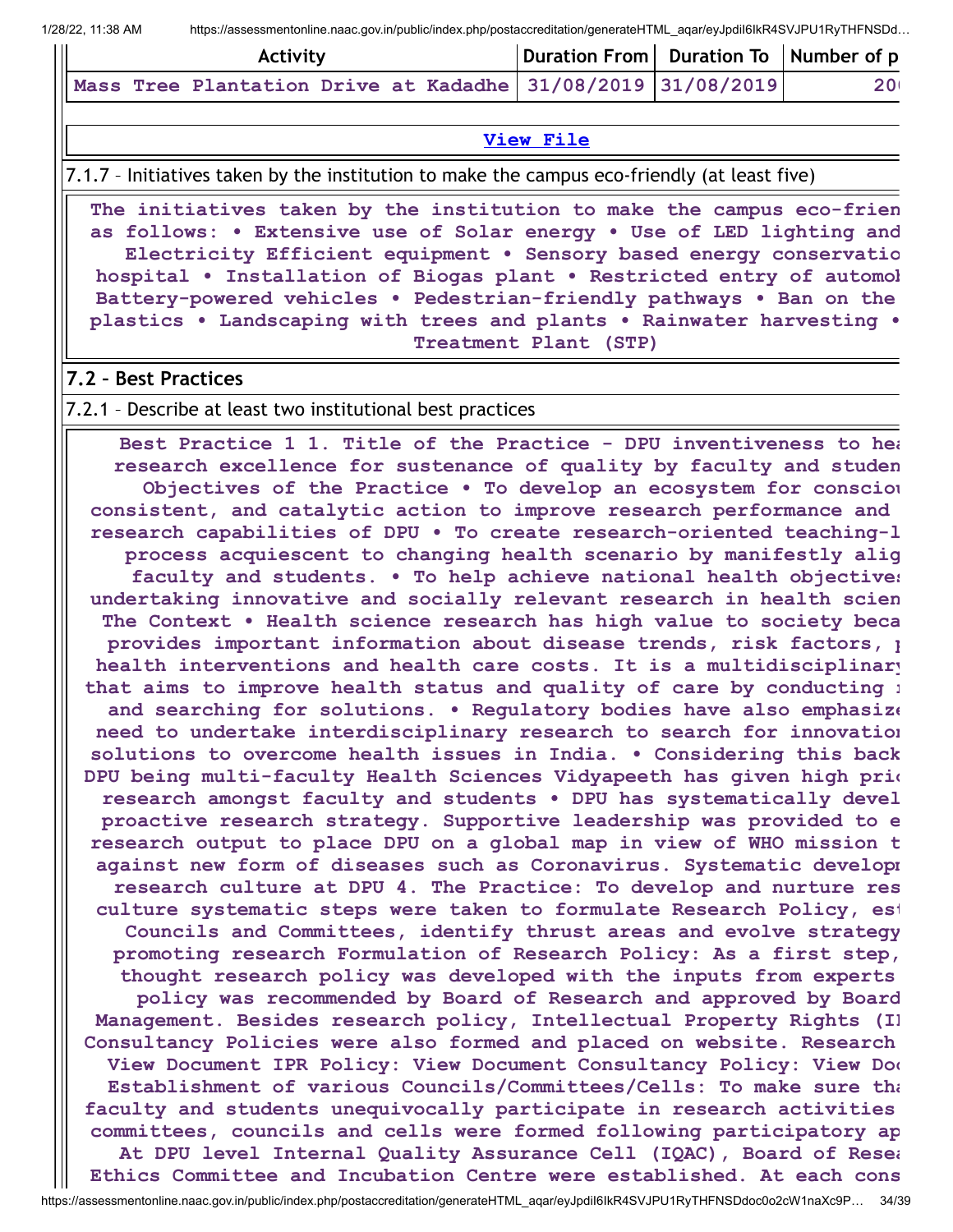| Activity |  |  |  | Duration From Duration To Number of p |  |                                                                                         |                 |
|----------|--|--|--|---------------------------------------|--|-----------------------------------------------------------------------------------------|-----------------|
|          |  |  |  |                                       |  | $\mid$ Mass Tree Plantation Drive at Kadadhe $\mid$ 31/08/2019 $\mid$ 31/08/2019 $\mid$ | 20 <sub>1</sub> |

#### **[View](https://assessmentonline.naac.gov.in/public/Postacc/promotion_activities/10296_promotion_activities_1643192638.xlsx) File**

7.1.7 – Initiatives taken by the institution to make the campus eco-friendly (at least five)

**The initiatives taken by the institution to make the campus eco-frien as follows: • Extensive use of Solar energy • Use of LED lighting and Electricity Efficient equipment • Sensory based energy conservatio hospital • Installation of Biogas plant • Restricted entry of automob Battery-powered vehicles • Pedestrian-friendly pathways • Ban on the plastics • Landscaping with trees and plants • Rainwater harvesting • Treatment Plant (STP)**

#### **7.2 – Best Practices**

#### 7.2.1 – Describe at least two institutional best practices

**Best Practice 1 1. Title of the Practice - DPU inventiveness to hea research excellence for sustenance of quality by faculty and studen Objectives of the Practice • To develop an ecosystem for consciou consistent, and catalytic action to improve research performance and research capabilities of DPU • To create research-oriented teaching-l process acquiescent to changing health scenario by manifestly alig faculty and students. • To help achieve national health objectives undertaking innovative and socially relevant research in health scien The Context • Health science research has high value to society beca provides important information about disease trends, risk factors, p health interventions and health care costs. It is a multidisciplinary that aims to improve health status and quality of care by conducting r and searching for solutions. • Regulatory bodies have also emphasize need to undertake interdisciplinary research to search for innovation solutions to overcome health issues in India. • Considering this back DPU being multi-faculty Health Sciences Vidyapeeth has given high prio research amongst faculty and students • DPU has systematically devel proactive research strategy. Supportive leadership was provided to e research output to place DPU on a global map in view of WHO mission t against new form of diseases such as Coronavirus. Systematic developm research culture at DPU 4. The Practice: To develop and nurture res culture systematic steps were taken to formulate Research Policy, est Councils and Committees, identify thrust areas and evolve strategy promoting research Formulation of Research Policy: As a first step, thought research policy was developed with the inputs from experts policy was recommended by Board of Research and approved by Board Management. Besides research policy, Intellectual Property Rights (IP Consultancy Policies were also formed and placed on website. Research View Document IPR Policy: View Document Consultancy Policy: View Doc Establishment of various Councils/Committees/Cells: To make sure tha faculty and students unequivocally participate in research activities committees, councils and cells were formed following participatory ap At DPU level Internal Quality Assurance Cell (IQAC), Board of Resea Ethics Committee and Incubation Centre were established. At each cons**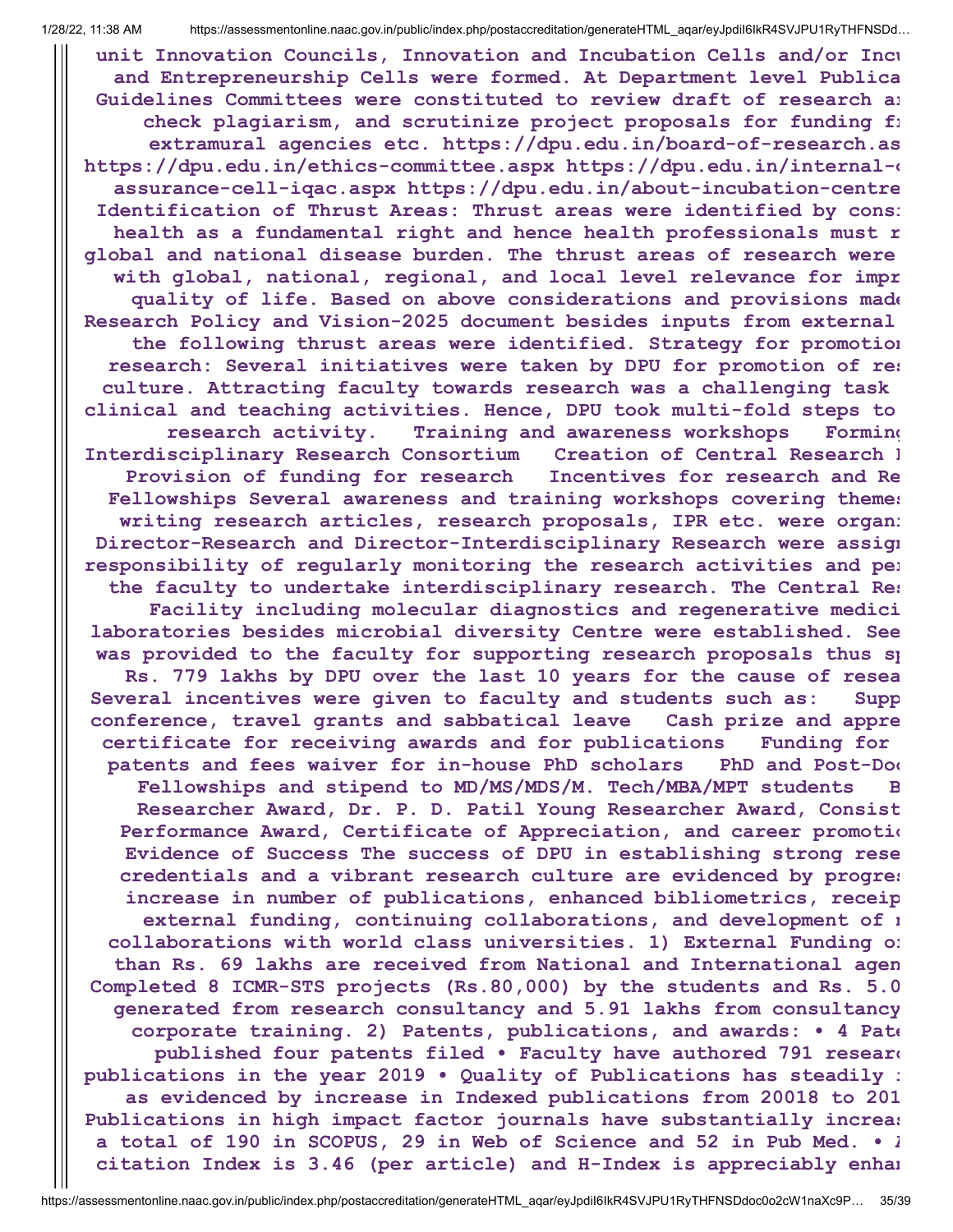**unit Innovation Councils, Innovation and Incubation Cells and/or Incu and Entrepreneurship Cells were formed. At Department level Publica Guidelines Committees were constituted to review draft of research ar check plagiarism, and scrutinize project proposals for funding fr extramural agencies etc. https://dpu.edu.in/board-of-research.as https://dpu.edu.in/ethics-committee.aspx https://dpu.edu.in/internal-q assurance-cell-iqac.aspx https://dpu.edu.in/about-incubation-centre Identification of Thrust Areas: Thrust areas were identified by consi health as a fundamental right and hence health professionals must r global and national disease burden. The thrust areas of research were with global, national, regional, and local level relevance for impr quality of life. Based on above considerations and provisions made Research Policy and Vision-2025 document besides inputs from external the following thrust areas were identified. Strategy for promotion research: Several initiatives were taken by DPU for promotion of res culture. Attracting faculty towards research was a challenging task clinical and teaching activities. Hence, DPU took multi-fold steps to research activity. Training and awareness workshops Forming Interdisciplinary Research Consortium Creation of Central Research F Provision of funding for research Incentives for research and Re Fellowships Several awareness and training workshops covering themes writing research articles, research proposals, IPR etc. were organi Director-Research and Director-Interdisciplinary Research were assign responsibility of regularly monitoring the research activities and per the faculty to undertake interdisciplinary research. The Central Res Facility including molecular diagnostics and regenerative medici laboratories besides microbial diversity Centre were established. See was provided to the faculty for supporting research proposals thus sp Rs. 779 lakhs by DPU over the last 10 years for the cause of resea Several incentives were given to faculty and students such as: Supp conference, travel grants and sabbatical leave Cash prize and appre certificate for receiving awards and for publications Funding for patents and fees waiver for in-house PhD scholars PhD and Post-Doc Fellowships and stipend to MD/MS/MDS/M. Tech/MBA/MPT students B Researcher Award, Dr. P. D. Patil Young Researcher Award, Consist Performance Award, Certificate of Appreciation, and career promotio Evidence of Success The success of DPU in establishing strong rese credentials and a vibrant research culture are evidenced by progres increase in number of publications, enhanced bibliometrics, receip external funding, continuing collaborations, and development of n collaborations with world class universities. 1) External Funding of than Rs. 69 lakhs are received from National and International agen Completed 8 ICMR-STS projects (Rs.80,000) by the students and Rs. 5.0 generated from research consultancy and 5.91 lakhs from consultancy corporate training. 2) Patents, publications, and awards: • 4 Pate published four patents filed • Faculty have authored 791 researc publications in the year 2019 • Quality of Publications has steadily i as evidenced by increase in Indexed publications from 20018 to 201 Publications in high impact factor journals have substantially increas a total of 190 in SCOPUS, 29 in Web of Science and 52 in Pub Med. • A citation Index is 3.46 (per article) and H-Index is appreciably enhan**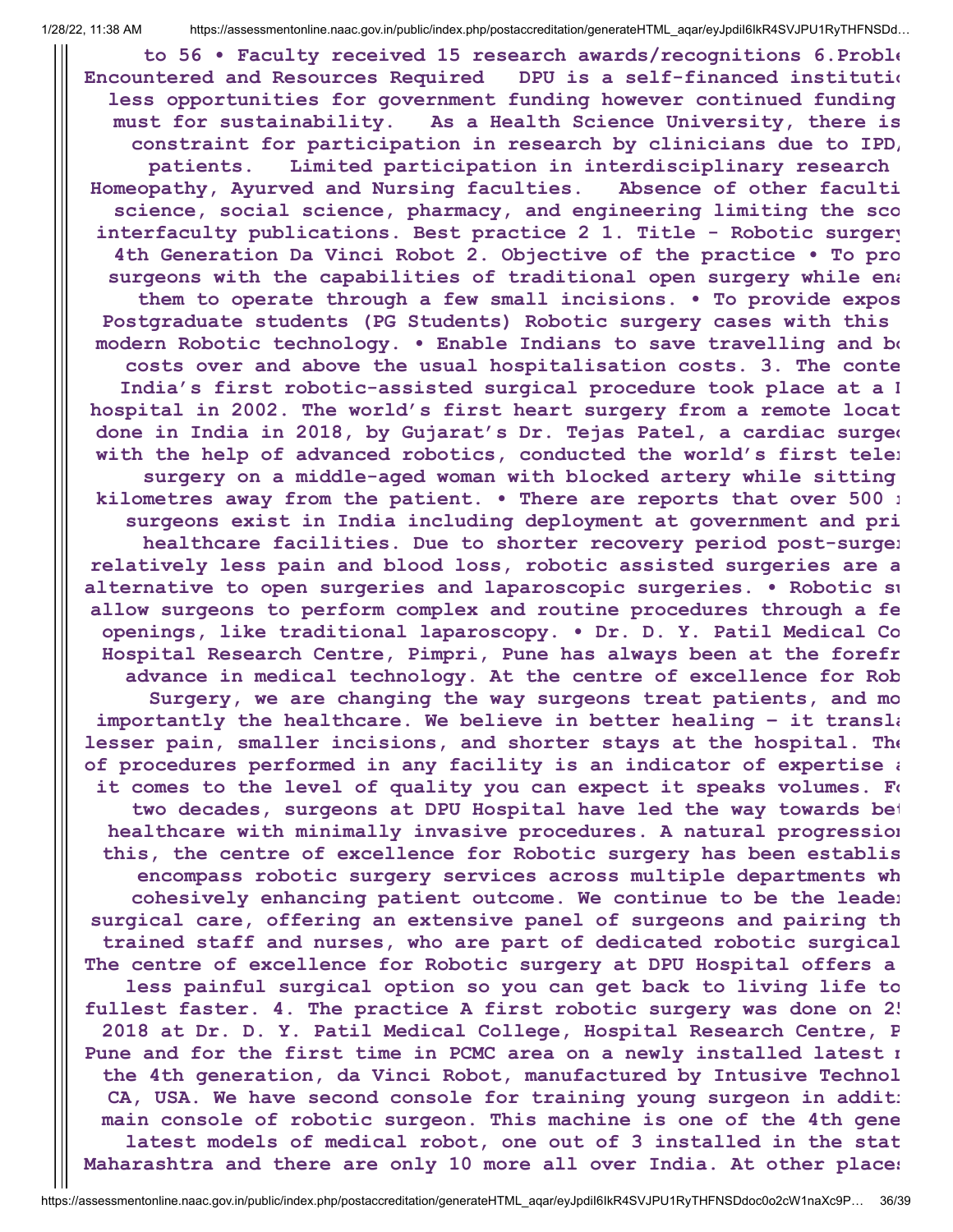**to 56 • Faculty received 15 research awards/recognitions 6.Proble Encountered and Resources Required DPU is a self-financed institutio less opportunities for government funding however continued funding must for sustainability. As a Health Science University, there is constraint for participation in research by clinicians due to IPD/ patients. Limited participation in interdisciplinary research Homeopathy, Ayurved and Nursing faculties. Absence of other faculti science, social science, pharmacy, and engineering limiting the sco interfaculty publications. Best practice 2 1. Title - Robotic surgery 4th Generation Da Vinci Robot 2. Objective of the practice • To pro surgeons with the capabilities of traditional open surgery while ena them to operate through a few small incisions. • To provide expos Postgraduate students (PG Students) Robotic surgery cases with this modern Robotic technology. • Enable Indians to save travelling and bo costs over and above the usual hospitalisation costs. 3. The conte India's first robotic-assisted surgical procedure took place at a D hospital in 2002. The world's first heart surgery from a remote locat done in India in 2018, by Gujarat's Dr. Tejas Patel, a cardiac surgeo with the help of advanced robotics, conducted the world's first teler surgery on a middle-aged woman with blocked artery while sitting kilometres away from the patient. • There are reports that over 500 r surgeons exist in India including deployment at government and pri healthcare facilities. Due to shorter recovery period post-surger relatively less pain and blood loss, robotic assisted surgeries are a alternative to open surgeries and laparoscopic surgeries. • Robotic su allow surgeons to perform complex and routine procedures through a fe openings, like traditional laparoscopy. • Dr. D. Y. Patil Medical Co Hospital Research Centre, Pimpri, Pune has always been at the forefr advance in medical technology. At the centre of excellence for Rob Surgery, we are changing the way surgeons treat patients, and mo importantly the healthcare. We believe in better healing – it transla lesser pain, smaller incisions, and shorter stays at the hospital. The of procedures performed in any facility is an indicator of expertise a it comes to the level of quality you can expect it speaks volumes. Fo two decades, surgeons at DPU Hospital have led the way towards bet healthcare with minimally invasive procedures. A natural progression this, the centre of excellence for Robotic surgery has been establis encompass robotic surgery services across multiple departments wh cohesively enhancing patient outcome. We continue to be the leader surgical care, offering an extensive panel of surgeons and pairing th trained staff and nurses, who are part of dedicated robotic surgical The centre of excellence for Robotic surgery at DPU Hospital offers a less painful surgical option so you can get back to living life to fullest faster. 4. The practice A first robotic surgery was done on 25 2018 at Dr. D. Y. Patil Medical College, Hospital Research Centre, P Pune and for the first time in PCMC area on a newly installed latest m the 4th generation, da Vinci Robot, manufactured by Intusive Technol CA, USA. We have second console for training young surgeon in additi main console of robotic surgeon. This machine is one of the 4th gene latest models of medical robot, one out of 3 installed in the stat Maharashtra and there are only 10 more all over India. At other places**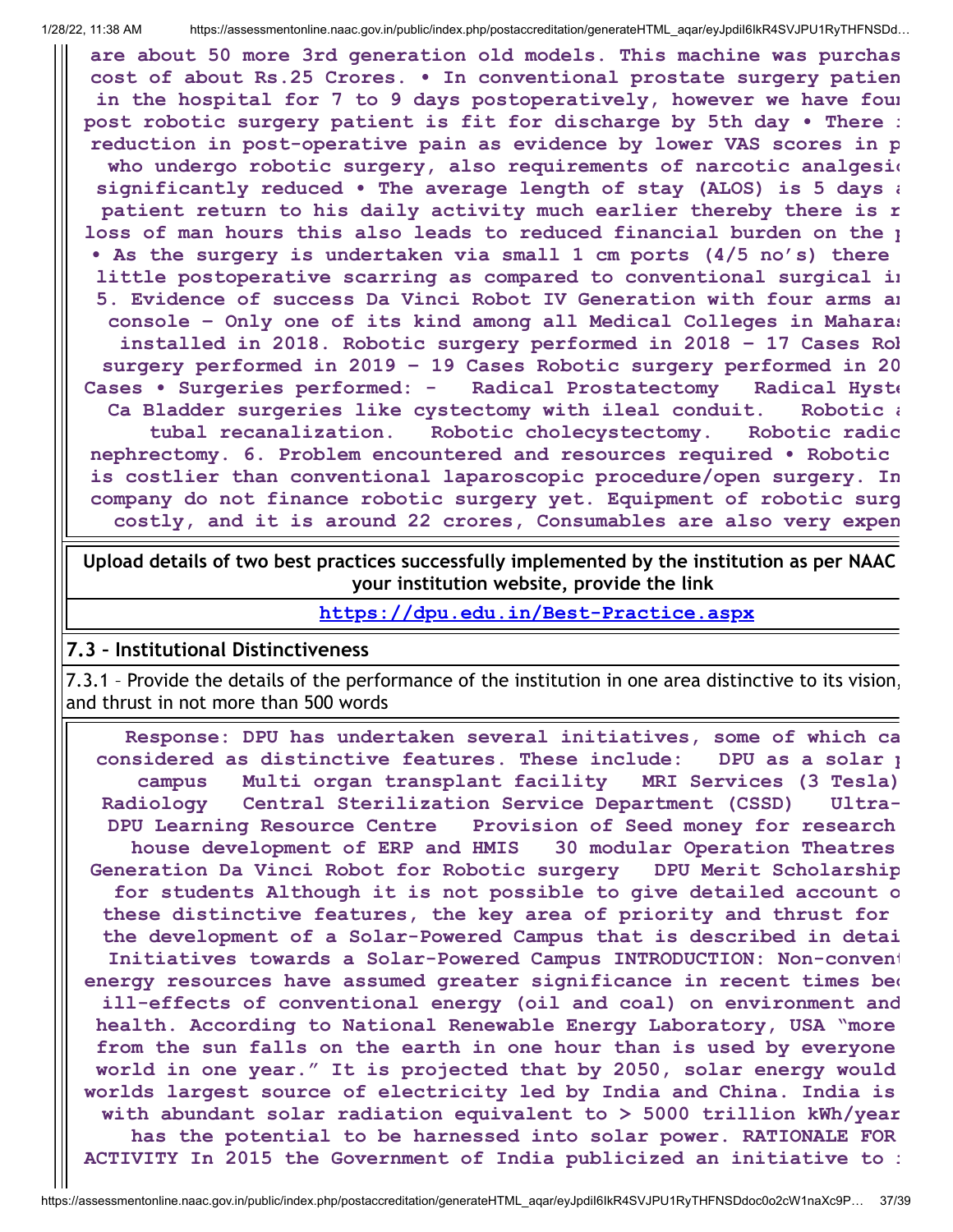**are about 50 more 3rd generation old models. This machine was purchas cost of about Rs.25 Crores. • In conventional prostate surgery patien in the hospital for 7 to 9 days postoperatively, however we have foun post robotic surgery patient is fit for discharge by 5th day • There i reduction in post-operative pain as evidence by lower VAS scores in p who undergo robotic surgery, also requirements of narcotic analgesic significantly reduced • The average length of stay (ALOS) is 5 days a patient return to his daily activity much earlier thereby there is r loss of man hours this also leads to reduced financial burden on the p • As the surgery is undertaken via small 1 cm ports (4/5 no's) there little postoperative scarring as compared to conventional surgical in 5. Evidence of success Da Vinci Robot IV Generation with four arms an console – Only one of its kind among all Medical Colleges in Maharas installed in 2018. Robotic surgery performed in 2018 – 17 Cases Rob surgery performed in 2019 – 19 Cases Robotic surgery performed in 20 Cases • Surgeries performed: - Radical Prostatectomy Radical Hyste Ca Bladder surgeries like cystectomy with ileal conduit. Robotic a tubal recanalization. Robotic cholecystectomy. Robotic radic nephrectomy. 6. Problem encountered and resources required • Robotic is costlier than conventional laparoscopic procedure/open surgery. In company do not finance robotic surgery yet. Equipment of robotic surg costly, and it is around 22 crores, Consumables are also very expen**

**Upload details of two best practices successfully implemented by the institution as per NAAC your institution website, provide the link**

**<https://dpu.edu.in/Best-Practice.aspx>**

#### **7.3 – Institutional Distinctiveness**

7.3.1 – Provide the details of the performance of the institution in one area distinctive to its vision, and thrust in not more than 500 words

**Response: DPU has undertaken several initiatives, some of which ca considered as distinctive features. These include: DPU as a solar p campus Multi organ transplant facility MRI Services (3 Tesla) Radiology Central Sterilization Service Department (CSSD) Ultra-DPU Learning Resource Centre Provision of Seed money for research house development of ERP and HMIS 30 modular Operation Theatres Generation Da Vinci Robot for Robotic surgery DPU Merit Scholarship for students Although it is not possible to give detailed account o these distinctive features, the key area of priority and thrust for the development of a Solar-Powered Campus that is described in detai Initiatives towards a Solar-Powered Campus INTRODUCTION: Non-convent energy resources have assumed greater significance in recent times bec ill-effects of conventional energy (oil and coal) on environment and health. According to National Renewable Energy Laboratory, USA "more from the sun falls on the earth in one hour than is used by everyone world in one year." It is projected that by 2050, solar energy would worlds largest source of electricity led by India and China. India is with abundant solar radiation equivalent to > 5000 trillion kWh/year has the potential to be harnessed into solar power. RATIONALE FOR ACTIVITY In 2015 the Government of India publicized an initiative to i**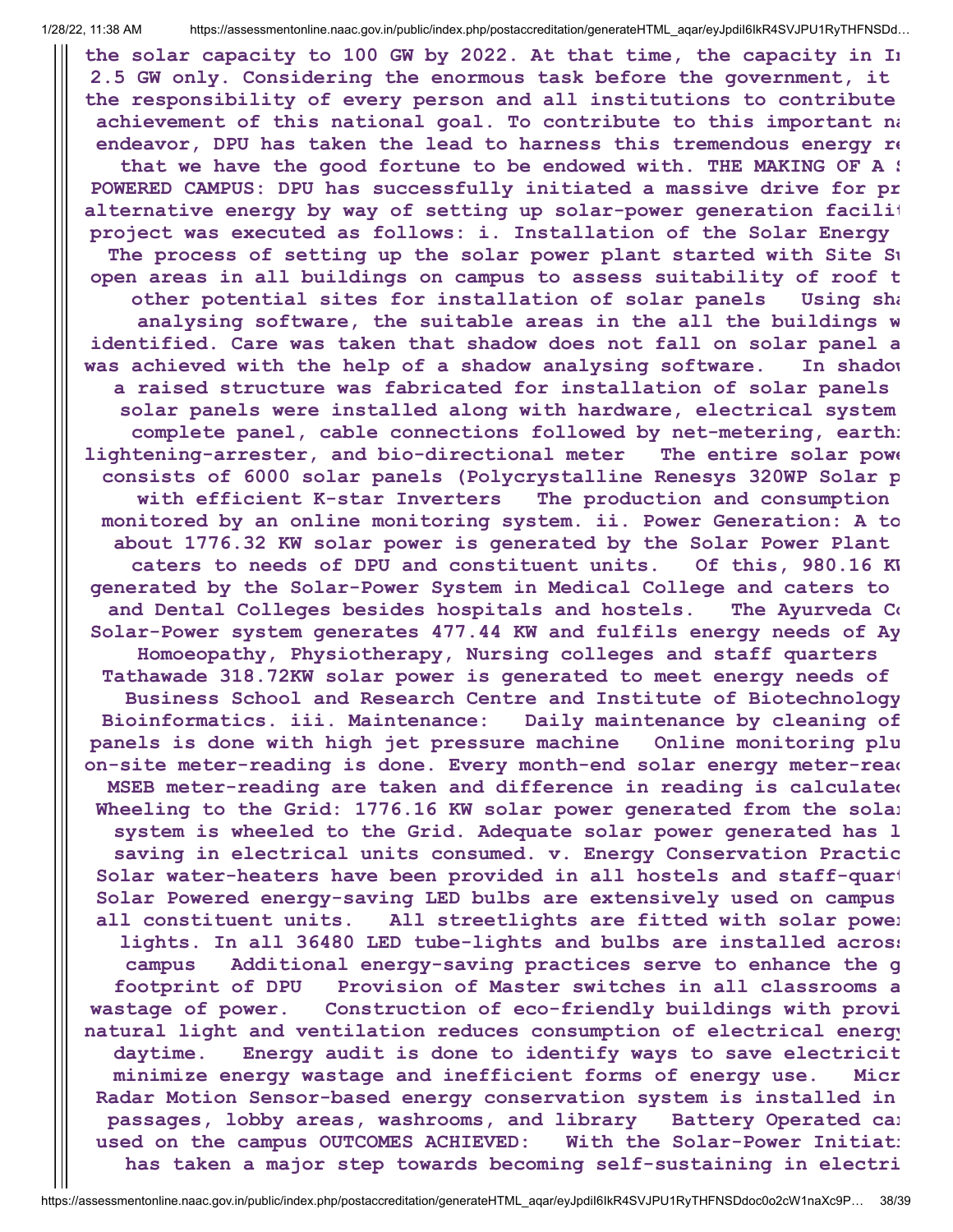**the solar capacity to 100 GW by 2022. At that time, the capacity in In 2.5 GW only. Considering the enormous task before the government, it the responsibility of every person and all institutions to contribute achievement of this national goal. To contribute to this important na endeavor, DPU has taken the lead to harness this tremendous energy re that we have the good fortune to be endowed with. THE MAKING OF A S POWERED CAMPUS: DPU has successfully initiated a massive drive for pr alternative energy by way of setting up solar-power generation facilit project was executed as follows: i. Installation of the Solar Energy The process of setting up the solar power plant started with Site Su open areas in all buildings on campus to assess suitability of roof t other potential sites for installation of solar panels Using sha analysing software, the suitable areas in the all the buildings w identified. Care was taken that shadow does not fall on solar panel a was achieved with the help of a shadow analysing software. In shadow a raised structure was fabricated for installation of solar panels solar panels were installed along with hardware, electrical system complete panel, cable connections followed by net-metering, earthi lightening-arrester, and bio-directional meter The entire solar powe consists of 6000 solar panels (Polycrystalline Renesys 320WP Solar p with efficient K-star Inverters The production and consumption monitored by an online monitoring system. ii. Power Generation: A to about 1776.32 KW solar power is generated by the Solar Power Plant caters to needs of DPU and constituent units. Of this, 980.16 KW generated by the Solar-Power System in Medical College and caters to and Dental Colleges besides hospitals and hostels. The Ayurveda Co Solar-Power system generates 477.44 KW and fulfils energy needs of Ay Homoeopathy, Physiotherapy, Nursing colleges and staff quarters Tathawade 318.72KW solar power is generated to meet energy needs of Business School and Research Centre and Institute of Biotechnology Bioinformatics. iii. Maintenance: Daily maintenance by cleaning of panels is done with high jet pressure machine Online monitoring plu on-site meter-reading is done. Every month-end solar energy meter-read MSEB meter-reading are taken and difference in reading is calculated Wheeling to the Grid: 1776.16 KW solar power generated from the solar system is wheeled to the Grid. Adequate solar power generated has l saving in electrical units consumed. v. Energy Conservation Practic Solar water-heaters have been provided in all hostels and staff-quart Solar Powered energy-saving LED bulbs are extensively used on campus all constituent units. All streetlights are fitted with solar power lights. In all 36480 LED tube-lights and bulbs are installed across campus Additional energy-saving practices serve to enhance the g footprint of DPU Provision of Master switches in all classrooms a wastage of power. Construction of eco-friendly buildings with provi natural light and ventilation reduces consumption of electrical energy daytime. Energy audit is done to identify ways to save electricit minimize energy wastage and inefficient forms of energy use. Micr Radar Motion Sensor-based energy conservation system is installed in passages, lobby areas, washrooms, and library Battery Operated car used on the campus OUTCOMES ACHIEVED: With the Solar-Power Initiati has taken a major step towards becoming self-sustaining in electri**